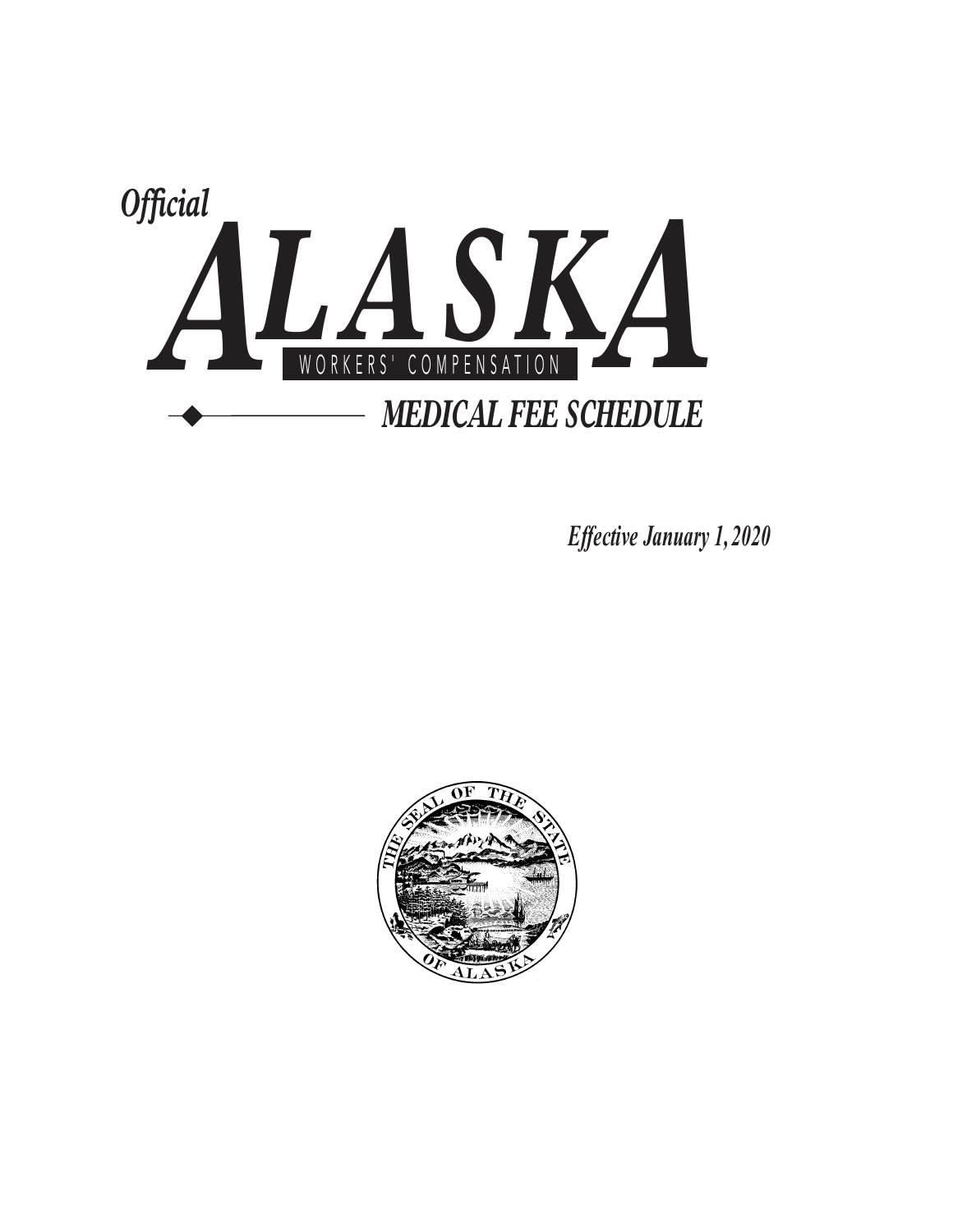

*Effective January 1, 2020* 

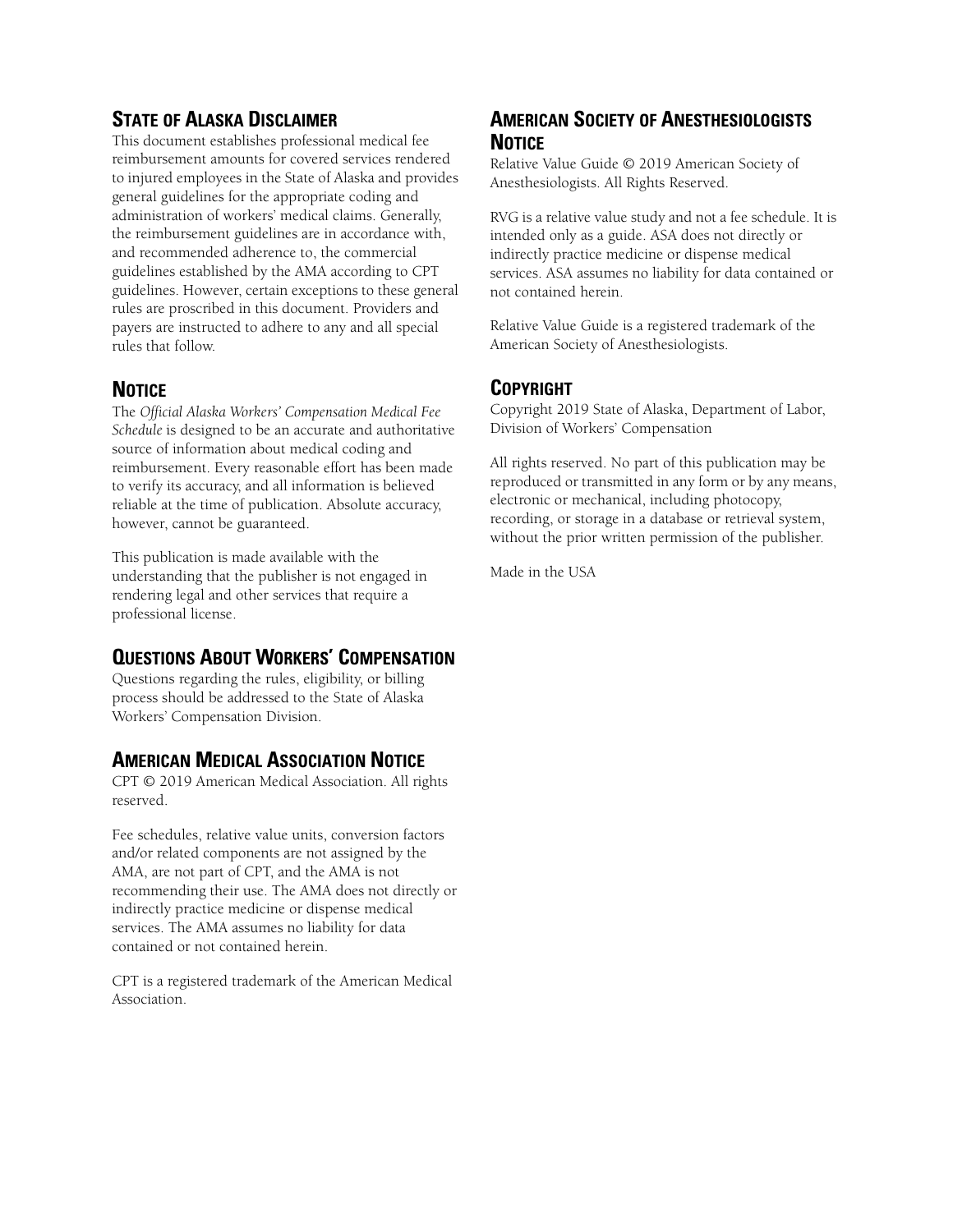# **STATE OF ALASKA DISCLAIMER**

This document establishes professional medical fee reimbursement amounts for covered services rendered to injured employees in the State of Alaska and provides general guidelines for the appropriate coding and administration of workers' medical claims. Generally, the reimbursement guidelines are in accordance with, and recommended adherence to, the commercial guidelines established by the AMA according to CPT guidelines. However, certain exceptions to these general rules are proscribed in this document. Providers and payers are instructed to adhere to any and all special rules that follow.

## **NOTICE**

The *Official Alaska Workers' Compensation Medical Fee Schedule* is designed to be an accurate and authoritative source of information about medical coding and reimbursement. Every reasonable effort has been made to verify its accuracy, and all information is believed reliable at the time of publication. Absolute accuracy, however, cannot be guaranteed.

This publication is made available with the understanding that the publisher is not engaged in rendering legal and other services that require a professional license.

## **QUESTIONS ABOUT WORKERS' COMPENSATION**

Questions regarding the rules, eligibility, or billing process should be addressed to the State of Alaska Workers' Compensation Division.

## **AMERICAN MEDICAL ASSOCIATION NOTICE**

CPT © 2019 American Medical Association. All rights reserved.

Fee schedules, relative value units, conversion factors and/or related components are not assigned by the AMA, are not part of CPT, and the AMA is not recommending their use. The AMA does not directly or indirectly practice medicine or dispense medical services. The AMA assumes no liability for data contained or not contained herein.

CPT is a registered trademark of the American Medical Association.

## **AMERICAN SOCIETY OF ANESTHESIOLOGISTS NOTICE**

Relative Value Guide © 2019 American Society of Anesthesiologists. All Rights Reserved.

RVG is a relative value study and not a fee schedule. It is intended only as a guide. ASA does not directly or indirectly practice medicine or dispense medical services. ASA assumes no liability for data contained or not contained herein.

Relative Value Guide is a registered trademark of the American Society of Anesthesiologists.

## **COPYRIGHT**

Copyright 2019 State of Alaska, Department of Labor, Division of Workers' Compensation

All rights reserved. No part of this publication may be reproduced or transmitted in any form or by any means, electronic or mechanical, including photocopy, recording, or storage in a database or retrieval system, without the prior written permission of the publisher.

Made in the USA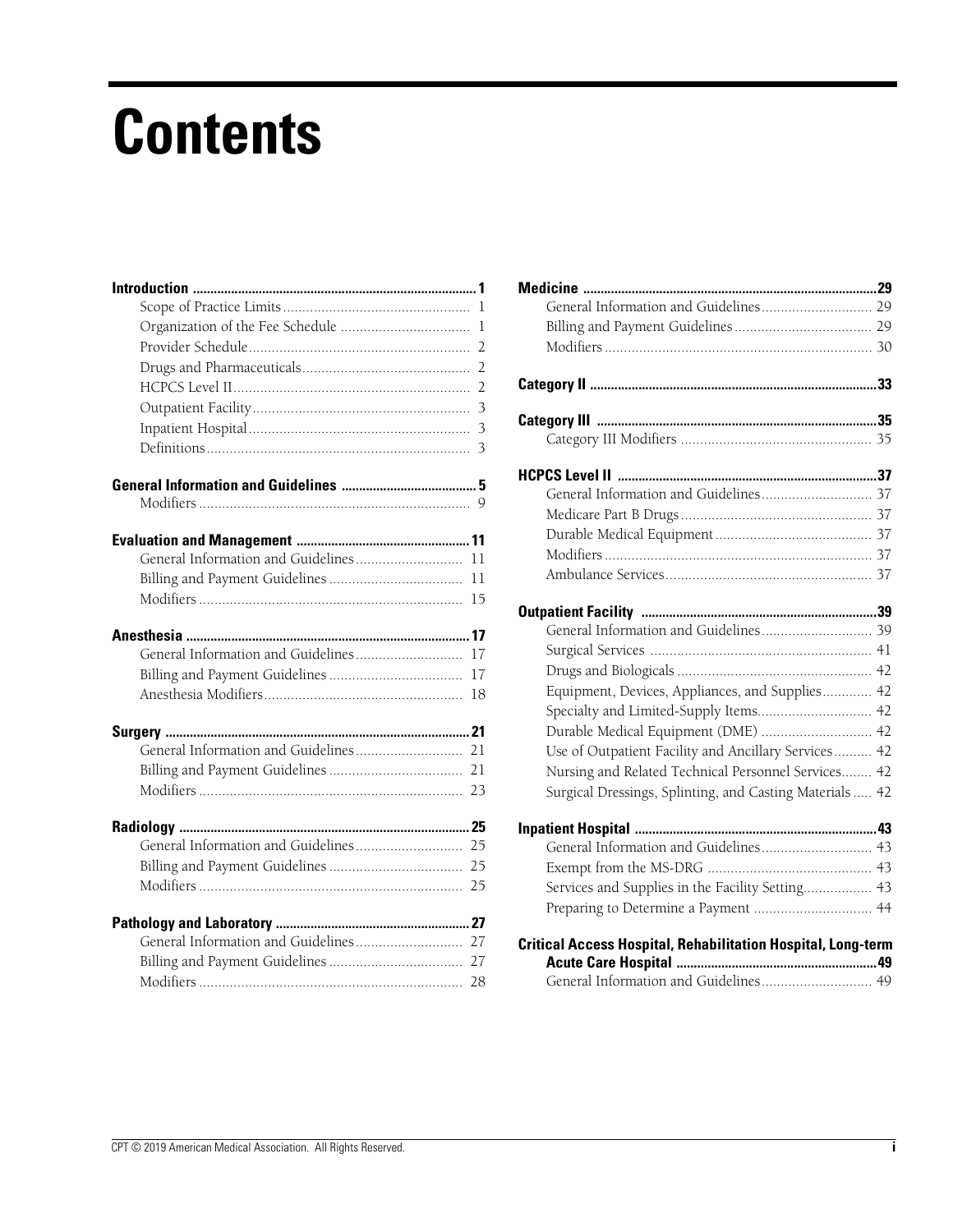# **Contents**

|                                       | 11 |
|---------------------------------------|----|
|                                       | 11 |
|                                       | 15 |
|                                       |    |
|                                       | 17 |
|                                       | 17 |
|                                       | 18 |
|                                       |    |
|                                       |    |
|                                       |    |
|                                       |    |
|                                       |    |
|                                       |    |
|                                       |    |
|                                       |    |
|                                       |    |
| General Information and Guidelines 27 |    |
|                                       |    |
|                                       |    |

| Equipment, Devices, Appliances, and Supplies 42                     |  |
|---------------------------------------------------------------------|--|
| Specialty and Limited-Supply Items 42                               |  |
| Durable Medical Equipment (DME)  42                                 |  |
| Use of Outpatient Facility and Ancillary Services 42                |  |
| Nursing and Related Technical Personnel Services 42                 |  |
| Surgical Dressings, Splinting, and Casting Materials  42            |  |
|                                                                     |  |
| General Information and Guidelines 43                               |  |
|                                                                     |  |
| Services and Supplies in the Facility Setting 43                    |  |
| Preparing to Determine a Payment  44                                |  |
| <b>Critical Access Hospital, Rehabilitation Hospital, Long-term</b> |  |
|                                                                     |  |
| General Information and Guidelines 49                               |  |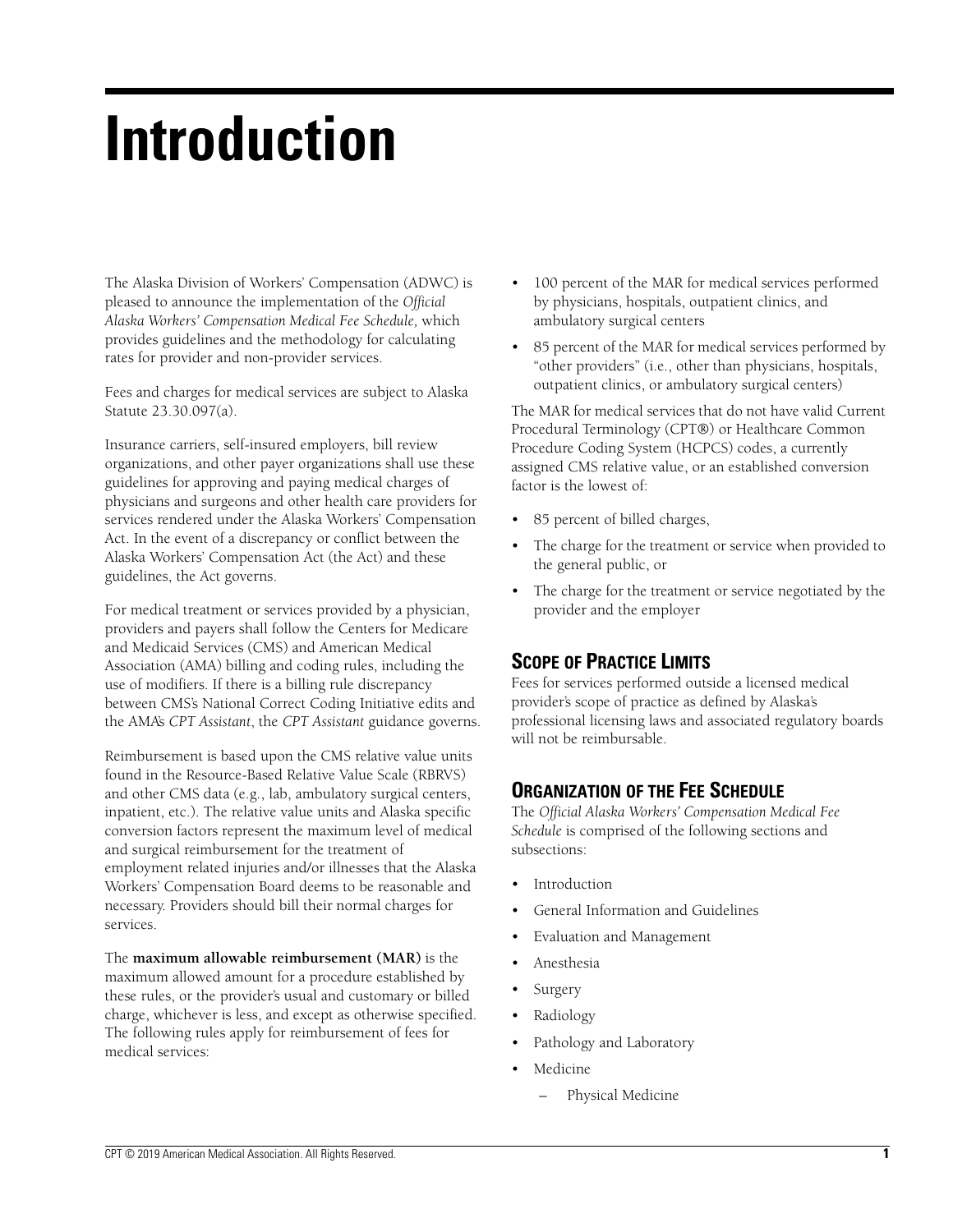# **Introduction**

The Alaska Division of Workers' Compensation (ADWC) is pleased to announce the implementation of the *Official Alaska Workers' Compensation Medical Fee Schedule,* which provides guidelines and the methodology for calculating rates for provider and non-provider services.

Fees and charges for medical services are subject to Alaska Statute 23.30.097(a).

Insurance carriers, self-insured employers, bill review organizations, and other payer organizations shall use these guidelines for approving and paying medical charges of physicians and surgeons and other health care providers for services rendered under the Alaska Workers' Compensation Act. In the event of a discrepancy or conflict between the Alaska Workers' Compensation Act (the Act) and these guidelines, the Act governs.

For medical treatment or services provided by a physician, providers and payers shall follow the Centers for Medicare and Medicaid Services (CMS) and American Medical Association (AMA) billing and coding rules, including the use of modifiers. If there is a billing rule discrepancy between CMS's National Correct Coding Initiative edits and the AMA's *CPT Assistant*, the *CPT Assistant* guidance governs.

Reimbursement is based upon the CMS relative value units found in the Resource-Based Relative Value Scale (RBRVS) and other CMS data (e.g., lab, ambulatory surgical centers, inpatient, etc.). The relative value units and Alaska specific conversion factors represent the maximum level of medical and surgical reimbursement for the treatment of employment related injuries and/or illnesses that the Alaska Workers' Compensation Board deems to be reasonable and necessary. Providers should bill their normal charges for services.

The **maximum allowable reimbursement (MAR)** is the maximum allowed amount for a procedure established by these rules, or the provider's usual and customary or billed charge, whichever is less, and except as otherwise specified. The following rules apply for reimbursement of fees for medical services:

- 100 percent of the MAR for medical services performed by physicians, hospitals, outpatient clinics, and ambulatory surgical centers
- 85 percent of the MAR for medical services performed by "other providers" (i.e., other than physicians, hospitals, outpatient clinics, or ambulatory surgical centers)

The MAR for medical services that do not have valid Current Procedural Terminology (CPT®) or Healthcare Common Procedure Coding System (HCPCS) codes, a currently assigned CMS relative value, or an established conversion factor is the lowest of:

- 85 percent of billed charges,
- The charge for the treatment or service when provided to the general public, or
- The charge for the treatment or service negotiated by the provider and the employer

# **SCOPE OF PRACTICE LIMITS**

Fees for services performed outside a licensed medical provider's scope of practice as defined by Alaska's professional licensing laws and associated regulatory boards will not be reimbursable.

# **ORGANIZATION OF THE FEE SCHEDULE**

The *Official Alaska Workers' Compensation Medical Fee Schedule* is comprised of the following sections and subsections:

- **Introduction**
- General Information and Guidelines
- Evaluation and Management
- Anesthesia
- **Surgery**
- Radiology
- Pathology and Laboratory
- Medicine
	- Physical Medicine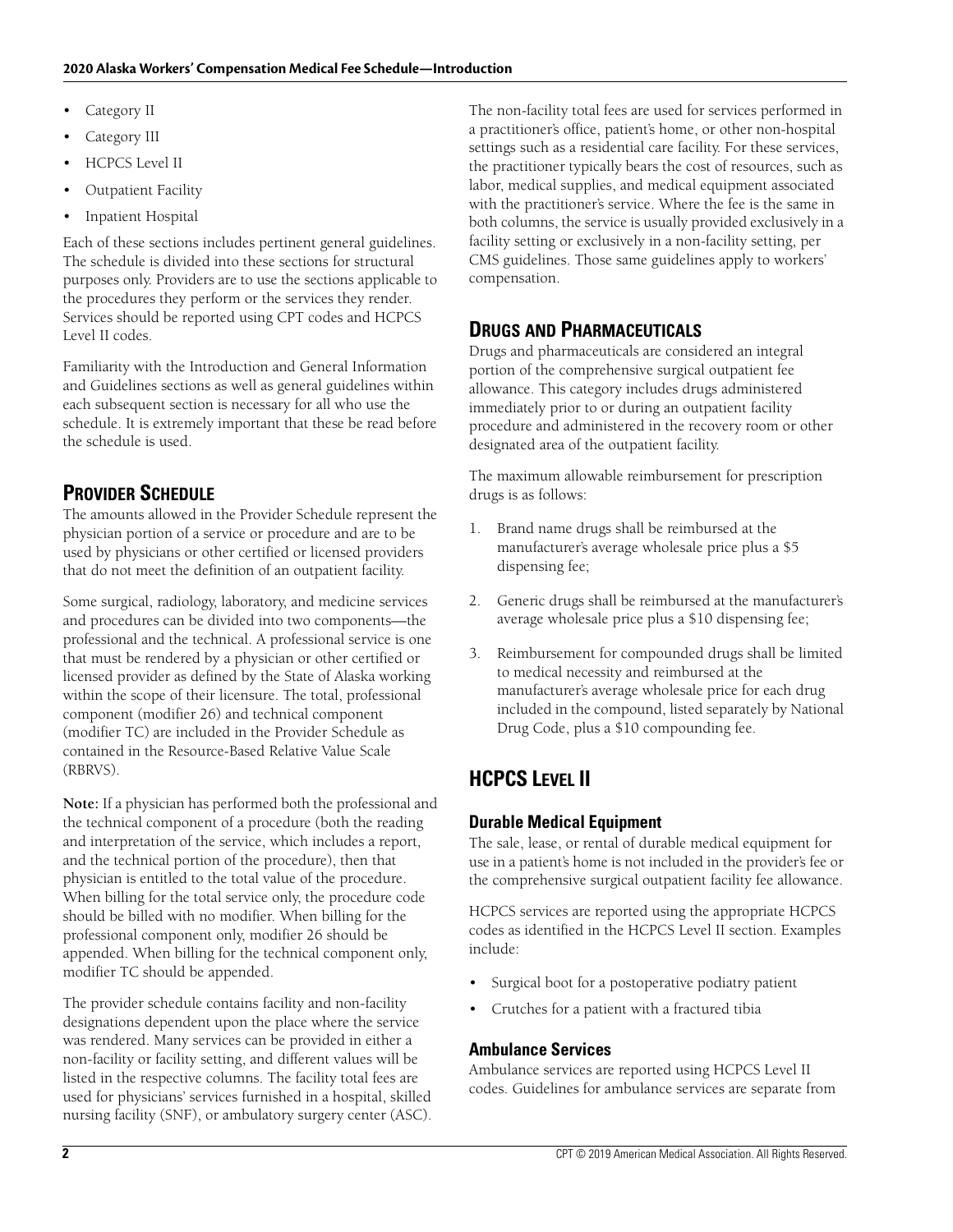- Category II
- Category III
- HCPCS Level II
- Outpatient Facility
- Inpatient Hospital

Each of these sections includes pertinent general guidelines. The schedule is divided into these sections for structural purposes only. Providers are to use the sections applicable to the procedures they perform or the services they render. Services should be reported using CPT codes and HCPCS Level II codes.

Familiarity with the Introduction and General Information and Guidelines sections as well as general guidelines within each subsequent section is necessary for all who use the schedule. It is extremely important that these be read before the schedule is used.

# **PROVIDER SCHEDULE**

The amounts allowed in the Provider Schedule represent the physician portion of a service or procedure and are to be used by physicians or other certified or licensed providers that do not meet the definition of an outpatient facility.

Some surgical, radiology, laboratory, and medicine services and procedures can be divided into two components—the professional and the technical. A professional service is one that must be rendered by a physician or other certified or licensed provider as defined by the State of Alaska working within the scope of their licensure. The total, professional component (modifier 26) and technical component (modifier TC) are included in the Provider Schedule as contained in the Resource-Based Relative Value Scale (RBRVS).

**Note:** If a physician has performed both the professional and the technical component of a procedure (both the reading and interpretation of the service, which includes a report, and the technical portion of the procedure), then that physician is entitled to the total value of the procedure. When billing for the total service only, the procedure code should be billed with no modifier. When billing for the professional component only, modifier 26 should be appended. When billing for the technical component only, modifier TC should be appended.

The provider schedule contains facility and non-facility designations dependent upon the place where the service was rendered. Many services can be provided in either a non-facility or facility setting, and different values will be listed in the respective columns. The facility total fees are used for physicians' services furnished in a hospital, skilled nursing facility (SNF), or ambulatory surgery center (ASC).

The non-facility total fees are used for services performed in a practitioner's office, patient's home, or other non-hospital settings such as a residential care facility. For these services, the practitioner typically bears the cost of resources, such as labor, medical supplies, and medical equipment associated with the practitioner's service. Where the fee is the same in both columns, the service is usually provided exclusively in a facility setting or exclusively in a non-facility setting, per CMS guidelines. Those same guidelines apply to workers' compensation.

# **DRUGS AND PHARMACEUTICALS**

Drugs and pharmaceuticals are considered an integral portion of the comprehensive surgical outpatient fee allowance. This category includes drugs administered immediately prior to or during an outpatient facility procedure and administered in the recovery room or other designated area of the outpatient facility.

The maximum allowable reimbursement for prescription drugs is as follows:

- 1. Brand name drugs shall be reimbursed at the manufacturer's average wholesale price plus a \$5 dispensing fee;
- 2. Generic drugs shall be reimbursed at the manufacturer's average wholesale price plus a \$10 dispensing fee;
- 3. Reimbursement for compounded drugs shall be limited to medical necessity and reimbursed at the manufacturer's average wholesale price for each drug included in the compound, listed separately by National Drug Code, plus a \$10 compounding fee.

# **HCPCS LEVEL II**

## **Durable Medical Equipment**

The sale, lease, or rental of durable medical equipment for use in a patient's home is not included in the provider's fee or the comprehensive surgical outpatient facility fee allowance.

HCPCS services are reported using the appropriate HCPCS codes as identified in the HCPCS Level II section. Examples include:

- Surgical boot for a postoperative podiatry patient
- Crutches for a patient with a fractured tibia

## **Ambulance Services**

Ambulance services are reported using HCPCS Level II codes. Guidelines for ambulance services are separate from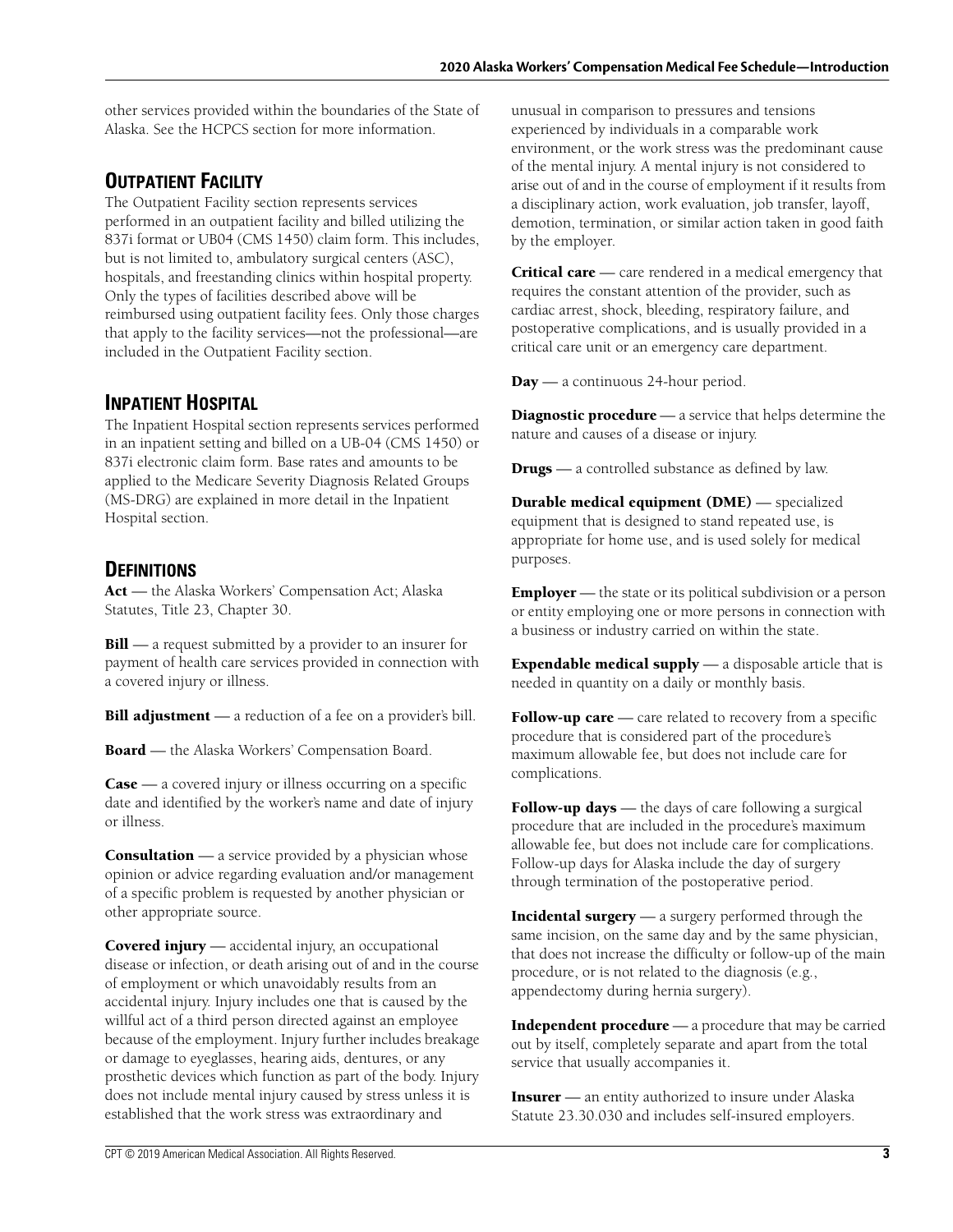other services provided within the boundaries of the State of Alaska. See the HCPCS section for more information.

# **OUTPATIENT FACILITY**

The Outpatient Facility section represents services performed in an outpatient facility and billed utilizing the 837i format or UB04 (CMS 1450) claim form. This includes, but is not limited to, ambulatory surgical centers (ASC), hospitals, and freestanding clinics within hospital property. Only the types of facilities described above will be reimbursed using outpatient facility fees. Only those charges that apply to the facility services—not the professional—are included in the Outpatient Facility section.

# **INPATIENT HOSPITAL**

The Inpatient Hospital section represents services performed in an inpatient setting and billed on a UB-04 (CMS 1450) or 837i electronic claim form. Base rates and amounts to be applied to the Medicare Severity Diagnosis Related Groups (MS-DRG) are explained in more detail in the Inpatient Hospital section.

# **DEFINITIONS**

**Act** — the Alaska Workers' Compensation Act; Alaska Statutes, Title 23, Chapter 30.

**Bill** — a request submitted by a provider to an insurer for payment of health care services provided in connection with a covered injury or illness.

**Bill adjustment** — a reduction of a fee on a provider's bill.

**Board** — the Alaska Workers' Compensation Board.

**Case** — a covered injury or illness occurring on a specific date and identified by the worker's name and date of injury or illness.

**Consultation** — a service provided by a physician whose opinion or advice regarding evaluation and/or management of a specific problem is requested by another physician or other appropriate source.

**Covered injury** — accidental injury, an occupational disease or infection, or death arising out of and in the course of employment or which unavoidably results from an accidental injury. Injury includes one that is caused by the willful act of a third person directed against an employee because of the employment. Injury further includes breakage or damage to eyeglasses, hearing aids, dentures, or any prosthetic devices which function as part of the body. Injury does not include mental injury caused by stress unless it is established that the work stress was extraordinary and

unusual in comparison to pressures and tensions experienced by individuals in a comparable work environment, or the work stress was the predominant cause of the mental injury. A mental injury is not considered to arise out of and in the course of employment if it results from a disciplinary action, work evaluation, job transfer, layoff, demotion, termination, or similar action taken in good faith by the employer.

**Critical care** — care rendered in a medical emergency that requires the constant attention of the provider, such as cardiac arrest, shock, bleeding, respiratory failure, and postoperative complications, and is usually provided in a critical care unit or an emergency care department.

**Day** — a continuous 24-hour period.

**Diagnostic procedure** — a service that helps determine the nature and causes of a disease or injury.

**Drugs** — a controlled substance as defined by law.

**Durable medical equipment (DME)** — specialized equipment that is designed to stand repeated use, is appropriate for home use, and is used solely for medical purposes.

**Employer** — the state or its political subdivision or a person or entity employing one or more persons in connection with a business or industry carried on within the state.

**Expendable medical supply** — a disposable article that is needed in quantity on a daily or monthly basis.

Follow-up care — care related to recovery from a specific procedure that is considered part of the procedure's maximum allowable fee, but does not include care for complications.

**Follow-up days** — the days of care following a surgical procedure that are included in the procedure's maximum allowable fee, but does not include care for complications. Follow-up days for Alaska include the day of surgery through termination of the postoperative period.

**Incidental surgery** — a surgery performed through the same incision, on the same day and by the same physician, that does not increase the difficulty or follow-up of the main procedure, or is not related to the diagnosis (e.g., appendectomy during hernia surgery).

**Independent procedure** — a procedure that may be carried out by itself, completely separate and apart from the total service that usually accompanies it.

**Insurer** — an entity authorized to insure under Alaska Statute 23.30.030 and includes self-insured employers.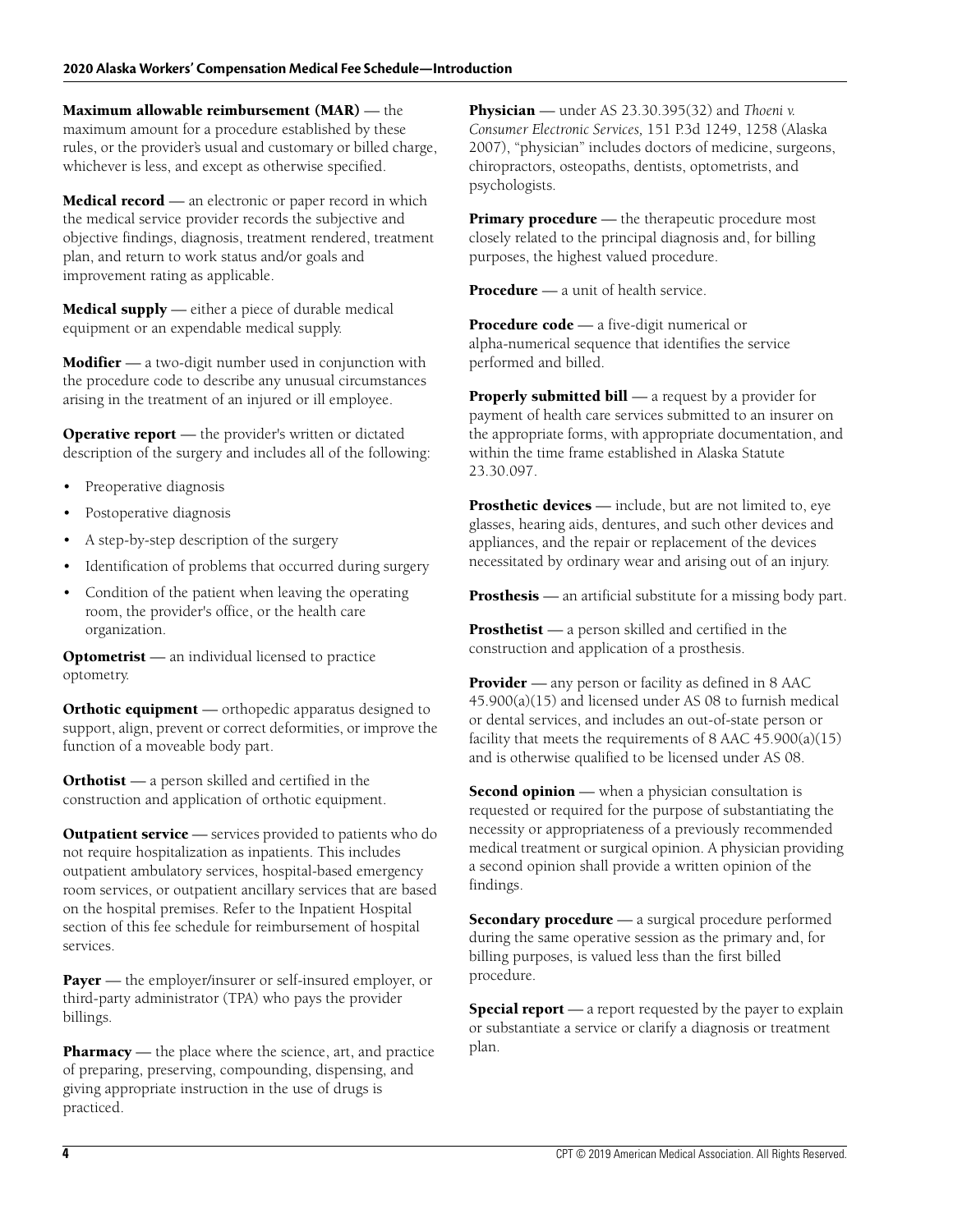**Maximum allowable reimbursement (MAR)** — the maximum amount for a procedure established by these rules, or the provider's usual and customary or billed charge, whichever is less, and except as otherwise specified.

**Medical record** — an electronic or paper record in which the medical service provider records the subjective and objective findings, diagnosis, treatment rendered, treatment plan, and return to work status and/or goals and improvement rating as applicable.

**Medical supply** — either a piece of durable medical equipment or an expendable medical supply.

**Modifier** — a two-digit number used in conjunction with the procedure code to describe any unusual circumstances arising in the treatment of an injured or ill employee.

**Operative report** — the provider's written or dictated description of the surgery and includes all of the following:

- Preoperative diagnosis
- Postoperative diagnosis
- A step-by-step description of the surgery
- Identification of problems that occurred during surgery
- Condition of the patient when leaving the operating room, the provider's office, or the health care organization.

**Optometrist** — an individual licensed to practice optometry.

**Orthotic equipment** — orthopedic apparatus designed to support, align, prevent or correct deformities, or improve the function of a moveable body part.

**Orthotist** — a person skilled and certified in the construction and application of orthotic equipment.

**Outpatient service** — services provided to patients who do not require hospitalization as inpatients. This includes outpatient ambulatory services, hospital-based emergency room services, or outpatient ancillary services that are based on the hospital premises. Refer to the Inpatient Hospital section of this fee schedule for reimbursement of hospital services.

**Payer** — the employer/insurer or self-insured employer, or third-party administrator (TPA) who pays the provider billings.

**Pharmacy** — the place where the science, art, and practice of preparing, preserving, compounding, dispensing, and giving appropriate instruction in the use of drugs is practiced.

**Physician** — under AS 23.30.395(32) and *Thoeni v. Consumer Electronic Services,* 151 P.3d 1249, 1258 (Alaska 2007), "physician" includes doctors of medicine, surgeons, chiropractors, osteopaths, dentists, optometrists, and psychologists.

**Primary procedure** — the therapeutic procedure most closely related to the principal diagnosis and, for billing purposes, the highest valued procedure.

**Procedure** — a unit of health service.

**Procedure code** — a five-digit numerical or alpha-numerical sequence that identifies the service performed and billed.

**Properly submitted bill** — a request by a provider for payment of health care services submitted to an insurer on the appropriate forms, with appropriate documentation, and within the time frame established in Alaska Statute 23.30.097.

**Prosthetic devices** — include, but are not limited to, eye glasses, hearing aids, dentures, and such other devices and appliances, and the repair or replacement of the devices necessitated by ordinary wear and arising out of an injury.

**Prosthesis** — an artificial substitute for a missing body part.

**Prosthetist** — a person skilled and certified in the construction and application of a prosthesis.

**Provider** — any person or facility as defined in 8 AAC 45.900(a)(15) and licensed under AS 08 to furnish medical or dental services, and includes an out-of-state person or facility that meets the requirements of 8 AAC  $\overline{45.900(a)(15)}$ and is otherwise qualified to be licensed under AS 08.

**Second opinion** — when a physician consultation is requested or required for the purpose of substantiating the necessity or appropriateness of a previously recommended medical treatment or surgical opinion. A physician providing a second opinion shall provide a written opinion of the findings.

**Secondary procedure** — a surgical procedure performed during the same operative session as the primary and, for billing purposes, is valued less than the first billed procedure.

**Special report** — a report requested by the payer to explain or substantiate a service or clarify a diagnosis or treatment plan.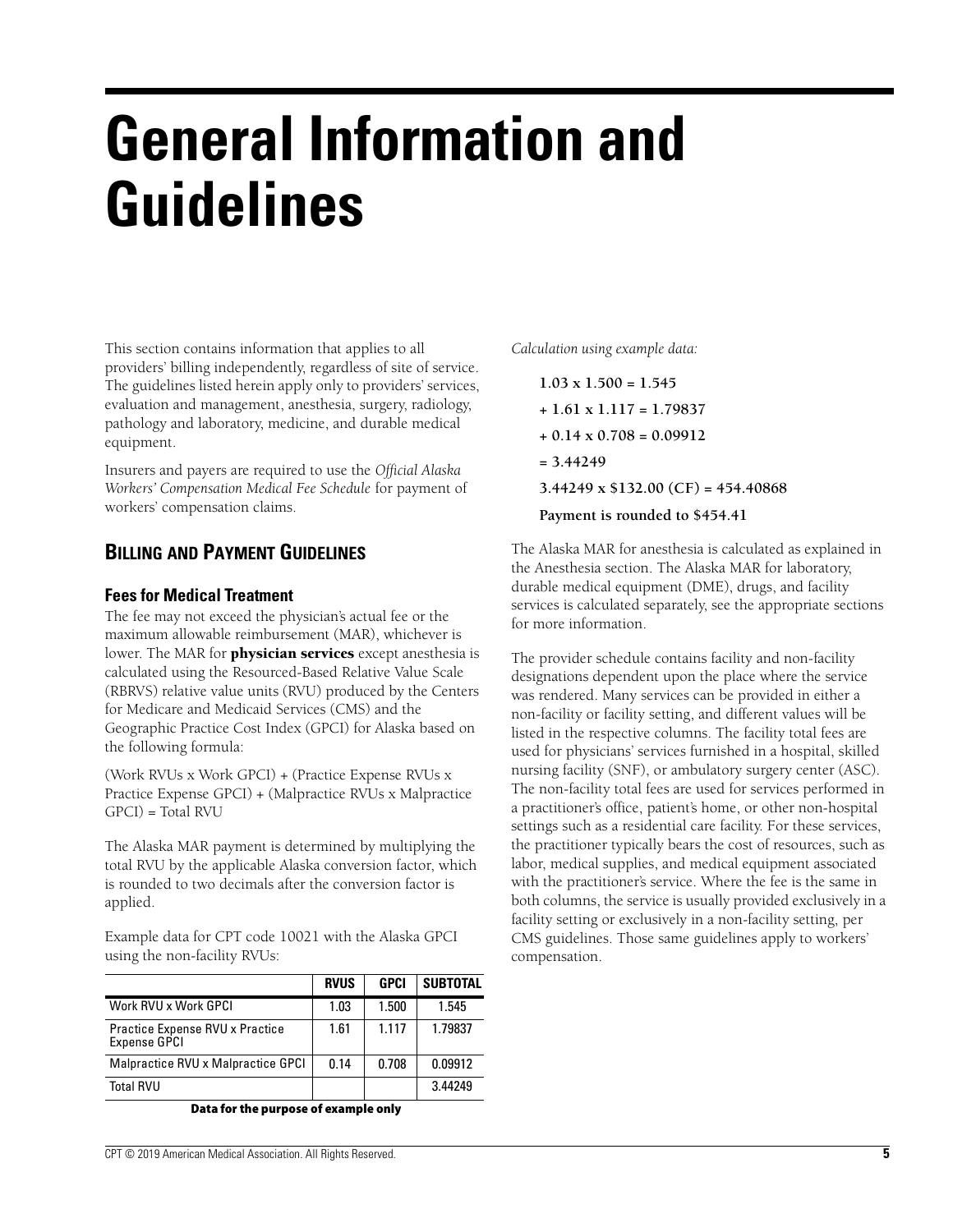# **General Information and Guidelines**

This section contains information that applies to all providers' billing independently, regardless of site of service. The guidelines listed herein apply only to providers' services, evaluation and management, anesthesia, surgery, radiology, pathology and laboratory, medicine, and durable medical equipment.

Insurers and payers are required to use the *Official Alaska Workers' Compensation Medical Fee Schedule* for payment of workers' compensation claims.

## **BILLING AND PAYMENT GUIDELINES**

#### **Fees for Medical Treatment**

The fee may not exceed the physician's actual fee or the maximum allowable reimbursement (MAR), whichever is lower. The MAR for **physician services** except anesthesia is calculated using the Resourced-Based Relative Value Scale (RBRVS) relative value units (RVU) produced by the Centers for Medicare and Medicaid Services (CMS) and the Geographic Practice Cost Index (GPCI) for Alaska based on the following formula:

(Work RVUs x Work GPCI) + (Practice Expense RVUs x Practice Expense GPCI) + (Malpractice RVUs x Malpractice  $GPCI$ ) = Total RVU

The Alaska MAR payment is determined by multiplying the total RVU by the applicable Alaska conversion factor, which is rounded to two decimals after the conversion factor is applied.

Example data for CPT code 10021 with the Alaska GPCI using the non-facility RVUs:

|                                                 | <b>RVUS</b> | <b>GPCI</b> | <b>SUBTOTAL</b> |
|-------------------------------------------------|-------------|-------------|-----------------|
| Work RVU x Work GPCI                            | 1.03        | 1.500       | 1.545           |
| Practice Expense RVU x Practice<br>Expense GPCI | 1.61        | 1.117       | 1.79837         |
| Malpractice RVU x Malpractice GPCI              | 0.14        | 0.708       | 0.09912         |
| <b>Total RVU</b>                                |             |             | 3.44249         |

**Data for the purpose of example only**

*Calculation using example data:*

**1.03 x 1.500 = 1.545 + 1.61 x 1.117 = 1.79837 + 0.14 x 0.708 = 0.09912 = 3.44249 3.44249 x \$132.00 (CF) = 454.40868 Payment is rounded to \$454.41**

The Alaska MAR for anesthesia is calculated as explained in the Anesthesia section. The Alaska MAR for laboratory, durable medical equipment (DME), drugs, and facility services is calculated separately, see the appropriate sections for more information.

The provider schedule contains facility and non-facility designations dependent upon the place where the service was rendered. Many services can be provided in either a non-facility or facility setting, and different values will be listed in the respective columns. The facility total fees are used for physicians' services furnished in a hospital, skilled nursing facility (SNF), or ambulatory surgery center (ASC). The non-facility total fees are used for services performed in a practitioner's office, patient's home, or other non-hospital settings such as a residential care facility. For these services, the practitioner typically bears the cost of resources, such as labor, medical supplies, and medical equipment associated with the practitioner's service. Where the fee is the same in both columns, the service is usually provided exclusively in a facility setting or exclusively in a non-facility setting, per CMS guidelines. Those same guidelines apply to workers' compensation.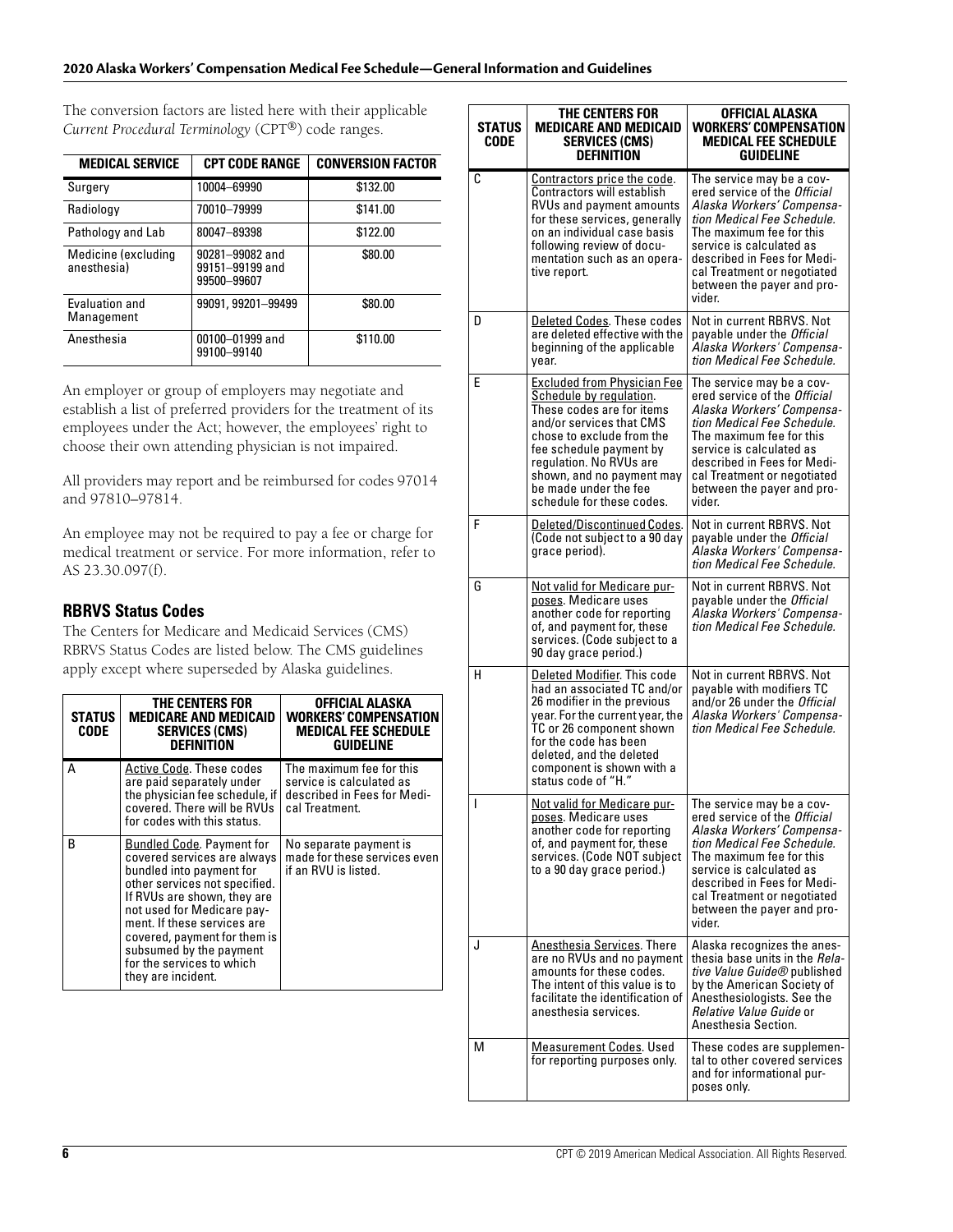#### **2020 Alaska Workers' Compensation Medical Fee Schedule—General Information and Guidelines**

The conversion factors are listed here with their applicable *Current Procedural Terminology* (CPT®) code ranges.

| <b>MEDICAL SERVICE</b>              | <b>CPT CODE RANGE</b>                             | <b>CONVERSION FACTOR</b> |
|-------------------------------------|---------------------------------------------------|--------------------------|
| Surgery                             | 10004-69990                                       | \$132.00                 |
| Radiology                           | 70010-79999                                       | \$141.00                 |
| Pathology and Lab                   | 80047-89398                                       | \$122.00                 |
| Medicine (excluding<br>anesthesia)  | 90281-99082 and<br>99151-99199 and<br>99500-99607 | \$80.00                  |
| <b>Fyaluation and</b><br>Management | 99091, 99201-99499                                | \$80.00                  |
| Anesthesia                          | 00100-01999 and<br>99100-99140                    | \$110.00                 |

An employer or group of employers may negotiate and establish a list of preferred providers for the treatment of its employees under the Act; however, the employees' right to choose their own attending physician is not impaired.

All providers may report and be reimbursed for codes 97014 and 97810–97814.

An employee may not be required to pay a fee or charge for medical treatment or service. For more information, refer to AS 23.30.097(f).

#### **RBRVS Status Codes**

The Centers for Medicare and Medicaid Services (CMS) RBRVS Status Codes are listed below. The CMS guidelines apply except where superseded by Alaska guidelines.

| <b>STATUS</b><br>CODE | THE CENTERS FOR<br><b>MEDICARE AND MEDICAID</b><br><b>SERVICES (CMS)</b><br><b>DEFINITION</b>                                                                                                                                                                                                                                          | OFFICIAL ALASKA<br>WORKERS' COMPENSATION<br><b>MEDICAL FEE SCHEDULE</b><br>GUIDELINE                  |
|-----------------------|----------------------------------------------------------------------------------------------------------------------------------------------------------------------------------------------------------------------------------------------------------------------------------------------------------------------------------------|-------------------------------------------------------------------------------------------------------|
| А                     | Active Code. These codes<br>are paid separately under<br>the physician fee schedule, if<br>covered. There will be RVUs<br>for codes with this status.                                                                                                                                                                                  | The maximum fee for this<br>service is calculated as<br>described in Fees for Medi-<br>cal Treatment. |
| B                     | <b>Bundled Code. Payment for</b><br>covered services are always<br>bundled into payment for<br>other services not specified.<br>If RVUs are shown, they are<br>not used for Medicare pay-<br>ment. If these services are<br>covered, payment for them is<br>subsumed by the payment<br>for the services to which<br>they are incident. | No separate payment is<br>made for these services even<br>if an RVU is listed.                        |

| STATUS<br>CODE | THE CENTERS FOR<br><b>MEDICARE AND MEDICAID</b><br><b>SERVICES (CMS)</b><br><b>DEFINITION</b>                                                                                                                                                                                         | OFFICIAL ALASKA<br><b>WORKERS' COMPENSATION</b><br><b>MEDICAL FEE SCHEDULE</b><br>GUIDELINE                                                                                                                                                                                               |
|----------------|---------------------------------------------------------------------------------------------------------------------------------------------------------------------------------------------------------------------------------------------------------------------------------------|-------------------------------------------------------------------------------------------------------------------------------------------------------------------------------------------------------------------------------------------------------------------------------------------|
| C              | <b>Contractors price the code.</b><br>Contractors will establish<br>RVUs and payment amounts<br>for these services, generally<br>on an individual case basis<br>following review of docu-<br>mentation such as an opera-<br>tive report.                                              | The service may be a cov-<br>ered service of the Official<br>Alaska Workers' Compensa-<br>tion Medical Fee Schedule.<br>The maximum fee for this<br>service is calculated as<br>described in Fees for Medi-<br>cal Treatment or negotiated<br>between the payer and pro-<br>vider.        |
| D              | Deleted Codes. These codes<br>are deleted effective with the<br>beginning of the applicable<br>year.                                                                                                                                                                                  | Not in current RBRVS. Not<br>payable under the <i>Official</i><br>Alaska Workers' Compensa-<br>tion Medical Fee Schedule.                                                                                                                                                                 |
| Е              | Excluded from Physician Fee<br>Schedule by regulation.<br>These codes are for items<br>and/or services that CMS<br>chose to exclude from the<br>fee schedule payment by<br>regulation. No RVUs are<br>shown, and no payment may<br>be made under the fee<br>schedule for these codes. | The service may be a cov-<br>ered service of the Official<br>Alaska Workers' Compensa-<br>tion Medical Fee Schedule.<br>The maximum fee for this<br>service is calculated as<br>described in Fees for Medi-<br>cal Treatment or negotiated<br>between the payer and pro-<br>vider.        |
| F              | <u>Deleted/Discontinued Codes.</u><br>(Code not subject to a 90 day<br>grace period).                                                                                                                                                                                                 | Not in current RBRVS. Not<br>payable under the Official<br>Alaska Workers' Compensa-<br>tion Medical Fee Schedule.                                                                                                                                                                        |
| G              | Not valid for Medicare pur-<br>poses. Medicare uses<br>another code for reporting<br>of, and payment for, these<br>services. (Code subject to a<br>90 day grace period.)                                                                                                              | Not in current RBRVS. Not<br>payable under the <i>Official</i><br>Alaska Workers' Compensa-<br>tion Medical Fee Schedule.                                                                                                                                                                 |
| н              | Deleted Modifier. This code<br>had an associated TC and/or<br>26 modifier in the previous<br>year. For the current year, the<br>TC or 26 component shown<br>for the code has been<br>deleted, and the deleted<br>component is shown with a<br>status code of "H."                     | Not in current RBRVS. Not<br>payable with modifiers TC<br>and/or 26 under the <i>Official</i><br>Alaska Workers' Compensa-<br>tion Medical Fee Schedule.                                                                                                                                  |
| ı              | Not valid for Medicare pur-<br>poses. Medicare uses<br>another code for reporting<br>of, and payment for, these<br>services. (Code NOT subject<br>to a 90 day grace period.)                                                                                                          | The service may be a cov-<br>ered service of the <i>Official</i><br>Alaska Workers' Compensa-<br>tion Medical Fee Schedule.<br>The maximum fee for this<br>service is calculated as<br>described in Fees for Medi-<br>cal Treatment or negotiated<br>between the payer and pro-<br>vider. |
| J              | <b>Anesthesia Services</b> . There<br>are no RVUs and no payment<br>amounts for these codes.<br>The intent of this value is to<br>facilitate the identification of<br>anesthesia services.                                                                                            | Alaska recognizes the anes-<br>thesia base units in the Rela-<br>tive Value Guide® published<br>by the American Society of<br>Anesthesiologists. See the<br>Relative Value Guide or<br>Anesthesia Section.                                                                                |
| м              | <b>Measurement Codes. Used</b><br>for reporting purposes only.                                                                                                                                                                                                                        | These codes are supplemen-<br>tal to other covered services<br>and for informational pur-<br>poses only.                                                                                                                                                                                  |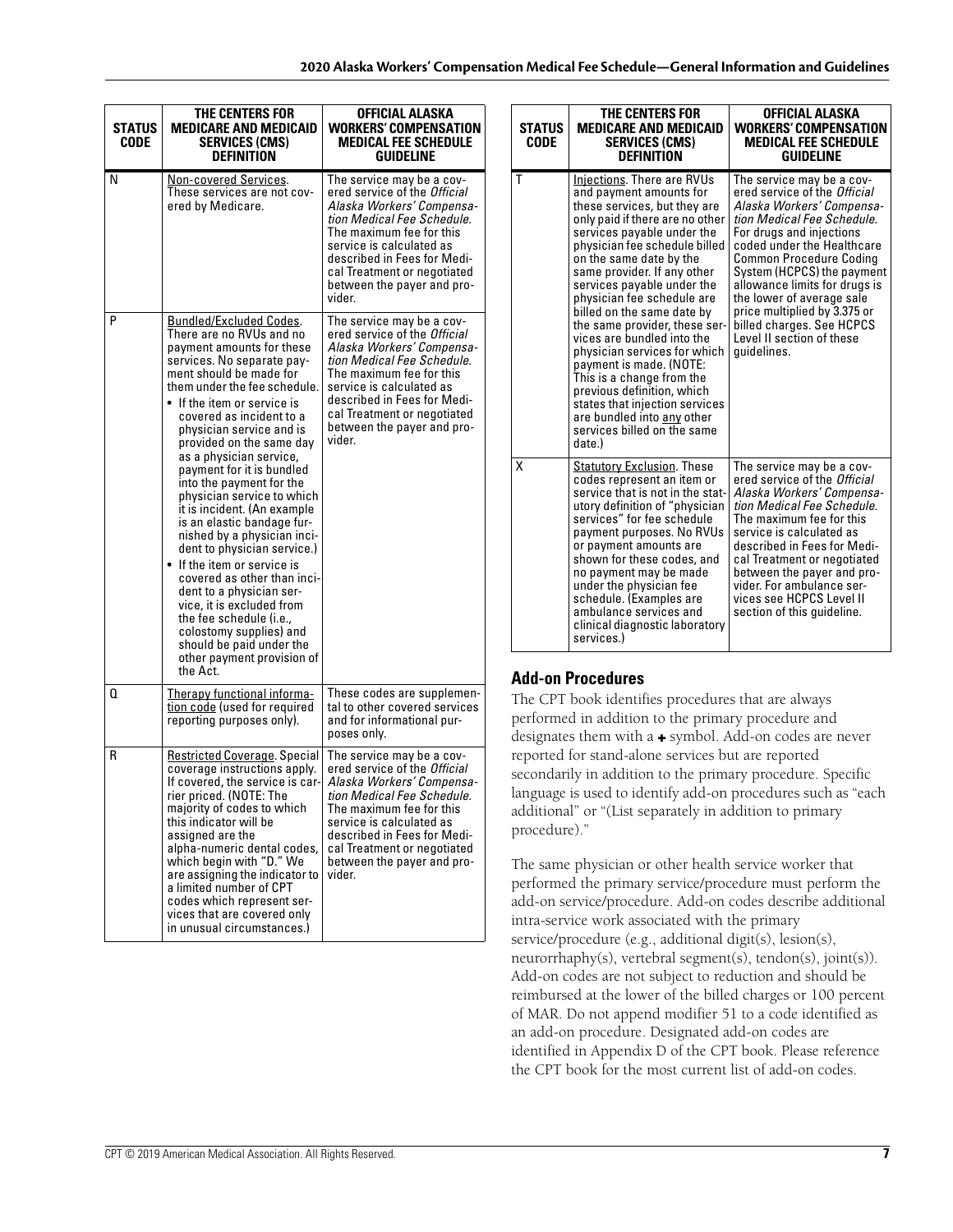| <b>STATUS</b><br>CODE | THE CENTERS FOR<br><b>MEDICARE AND MEDICAID</b><br><b>SERVICES (CMS)</b><br><b>DEFINITION</b>                                                                                                                                                                                                                                                                                                                                                                                                                                                                                                                                                                                                                                                                                                                       | OFFICIAL ALASKA<br><b>WORKERS' COMPENSATION</b><br><b>MEDICAL FEE SCHEDULE</b><br><b>GUIDELINE</b>                                                                                                                                                                                 |
|-----------------------|---------------------------------------------------------------------------------------------------------------------------------------------------------------------------------------------------------------------------------------------------------------------------------------------------------------------------------------------------------------------------------------------------------------------------------------------------------------------------------------------------------------------------------------------------------------------------------------------------------------------------------------------------------------------------------------------------------------------------------------------------------------------------------------------------------------------|------------------------------------------------------------------------------------------------------------------------------------------------------------------------------------------------------------------------------------------------------------------------------------|
| N                     | Non-covered Services.<br>These services are not cov-<br>ered by Medicare.                                                                                                                                                                                                                                                                                                                                                                                                                                                                                                                                                                                                                                                                                                                                           | The service may be a cov-<br>ered service of the Official<br>Alaska Workers' Compensa-<br>tion Medical Fee Schedule.<br>The maximum fee for this<br>service is calculated as<br>described in Fees for Medi-<br>cal Treatment or negotiated<br>between the payer and pro-<br>vider. |
| P                     | <b>Bundled/Excluded Codes.</b><br>There are no RVUs and no<br>payment amounts for these<br>services. No separate pay-<br>ment should be made for<br>them under the fee schedule.<br>$\bullet$ If the item or service is<br>covered as incident to a<br>physician service and is<br>provided on the same day<br>as a physician service,<br>payment for it is bundled<br>into the payment for the<br>physician service to which<br>it is incident. (An example<br>is an elastic bandage fur-<br>nished by a physician inci-<br>dent to physician service.)<br>$\bullet$ If the item or service is<br>covered as other than inci-<br>dent to a physician ser-<br>vice, it is excluded from<br>the fee schedule (i.e.,<br>colostomy supplies) and<br>should be paid under the<br>other payment provision of<br>the Act. | The service may be a cov-<br>ered service of the Official<br>Alaska Workers' Compensa-<br>tion Medical Fee Schedule.<br>The maximum fee for this<br>service is calculated as<br>described in Fees for Medi-<br>cal Treatment or negotiated<br>between the payer and pro-<br>vider. |
| Q                     | Therapy functional informa-<br>tion code (used for required<br>reporting purposes only).                                                                                                                                                                                                                                                                                                                                                                                                                                                                                                                                                                                                                                                                                                                            | These codes are supplemen-<br>tal to other covered services<br>and for informational pur-<br>poses only.                                                                                                                                                                           |
| R                     | <b>Restricted Coverage. Special</b><br>coverage instructions apply.<br>If covered, the service is car-<br>rier priced. (NOTE: The<br>majority of codes to which<br>this indicator will be<br>assigned are the<br>alpha-numeric dental codes,<br>which begin with "D." We<br>are assigning the indicator to<br>a limited number of CPT<br>codes which represent ser-<br>vices that are covered only<br>in unusual circumstances.)                                                                                                                                                                                                                                                                                                                                                                                    | The service may be a cov-<br>ered service of the Official<br>Alaska Workers' Compensa-<br>tion Medical Fee Schedule.<br>The maximum fee for this<br>service is calculated as<br>described in Fees for Medi-<br>cal Treatment or negotiated<br>between the payer and pro-<br>vider. |

| <b>STATUS</b><br><b>CODE</b> | THE CENTERS FOR<br><b>MEDICARE AND MEDICAID</b><br><b>SERVICES (CMS)</b><br><b>DEFINITION</b>                                                                                                                                                                                                                                                                                                                                                                                                                                                                                                                                             | OFFICIAL ALASKA<br><b>WORKERS' COMPENSATION</b><br><b>MEDICAL FEE SCHEDULE</b><br><b>GUIDELINE</b>                                                                                                                                                                                                                                                                                                                    |
|------------------------------|-------------------------------------------------------------------------------------------------------------------------------------------------------------------------------------------------------------------------------------------------------------------------------------------------------------------------------------------------------------------------------------------------------------------------------------------------------------------------------------------------------------------------------------------------------------------------------------------------------------------------------------------|-----------------------------------------------------------------------------------------------------------------------------------------------------------------------------------------------------------------------------------------------------------------------------------------------------------------------------------------------------------------------------------------------------------------------|
| т                            | Injections. There are RVUs<br>and payment amounts for<br>these services, but they are<br>only paid if there are no other<br>services payable under the<br>physician fee schedule billed<br>on the same date by the<br>same provider. If any other<br>services payable under the<br>physician fee schedule are<br>billed on the same date by<br>the same provider, these ser-<br>vices are bundled into the<br>physician services for which<br>payment is made. (NOTE:<br>This is a change from the<br>previous definition, which<br>states that injection services<br>are bundled into any other<br>services billed on the same<br>date.) | The service may be a cov-<br>ered service of the Official<br>Alaska Workers' Compensa-<br>tion Medical Fee Schedule.<br>For drugs and injections<br>coded under the Healthcare<br><b>Common Procedure Coding</b><br>System (HCPCS) the payment<br>allowance limits for drugs is<br>the lower of average sale<br>price multiplied by 3.375 or<br>billed charges. See HCPCS<br>Level II section of these<br>quidelines. |
| X                            | <b>Statutory Exclusion. These</b><br>codes represent an item or<br>service that is not in the stat-<br>utory definition of "physician<br>services" for fee schedule<br>payment purposes. No RVUs<br>or payment amounts are<br>shown for these codes, and<br>no payment may be made<br>under the physician fee<br>schedule. (Examples are<br>ambulance services and<br>clinical diagnostic laboratory<br>services.)                                                                                                                                                                                                                        | The service may be a cov-<br>ered service of the Official<br>Alaska Workers' Compensa-<br>tion Medical Fee Schedule.<br>The maximum fee for this<br>service is calculated as<br>described in Fees for Medi-<br>cal Treatment or negotiated<br>between the payer and pro-<br>vider. For ambulance ser-<br>vices see HCPCS Level II<br>section of this guideline.                                                       |

### **Add-on Procedures**

The CPT book identifies procedures that are always performed in addition to the primary procedure and designates them with a + symbol. Add-on codes are never reported for stand-alone services but are reported secondarily in addition to the primary procedure. Specific language is used to identify add-on procedures such as "each additional" or "(List separately in addition to primary procedure)."

The same physician or other health service worker that performed the primary service/procedure must perform the add-on service/procedure. Add-on codes describe additional intra-service work associated with the primary service/procedure (e.g., additional digit(s), lesion(s), neurorrhaphy(s), vertebral segment(s), tendon(s), joint(s)). Add-on codes are not subject to reduction and should be reimbursed at the lower of the billed charges or 100 percent of MAR. Do not append modifier 51 to a code identified as an add-on procedure. Designated add-on codes are identified in Appendix D of the CPT book. Please reference the CPT book for the most current list of add-on codes.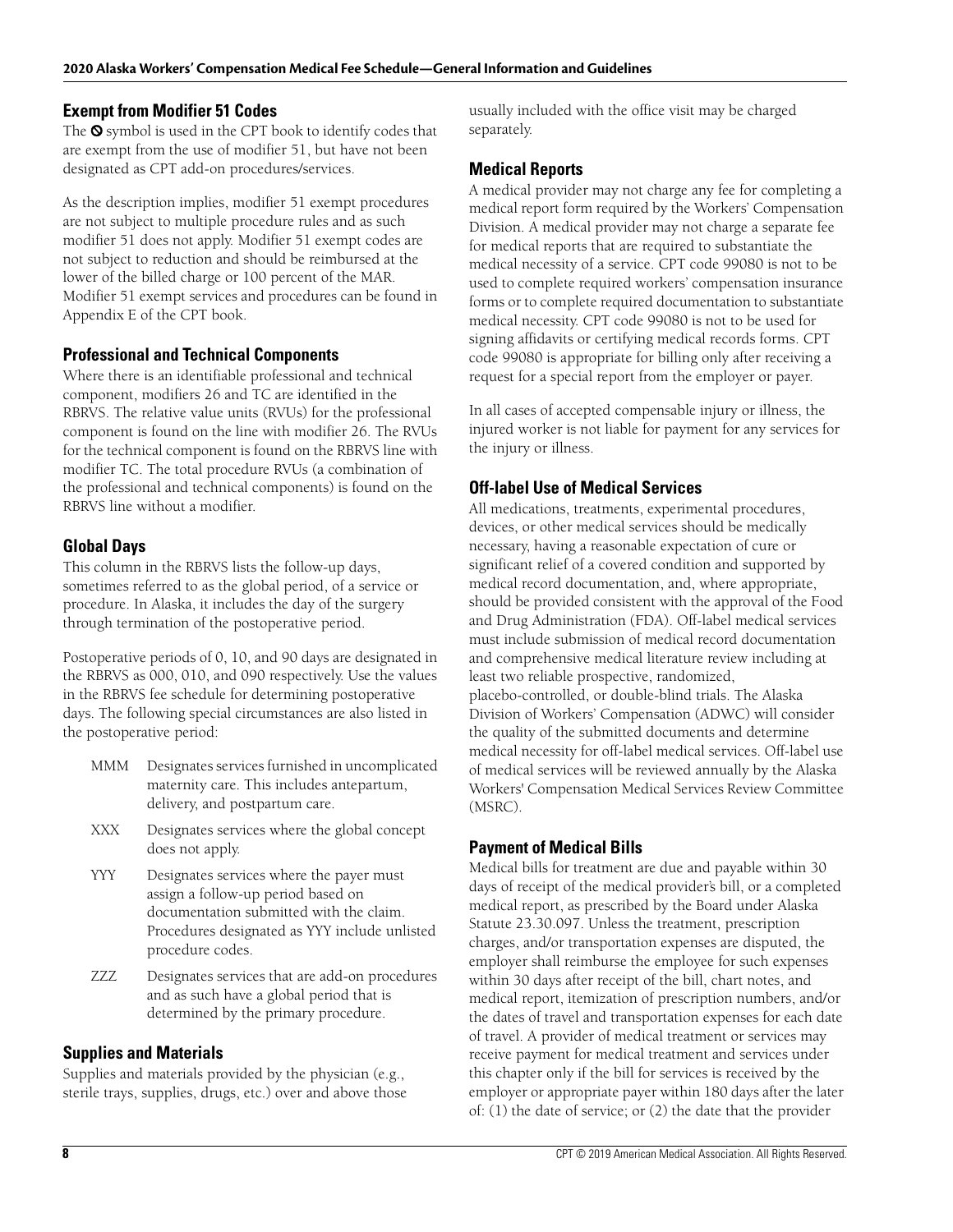#### **Exempt from Modifier 51 Codes**

The  $\odot$  symbol is used in the CPT book to identify codes that are exempt from the use of modifier 51, but have not been designated as CPT add-on procedures/services.

As the description implies, modifier 51 exempt procedures are not subject to multiple procedure rules and as such modifier 51 does not apply. Modifier 51 exempt codes are not subject to reduction and should be reimbursed at the lower of the billed charge or 100 percent of the MAR. Modifier 51 exempt services and procedures can be found in Appendix E of the CPT book.

#### **Professional and Technical Components**

Where there is an identifiable professional and technical component, modifiers 26 and TC are identified in the RBRVS. The relative value units (RVUs) for the professional component is found on the line with modifier 26. The RVUs for the technical component is found on the RBRVS line with modifier TC. The total procedure RVUs (a combination of the professional and technical components) is found on the RBRVS line without a modifier.

#### **Global Days**

This column in the RBRVS lists the follow-up days, sometimes referred to as the global period, of a service or procedure. In Alaska, it includes the day of the surgery through termination of the postoperative period.

Postoperative periods of 0, 10, and 90 days are designated in the RBRVS as 000, 010, and 090 respectively. Use the values in the RBRVS fee schedule for determining postoperative days. The following special circumstances are also listed in the postoperative period:

- MMM Designates services furnished in uncomplicated maternity care. This includes antepartum, delivery, and postpartum care.
- XXX Designates services where the global concept does not apply.
- YYY Designates services where the payer must assign a follow-up period based on documentation submitted with the claim. Procedures designated as YYY include unlisted procedure codes.
- ZZZ Designates services that are add-on procedures and as such have a global period that is determined by the primary procedure.

### **Supplies and Materials**

Supplies and materials provided by the physician (e.g., sterile trays, supplies, drugs, etc.) over and above those usually included with the office visit may be charged separately.

#### **Medical Reports**

A medical provider may not charge any fee for completing a medical report form required by the Workers' Compensation Division. A medical provider may not charge a separate fee for medical reports that are required to substantiate the medical necessity of a service. CPT code 99080 is not to be used to complete required workers' compensation insurance forms or to complete required documentation to substantiate medical necessity. CPT code 99080 is not to be used for signing affidavits or certifying medical records forms. CPT code 99080 is appropriate for billing only after receiving a request for a special report from the employer or payer.

In all cases of accepted compensable injury or illness, the injured worker is not liable for payment for any services for the injury or illness.

### **Off-label Use of Medical Services**

All medications, treatments, experimental procedures, devices, or other medical services should be medically necessary, having a reasonable expectation of cure or significant relief of a covered condition and supported by medical record documentation, and, where appropriate, should be provided consistent with the approval of the Food and Drug Administration (FDA). Off-label medical services must include submission of medical record documentation and comprehensive medical literature review including at least two reliable prospective, randomized, placebo-controlled, or double-blind trials. The Alaska Division of Workers' Compensation (ADWC) will consider the quality of the submitted documents and determine medical necessity for off-label medical services. Off-label use of medical services will be reviewed annually by the Alaska Workers' Compensation Medical Services Review Committee (MSRC).

### **Payment of Medical Bills**

Medical bills for treatment are due and payable within 30 days of receipt of the medical provider's bill, or a completed medical report, as prescribed by the Board under Alaska Statute 23.30.097. Unless the treatment, prescription charges, and/or transportation expenses are disputed, the employer shall reimburse the employee for such expenses within 30 days after receipt of the bill, chart notes, and medical report, itemization of prescription numbers, and/or the dates of travel and transportation expenses for each date of travel. A provider of medical treatment or services may receive payment for medical treatment and services under this chapter only if the bill for services is received by the employer or appropriate payer within 180 days after the later of: (1) the date of service; or (2) the date that the provider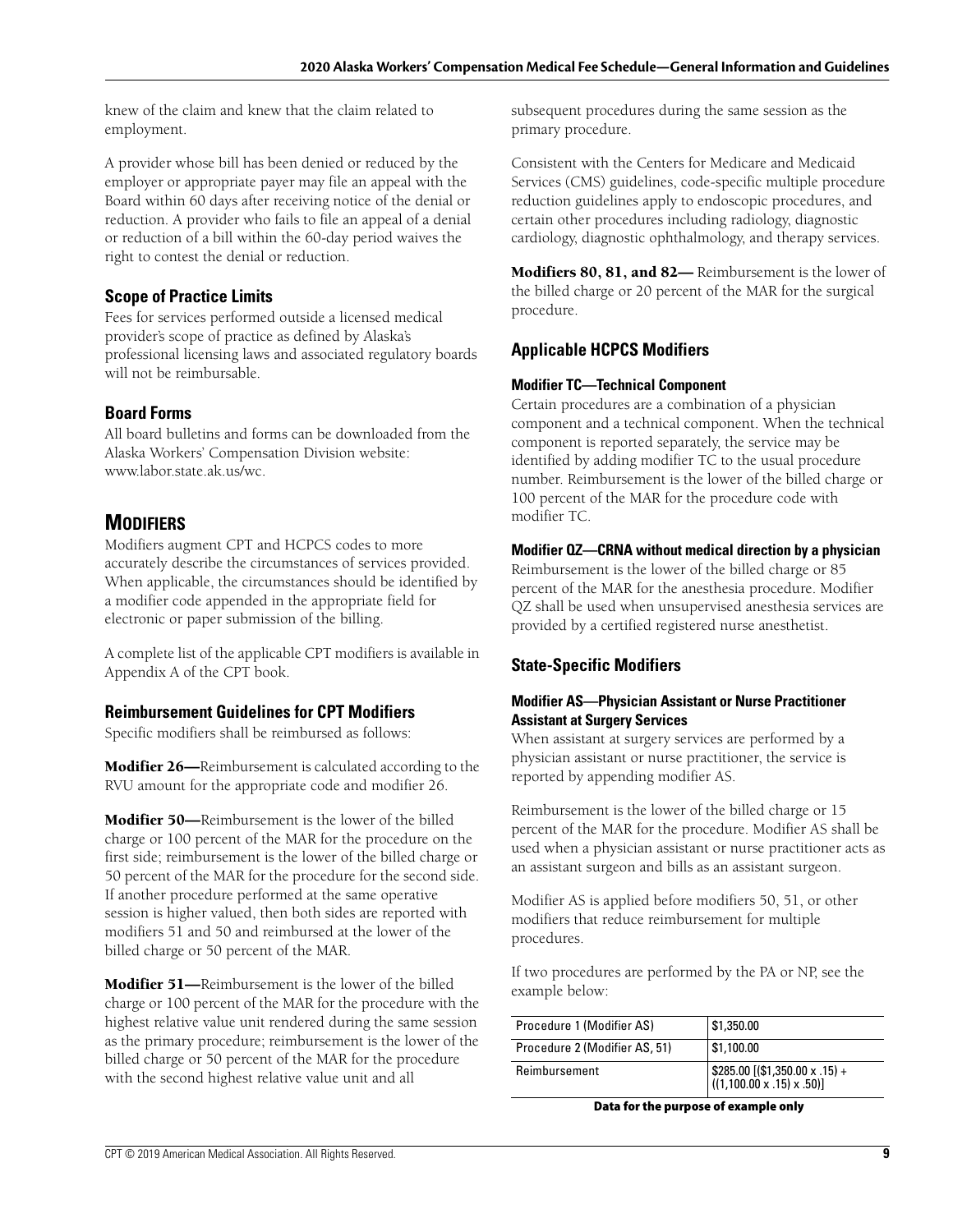knew of the claim and knew that the claim related to employment.

A provider whose bill has been denied or reduced by the employer or appropriate payer may file an appeal with the Board within 60 days after receiving notice of the denial or reduction. A provider who fails to file an appeal of a denial or reduction of a bill within the 60-day period waives the right to contest the denial or reduction.

## **Scope of Practice Limits**

Fees for services performed outside a licensed medical provider's scope of practice as defined by Alaska's professional licensing laws and associated regulatory boards will not be reimbursable.

### **Board Forms**

All board bulletins and forms can be downloaded from the Alaska Workers' Compensation Division website: www.labor.state.ak.us/wc.

## **MODIFIERS**

Modifiers augment CPT and HCPCS codes to more accurately describe the circumstances of services provided. When applicable, the circumstances should be identified by a modifier code appended in the appropriate field for electronic or paper submission of the billing.

A complete list of the applicable CPT modifiers is available in Appendix A of the CPT book.

### **Reimbursement Guidelines for CPT Modifiers**

Specific modifiers shall be reimbursed as follows:

**Modifier 26—**Reimbursement is calculated according to the RVU amount for the appropriate code and modifier 26.

**Modifier 50—**Reimbursement is the lower of the billed charge or 100 percent of the MAR for the procedure on the first side; reimbursement is the lower of the billed charge or 50 percent of the MAR for the procedure for the second side. If another procedure performed at the same operative session is higher valued, then both sides are reported with modifiers 51 and 50 and reimbursed at the lower of the billed charge or 50 percent of the MAR.

**Modifier 51—**Reimbursement is the lower of the billed charge or 100 percent of the MAR for the procedure with the highest relative value unit rendered during the same session as the primary procedure; reimbursement is the lower of the billed charge or 50 percent of the MAR for the procedure with the second highest relative value unit and all

subsequent procedures during the same session as the primary procedure.

Consistent with the Centers for Medicare and Medicaid Services (CMS) guidelines, code-specific multiple procedure reduction guidelines apply to endoscopic procedures, and certain other procedures including radiology, diagnostic cardiology, diagnostic ophthalmology, and therapy services.

**Modifiers 80, 81, and 82—** Reimbursement is the lower of the billed charge or 20 percent of the MAR for the surgical procedure.

## **Applicable HCPCS Modifiers**

#### **Modifier TC—Technical Component**

Certain procedures are a combination of a physician component and a technical component. When the technical component is reported separately, the service may be identified by adding modifier TC to the usual procedure number. Reimbursement is the lower of the billed charge or 100 percent of the MAR for the procedure code with modifier TC.

#### **Modifier QZ—CRNA without medical direction by a physician**

Reimbursement is the lower of the billed charge or 85 percent of the MAR for the anesthesia procedure. Modifier QZ shall be used when unsupervised anesthesia services are provided by a certified registered nurse anesthetist.

### **State-Specific Modifiers**

#### **Modifier AS—Physician Assistant or Nurse Practitioner Assistant at Surgery Services**

When assistant at surgery services are performed by a physician assistant or nurse practitioner, the service is reported by appending modifier AS.

Reimbursement is the lower of the billed charge or 15 percent of the MAR for the procedure. Modifier AS shall be used when a physician assistant or nurse practitioner acts as an assistant surgeon and bills as an assistant surgeon.

Modifier AS is applied before modifiers 50, 51, or other modifiers that reduce reimbursement for multiple procedures.

If two procedures are performed by the PA or NP, see the example below:

| Procedure 1 (Modifier AS)     | \$1,350.00                                                                                                                                  |
|-------------------------------|---------------------------------------------------------------------------------------------------------------------------------------------|
| Procedure 2 (Modifier AS, 51) | \$1,100.00                                                                                                                                  |
| Reimbursement                 | $\left[ \begin{array}{l} $285.00 \left[ ( $1,350.00 \times .15 \right) + \ ((1,100.00 \times .15) \times .50 ) \right] \end{array} \right]$ |

**Data for the purpose of example only**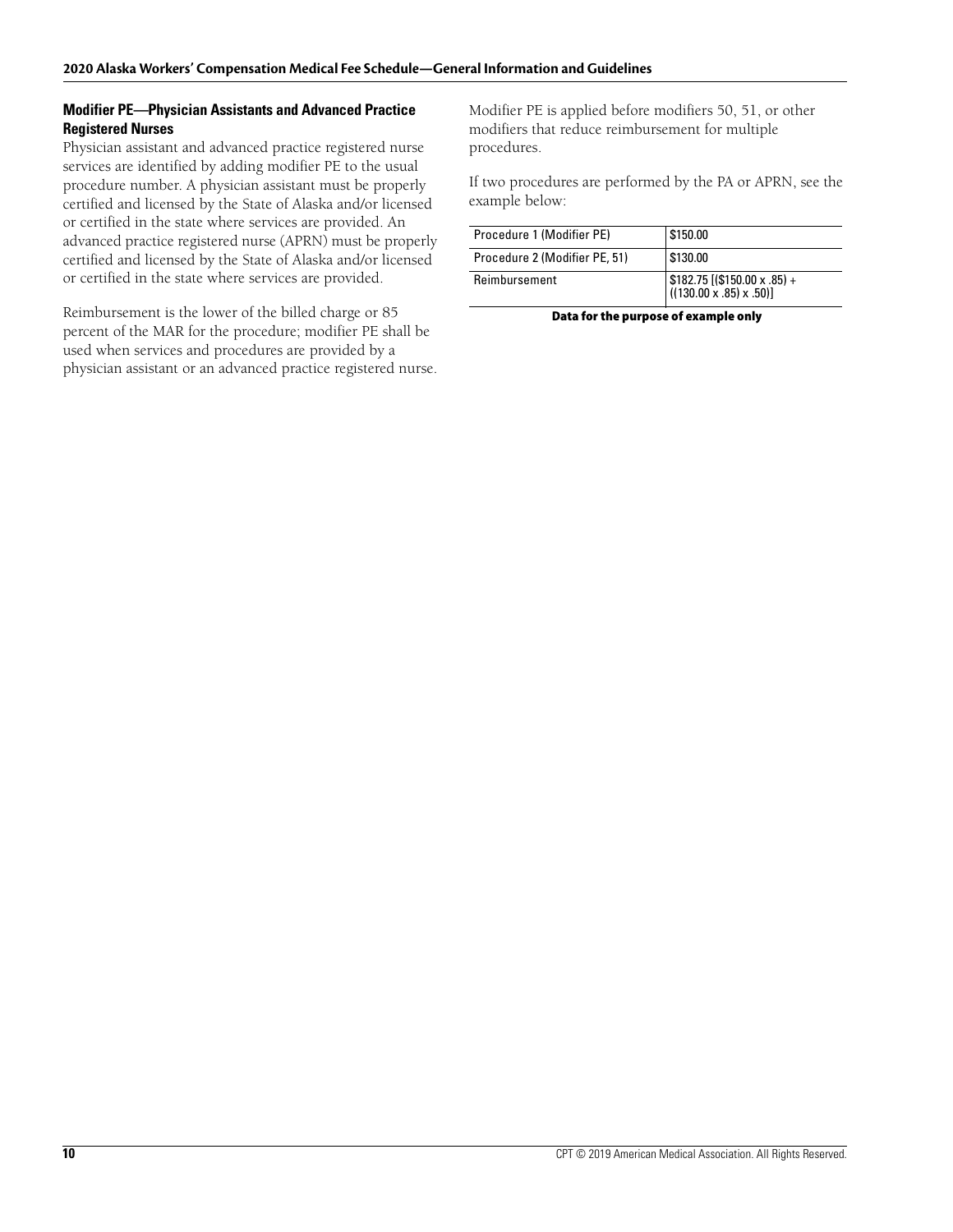#### **Modifier PE—Physician Assistants and Advanced Practice Registered Nurses**

Physician assistant and advanced practice registered nurse services are identified by adding modifier PE to the usual procedure number. A physician assistant must be properly certified and licensed by the State of Alaska and/or licensed or certified in the state where services are provided. An advanced practice registered nurse (APRN) must be properly certified and licensed by the State of Alaska and/or licensed or certified in the state where services are provided.

Reimbursement is the lower of the billed charge or 85 percent of the MAR for the procedure; modifier PE shall be used when services and procedures are provided by a physician assistant or an advanced practice registered nurse. Modifier PE is applied before modifiers 50, 51, or other modifiers that reduce reimbursement for multiple procedures.

If two procedures are performed by the PA or APRN, see the example below:

| Procedure 1 (Modifier PE)     | \$150.00                                                                                                                              |
|-------------------------------|---------------------------------------------------------------------------------------------------------------------------------------|
| Procedure 2 (Modifier PE, 51) | \$130.00                                                                                                                              |
| Reimbursement                 | $\left[\begin{array}{c} $182.75 \left[ ($150.00 \times .85) + \right. \ ( (130.00 \times .85) \times .50) \right] \end{array}\right]$ |

**Data for the purpose of example only**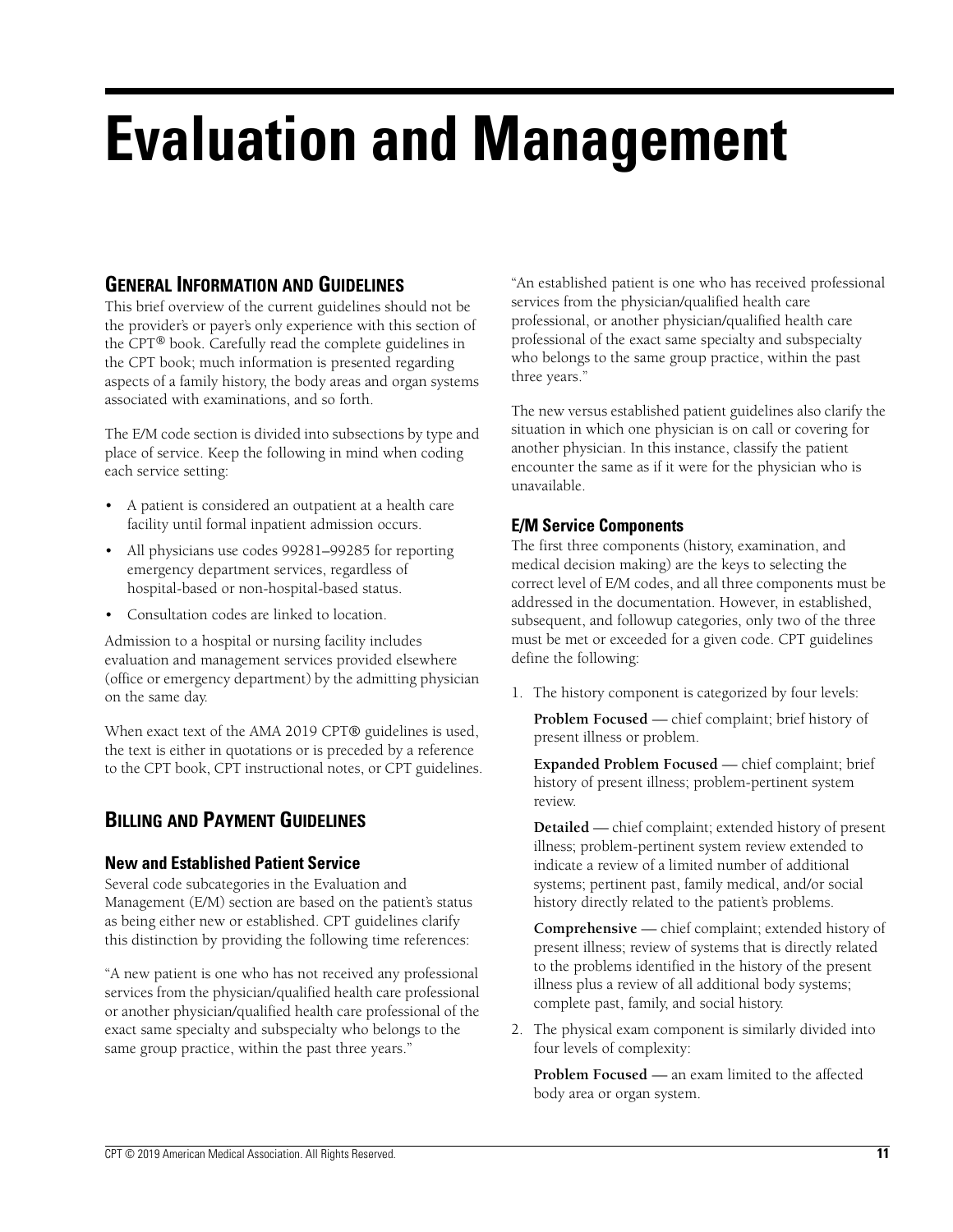# **Evaluation and Management**

# **GENERAL INFORMATION AND GUIDELINES**

This brief overview of the current guidelines should not be the provider's or payer's only experience with this section of the CPT® book. Carefully read the complete guidelines in the CPT book; much information is presented regarding aspects of a family history, the body areas and organ systems associated with examinations, and so forth.

The E/M code section is divided into subsections by type and place of service. Keep the following in mind when coding each service setting:

- A patient is considered an outpatient at a health care facility until formal inpatient admission occurs.
- All physicians use codes 99281–99285 for reporting emergency department services, regardless of hospital-based or non-hospital-based status.
- Consultation codes are linked to location.

Admission to a hospital or nursing facility includes evaluation and management services provided elsewhere (office or emergency department) by the admitting physician on the same day.

When exact text of the AMA 2019 CPT® guidelines is used, the text is either in quotations or is preceded by a reference to the CPT book, CPT instructional notes, or CPT guidelines.

# **BILLING AND PAYMENT GUIDELINES**

### **New and Established Patient Service**

Several code subcategories in the Evaluation and Management (E/M) section are based on the patient's status as being either new or established. CPT guidelines clarify this distinction by providing the following time references:

"A new patient is one who has not received any professional services from the physician/qualified health care professional or another physician/qualified health care professional of the exact same specialty and subspecialty who belongs to the same group practice, within the past three years."

"An established patient is one who has received professional services from the physician/qualified health care professional, or another physician/qualified health care professional of the exact same specialty and subspecialty who belongs to the same group practice, within the past three years."

The new versus established patient guidelines also clarify the situation in which one physician is on call or covering for another physician. In this instance, classify the patient encounter the same as if it were for the physician who is unavailable.

## **E/M Service Components**

The first three components (history, examination, and medical decision making) are the keys to selecting the correct level of E/M codes, and all three components must be addressed in the documentation. However, in established, subsequent, and followup categories, only two of the three must be met or exceeded for a given code. CPT guidelines define the following:

1. The history component is categorized by four levels:

**Problem Focused** — chief complaint; brief history of present illness or problem.

**Expanded Problem Focused** — chief complaint; brief history of present illness; problem-pertinent system review.

**Detailed** — chief complaint; extended history of present illness; problem-pertinent system review extended to indicate a review of a limited number of additional systems; pertinent past, family medical, and/or social history directly related to the patient's problems.

**Comprehensive** — chief complaint; extended history of present illness; review of systems that is directly related to the problems identified in the history of the present illness plus a review of all additional body systems; complete past, family, and social history.

2. The physical exam component is similarly divided into four levels of complexity:

**Problem Focused** — an exam limited to the affected body area or organ system.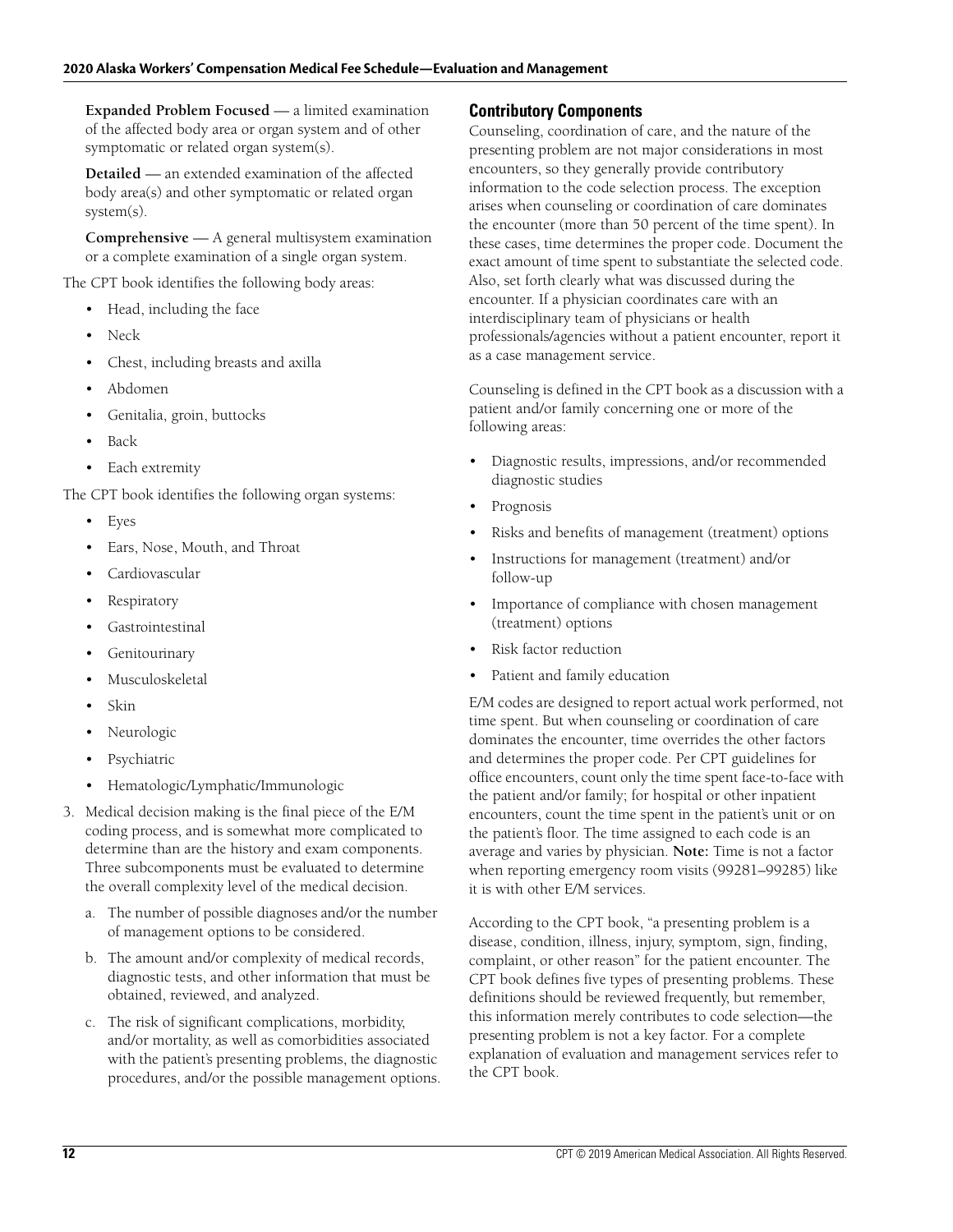**Expanded Problem Focused** — a limited examination of the affected body area or organ system and of other symptomatic or related organ system(s).

**Detailed** — an extended examination of the affected body area(s) and other symptomatic or related organ system(s).

**Comprehensive** — A general multisystem examination or a complete examination of a single organ system.

The CPT book identifies the following body areas:

- Head, including the face
- Neck
- Chest, including breasts and axilla
- Abdomen
- Genitalia, groin, buttocks
- Back
- Each extremity

The CPT book identifies the following organ systems:

- **Eyes**
- Ears, Nose, Mouth, and Throat
- Cardiovascular
- **Respiratory**
- **Gastrointestinal**
- **Genitourinary**
- **Musculoskeletal**
- Skin
- Neurologic
- **Psychiatric**
- Hematologic/Lymphatic/Immunologic
- 3. Medical decision making is the final piece of the E/M coding process, and is somewhat more complicated to determine than are the history and exam components. Three subcomponents must be evaluated to determine the overall complexity level of the medical decision.
	- a. The number of possible diagnoses and/or the number of management options to be considered.
	- b. The amount and/or complexity of medical records, diagnostic tests, and other information that must be obtained, reviewed, and analyzed.
	- c. The risk of significant complications, morbidity, and/or mortality, as well as comorbidities associated with the patient's presenting problems, the diagnostic procedures, and/or the possible management options.

## **Contributory Components**

Counseling, coordination of care, and the nature of the presenting problem are not major considerations in most encounters, so they generally provide contributory information to the code selection process. The exception arises when counseling or coordination of care dominates the encounter (more than 50 percent of the time spent). In these cases, time determines the proper code. Document the exact amount of time spent to substantiate the selected code. Also, set forth clearly what was discussed during the encounter. If a physician coordinates care with an interdisciplinary team of physicians or health professionals/agencies without a patient encounter, report it as a case management service.

Counseling is defined in the CPT book as a discussion with a patient and/or family concerning one or more of the following areas:

- Diagnostic results, impressions, and/or recommended diagnostic studies
- **Prognosis**
- Risks and benefits of management (treatment) options
- Instructions for management (treatment) and/or follow-up
- Importance of compliance with chosen management (treatment) options
- Risk factor reduction
- Patient and family education

E/M codes are designed to report actual work performed, not time spent. But when counseling or coordination of care dominates the encounter, time overrides the other factors and determines the proper code. Per CPT guidelines for office encounters, count only the time spent face-to-face with the patient and/or family; for hospital or other inpatient encounters, count the time spent in the patient's unit or on the patient's floor. The time assigned to each code is an average and varies by physician. **Note:** Time is not a factor when reporting emergency room visits (99281–99285) like it is with other E/M services.

According to the CPT book, "a presenting problem is a disease, condition, illness, injury, symptom, sign, finding, complaint, or other reason" for the patient encounter. The CPT book defines five types of presenting problems. These definitions should be reviewed frequently, but remember, this information merely contributes to code selection—the presenting problem is not a key factor. For a complete explanation of evaluation and management services refer to the CPT book.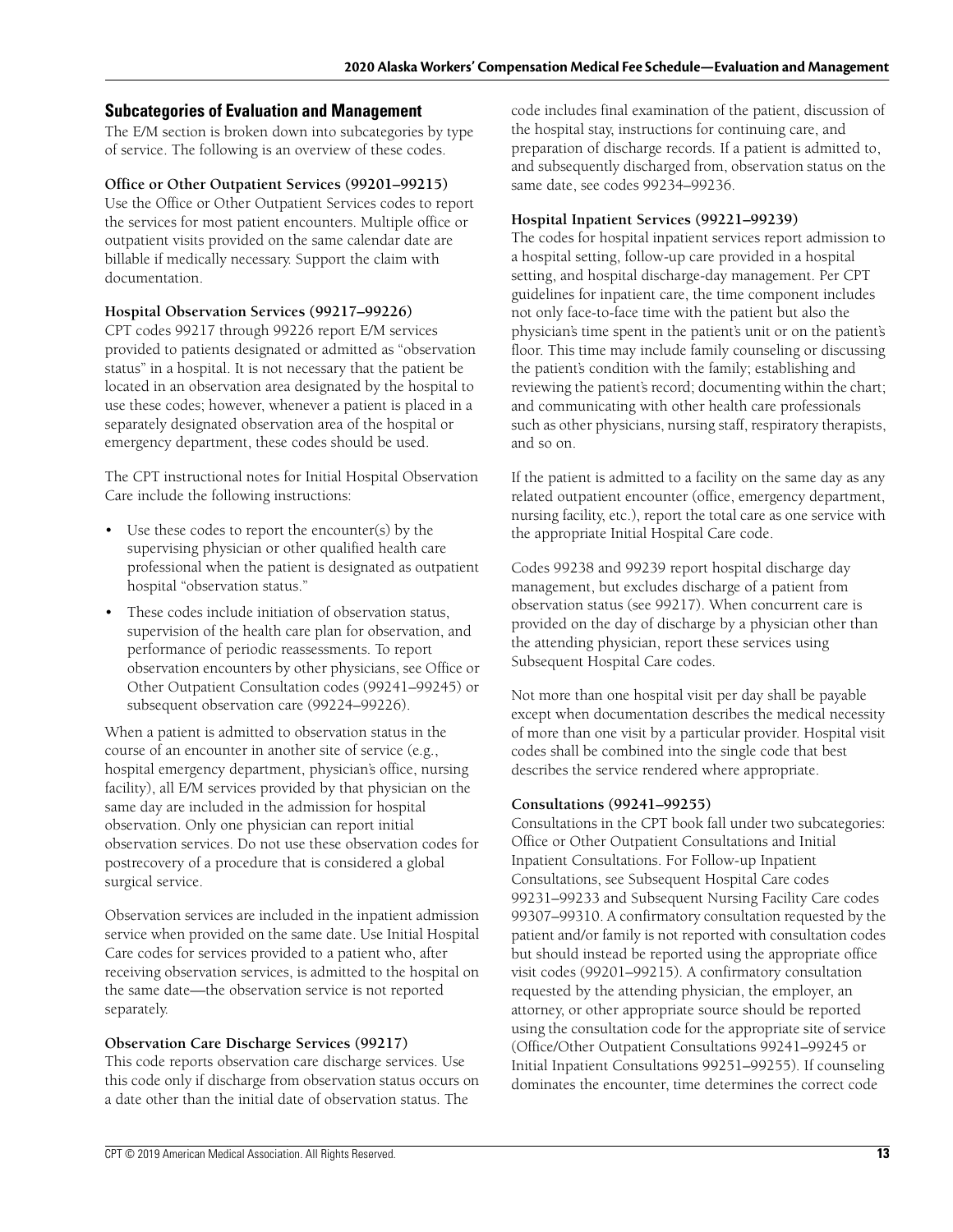#### **Subcategories of Evaluation and Management**

The E/M section is broken down into subcategories by type of service. The following is an overview of these codes.

#### **Office or Other Outpatient Services (99201–99215)**

Use the Office or Other Outpatient Services codes to report the services for most patient encounters. Multiple office or outpatient visits provided on the same calendar date are billable if medically necessary. Support the claim with documentation.

#### **Hospital Observation Services (99217–99226)**

CPT codes 99217 through 99226 report E/M services provided to patients designated or admitted as "observation status" in a hospital. It is not necessary that the patient be located in an observation area designated by the hospital to use these codes; however, whenever a patient is placed in a separately designated observation area of the hospital or emergency department, these codes should be used.

The CPT instructional notes for Initial Hospital Observation Care include the following instructions:

- Use these codes to report the encounter(s) by the supervising physician or other qualified health care professional when the patient is designated as outpatient hospital "observation status."
- These codes include initiation of observation status, supervision of the health care plan for observation, and performance of periodic reassessments. To report observation encounters by other physicians, see Office or Other Outpatient Consultation codes (99241–99245) or subsequent observation care (99224–99226).

When a patient is admitted to observation status in the course of an encounter in another site of service (e.g., hospital emergency department, physician's office, nursing facility), all E/M services provided by that physician on the same day are included in the admission for hospital observation. Only one physician can report initial observation services. Do not use these observation codes for postrecovery of a procedure that is considered a global surgical service.

Observation services are included in the inpatient admission service when provided on the same date. Use Initial Hospital Care codes for services provided to a patient who, after receiving observation services, is admitted to the hospital on the same date—the observation service is not reported separately.

#### **Observation Care Discharge Services (99217)**

This code reports observation care discharge services. Use this code only if discharge from observation status occurs on a date other than the initial date of observation status. The

code includes final examination of the patient, discussion of the hospital stay, instructions for continuing care, and preparation of discharge records. If a patient is admitted to, and subsequently discharged from, observation status on the same date, see codes 99234–99236.

#### **Hospital Inpatient Services (99221–99239)**

The codes for hospital inpatient services report admission to a hospital setting, follow-up care provided in a hospital setting, and hospital discharge-day management. Per CPT guidelines for inpatient care, the time component includes not only face-to-face time with the patient but also the physician's time spent in the patient's unit or on the patient's floor. This time may include family counseling or discussing the patient's condition with the family; establishing and reviewing the patient's record; documenting within the chart; and communicating with other health care professionals such as other physicians, nursing staff, respiratory therapists, and so on.

If the patient is admitted to a facility on the same day as any related outpatient encounter (office, emergency department, nursing facility, etc.), report the total care as one service with the appropriate Initial Hospital Care code.

Codes 99238 and 99239 report hospital discharge day management, but excludes discharge of a patient from observation status (see 99217). When concurrent care is provided on the day of discharge by a physician other than the attending physician, report these services using Subsequent Hospital Care codes.

Not more than one hospital visit per day shall be payable except when documentation describes the medical necessity of more than one visit by a particular provider. Hospital visit codes shall be combined into the single code that best describes the service rendered where appropriate.

#### **Consultations (99241–99255)**

Consultations in the CPT book fall under two subcategories: Office or Other Outpatient Consultations and Initial Inpatient Consultations. For Follow-up Inpatient Consultations, see Subsequent Hospital Care codes 99231–99233 and Subsequent Nursing Facility Care codes 99307–99310. A confirmatory consultation requested by the patient and/or family is not reported with consultation codes but should instead be reported using the appropriate office visit codes (99201–99215). A confirmatory consultation requested by the attending physician, the employer, an attorney, or other appropriate source should be reported using the consultation code for the appropriate site of service (Office/Other Outpatient Consultations 99241–99245 or Initial Inpatient Consultations 99251–99255). If counseling dominates the encounter, time determines the correct code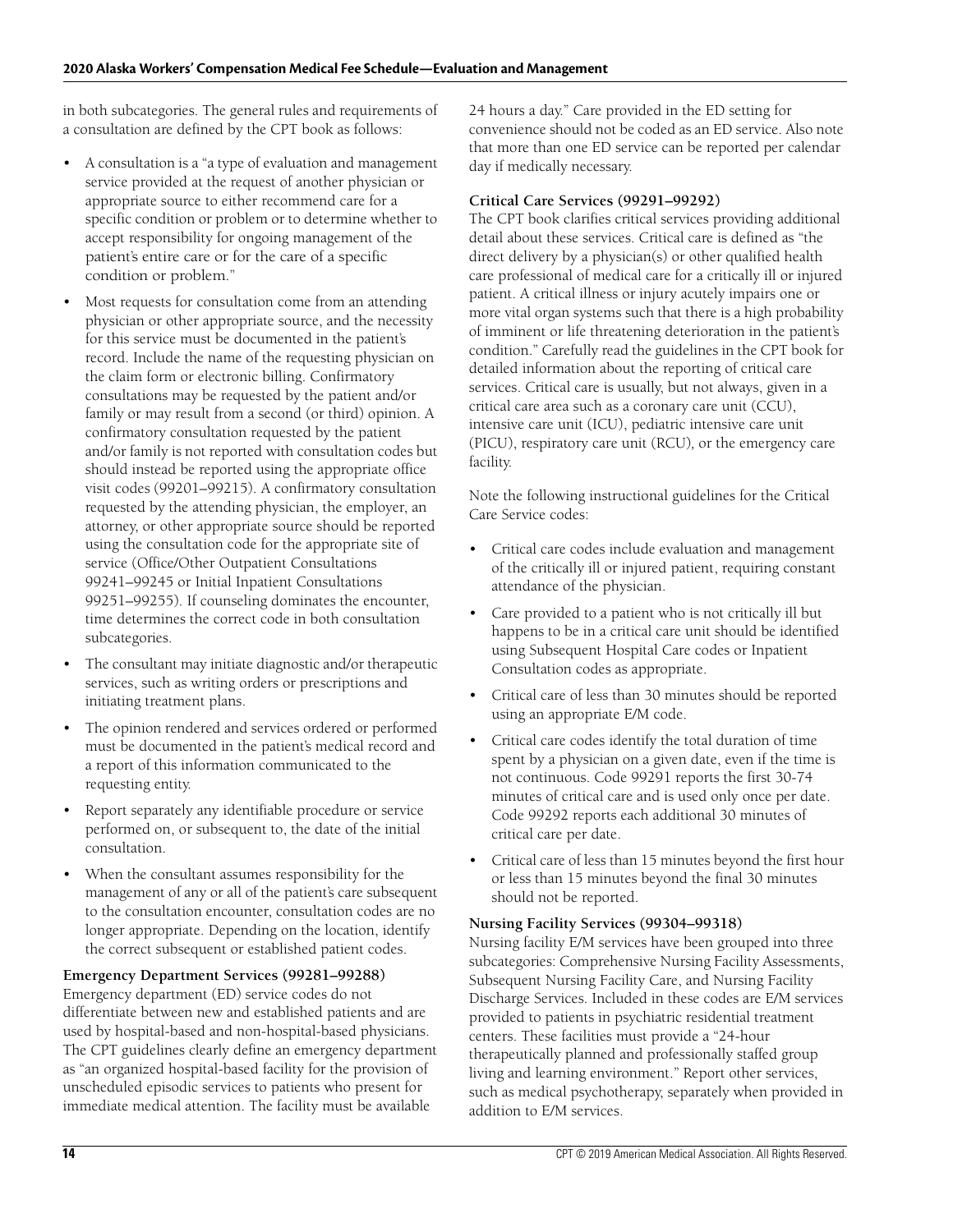in both subcategories. The general rules and requirements of a consultation are defined by the CPT book as follows:

- A consultation is a "a type of evaluation and management service provided at the request of another physician or appropriate source to either recommend care for a specific condition or problem or to determine whether to accept responsibility for ongoing management of the patient's entire care or for the care of a specific condition or problem."
- Most requests for consultation come from an attending physician or other appropriate source, and the necessity for this service must be documented in the patient's record. Include the name of the requesting physician on the claim form or electronic billing. Confirmatory consultations may be requested by the patient and/or family or may result from a second (or third) opinion. A confirmatory consultation requested by the patient and/or family is not reported with consultation codes but should instead be reported using the appropriate office visit codes (99201–99215). A confirmatory consultation requested by the attending physician, the employer, an attorney, or other appropriate source should be reported using the consultation code for the appropriate site of service (Office/Other Outpatient Consultations 99241–99245 or Initial Inpatient Consultations 99251–99255). If counseling dominates the encounter, time determines the correct code in both consultation subcategories.
- The consultant may initiate diagnostic and/or therapeutic services, such as writing orders or prescriptions and initiating treatment plans.
- The opinion rendered and services ordered or performed must be documented in the patient's medical record and a report of this information communicated to the requesting entity.
- Report separately any identifiable procedure or service performed on, or subsequent to, the date of the initial consultation.
- When the consultant assumes responsibility for the management of any or all of the patient's care subsequent to the consultation encounter, consultation codes are no longer appropriate. Depending on the location, identify the correct subsequent or established patient codes.

#### **Emergency Department Services (99281–99288)**

Emergency department (ED) service codes do not differentiate between new and established patients and are used by hospital-based and non-hospital-based physicians. The CPT guidelines clearly define an emergency department as "an organized hospital-based facility for the provision of unscheduled episodic services to patients who present for immediate medical attention. The facility must be available

24 hours a day." Care provided in the ED setting for convenience should not be coded as an ED service. Also note that more than one ED service can be reported per calendar day if medically necessary.

#### **Critical Care Services (99291–99292)**

The CPT book clarifies critical services providing additional detail about these services. Critical care is defined as "the direct delivery by a physician(s) or other qualified health care professional of medical care for a critically ill or injured patient. A critical illness or injury acutely impairs one or more vital organ systems such that there is a high probability of imminent or life threatening deterioration in the patient's condition." Carefully read the guidelines in the CPT book for detailed information about the reporting of critical care services. Critical care is usually, but not always, given in a critical care area such as a coronary care unit (CCU), intensive care unit (ICU), pediatric intensive care unit (PICU), respiratory care unit (RCU)*,* or the emergency care facility.

Note the following instructional guidelines for the Critical Care Service codes:

- Critical care codes include evaluation and management of the critically ill or injured patient, requiring constant attendance of the physician.
- Care provided to a patient who is not critically ill but happens to be in a critical care unit should be identified using Subsequent Hospital Care codes or Inpatient Consultation codes as appropriate.
- Critical care of less than 30 minutes should be reported using an appropriate E/M code.
- Critical care codes identify the total duration of time spent by a physician on a given date, even if the time is not continuous. Code 99291 reports the first 30-74 minutes of critical care and is used only once per date. Code 99292 reports each additional 30 minutes of critical care per date.
- Critical care of less than 15 minutes beyond the first hour or less than 15 minutes beyond the final 30 minutes should not be reported.

#### **Nursing Facility Services (99304–99318)**

Nursing facility E/M services have been grouped into three subcategories: Comprehensive Nursing Facility Assessments, Subsequent Nursing Facility Care, and Nursing Facility Discharge Services. Included in these codes are E/M services provided to patients in psychiatric residential treatment centers. These facilities must provide a "24-hour therapeutically planned and professionally staffed group living and learning environment." Report other services, such as medical psychotherapy, separately when provided in addition to E/M services.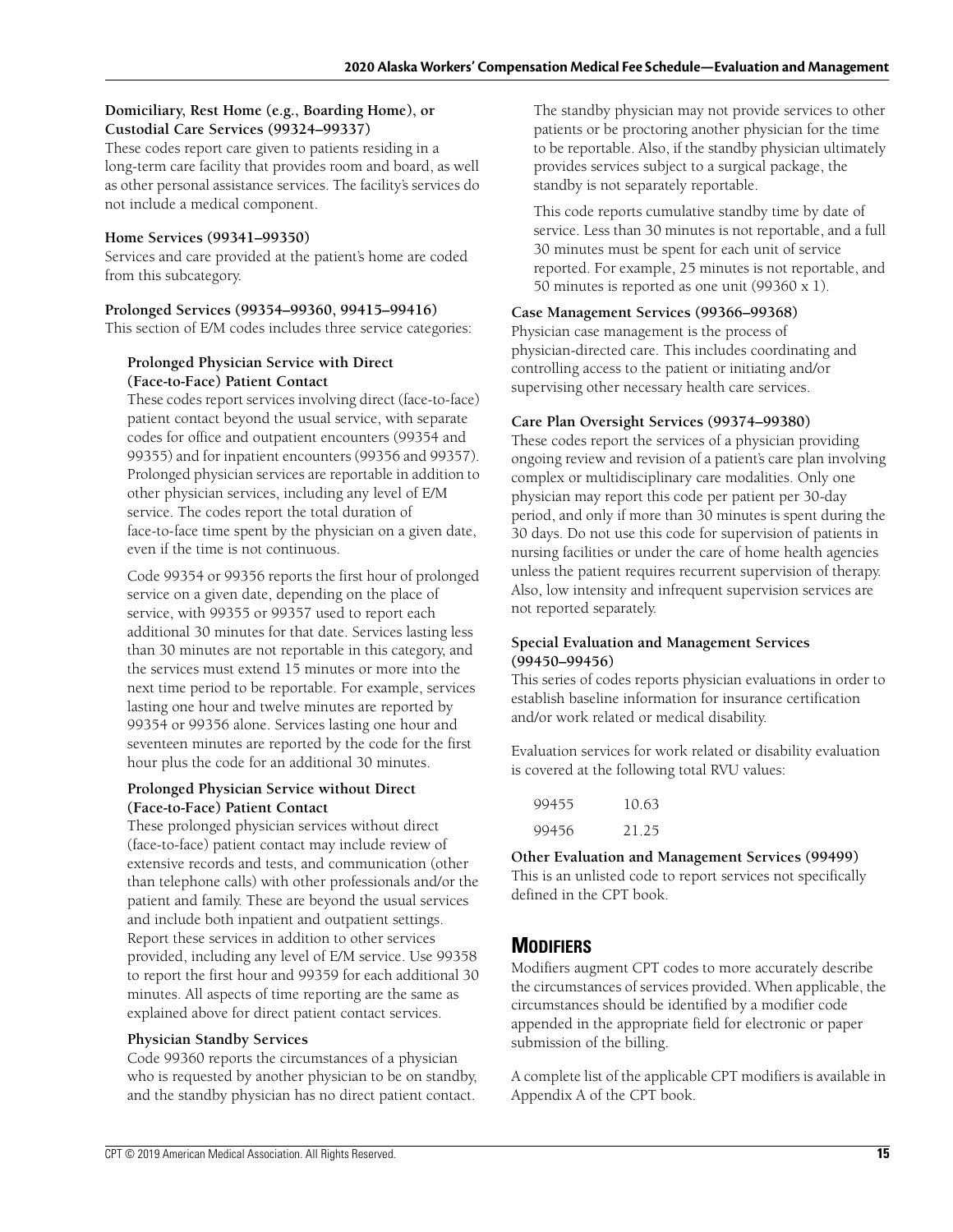#### **Domiciliary, Rest Home (e.g., Boarding Home), or Custodial Care Services (99324–99337)**

These codes report care given to patients residing in a long-term care facility that provides room and board, as well as other personal assistance services. The facility's services do not include a medical component.

#### **Home Services (99341–99350)**

Services and care provided at the patient's home are coded from this subcategory.

#### **Prolonged Services (99354–99360, 99415–99416)**

This section of E/M codes includes three service categories:

#### **Prolonged Physician Service with Direct (Face-to-Face) Patient Contact**

These codes report services involving direct (face-to-face) patient contact beyond the usual service, with separate codes for office and outpatient encounters (99354 and 99355) and for inpatient encounters (99356 and 99357). Prolonged physician services are reportable in addition to other physician services, including any level of E/M service. The codes report the total duration of face-to-face time spent by the physician on a given date, even if the time is not continuous.

Code 99354 or 99356 reports the first hour of prolonged service on a given date, depending on the place of service, with 99355 or 99357 used to report each additional 30 minutes for that date. Services lasting less than 30 minutes are not reportable in this category, and the services must extend 15 minutes or more into the next time period to be reportable. For example, services lasting one hour and twelve minutes are reported by 99354 or 99356 alone. Services lasting one hour and seventeen minutes are reported by the code for the first hour plus the code for an additional 30 minutes.

#### **Prolonged Physician Service without Direct (Face-to-Face) Patient Contact**

These prolonged physician services without direct (face-to-face) patient contact may include review of extensive records and tests, and communication (other than telephone calls) with other professionals and/or the patient and family. These are beyond the usual services and include both inpatient and outpatient settings. Report these services in addition to other services provided, including any level of E/M service. Use 99358 to report the first hour and 99359 for each additional 30 minutes. All aspects of time reporting are the same as explained above for direct patient contact services.

#### **Physician Standby Services**

Code 99360 reports the circumstances of a physician who is requested by another physician to be on standby, and the standby physician has no direct patient contact.

The standby physician may not provide services to other patients or be proctoring another physician for the time to be reportable. Also, if the standby physician ultimately provides services subject to a surgical package, the standby is not separately reportable.

This code reports cumulative standby time by date of service. Less than 30 minutes is not reportable, and a full 30 minutes must be spent for each unit of service reported. For example, 25 minutes is not reportable, and 50 minutes is reported as one unit (99360 x 1).

#### **Case Management Services (99366–99368)**

Physician case management is the process of physician-directed care. This includes coordinating and controlling access to the patient or initiating and/or supervising other necessary health care services.

#### **Care Plan Oversight Services (99374–99380)**

These codes report the services of a physician providing ongoing review and revision of a patient's care plan involving complex or multidisciplinary care modalities. Only one physician may report this code per patient per 30-day period, and only if more than 30 minutes is spent during the 30 days. Do not use this code for supervision of patients in nursing facilities or under the care of home health agencies unless the patient requires recurrent supervision of therapy. Also, low intensity and infrequent supervision services are not reported separately.

#### **Special Evaluation and Management Services (99450–99456)**

This series of codes reports physician evaluations in order to establish baseline information for insurance certification and/or work related or medical disability.

Evaluation services for work related or disability evaluation is covered at the following total RVU values:

| 99455 | 10.63 |
|-------|-------|
| 99456 | 21.25 |

defined in the CPT book.

**Other Evaluation and Management Services (99499)** This is an unlisted code to report services not specifically

## **MODIFIERS**

Modifiers augment CPT codes to more accurately describe the circumstances of services provided. When applicable, the circumstances should be identified by a modifier code appended in the appropriate field for electronic or paper submission of the billing.

A complete list of the applicable CPT modifiers is available in Appendix A of the CPT book.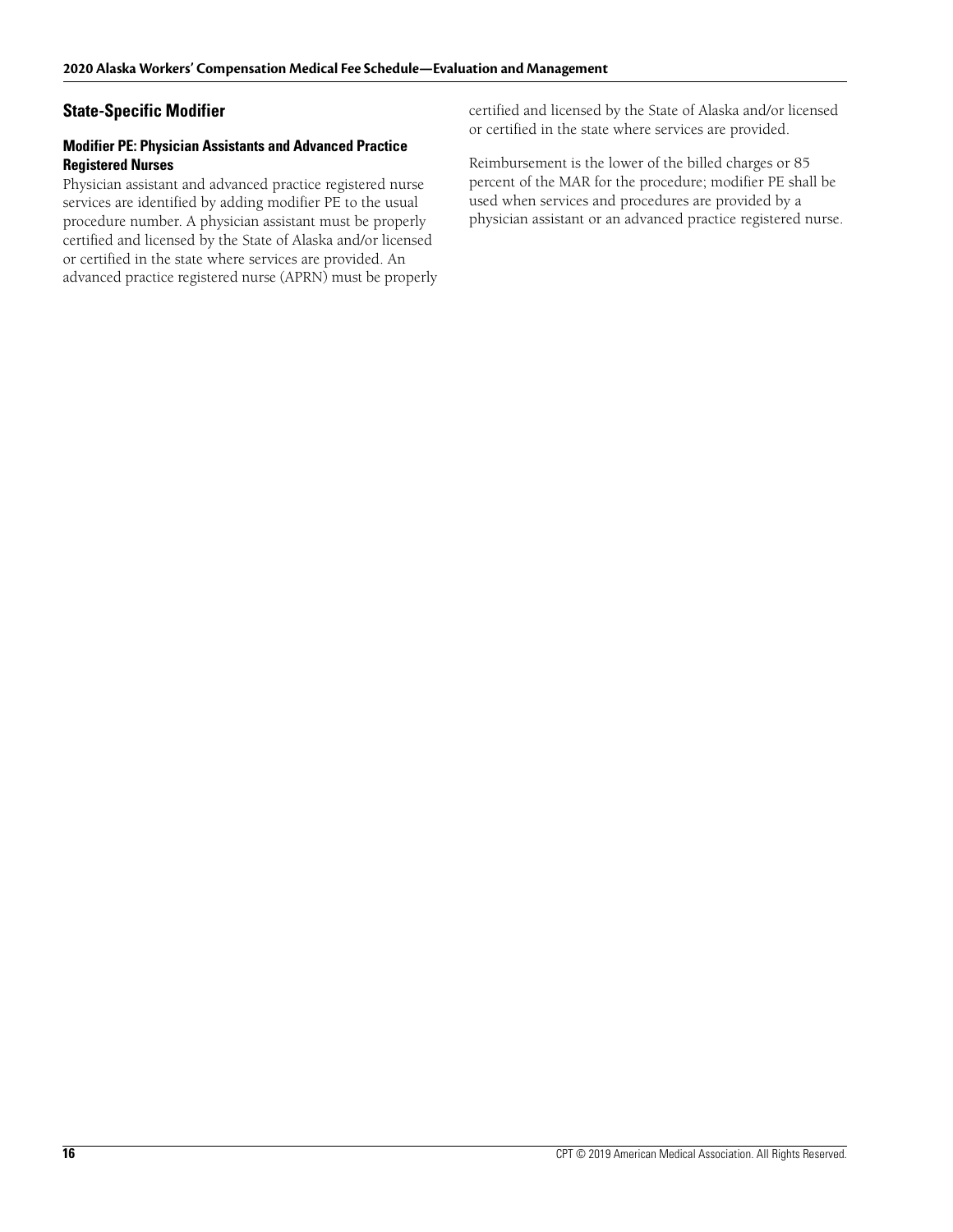### **State-Specific Modifier**

#### **Modifier PE: Physician Assistants and Advanced Practice Registered Nurses**

Physician assistant and advanced practice registered nurse services are identified by adding modifier PE to the usual procedure number. A physician assistant must be properly certified and licensed by the State of Alaska and/or licensed or certified in the state where services are provided. An advanced practice registered nurse (APRN) must be properly certified and licensed by the State of Alaska and/or licensed or certified in the state where services are provided.

Reimbursement is the lower of the billed charges or 85 percent of the MAR for the procedure; modifier PE shall be used when services and procedures are provided by a physician assistant or an advanced practice registered nurse.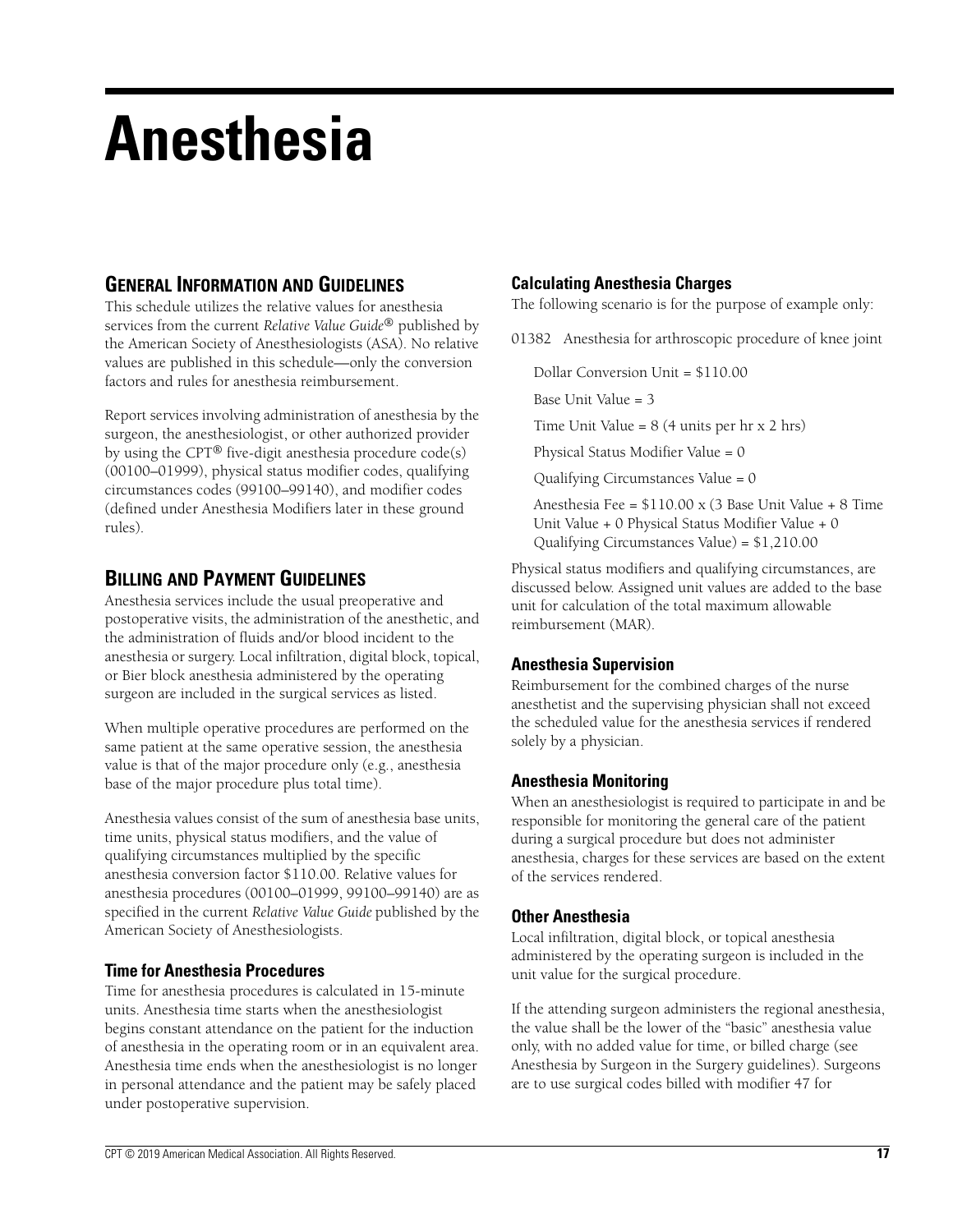# **Anesthesia**

# **GENERAL INFORMATION AND GUIDELINES**

This schedule utilizes the relative values for anesthesia services from the current *Relative Value Guide*® published by the American Society of Anesthesiologists (ASA). No relative values are published in this schedule—only the conversion factors and rules for anesthesia reimbursement.

Report services involving administration of anesthesia by the surgeon, the anesthesiologist, or other authorized provider by using the CPT® five-digit anesthesia procedure code(s) (00100–01999), physical status modifier codes, qualifying circumstances codes (99100–99140), and modifier codes (defined under Anesthesia Modifiers later in these ground rules).

## **BILLING AND PAYMENT GUIDELINES**

Anesthesia services include the usual preoperative and postoperative visits, the administration of the anesthetic, and the administration of fluids and/or blood incident to the anesthesia or surgery. Local infiltration, digital block, topical, or Bier block anesthesia administered by the operating surgeon are included in the surgical services as listed.

When multiple operative procedures are performed on the same patient at the same operative session, the anesthesia value is that of the major procedure only (e.g., anesthesia base of the major procedure plus total time).

Anesthesia values consist of the sum of anesthesia base units, time units, physical status modifiers, and the value of qualifying circumstances multiplied by the specific anesthesia conversion factor \$110.00. Relative values for anesthesia procedures (00100–01999, 99100–99140) are as specified in the current *Relative Value Guide* published by the American Society of Anesthesiologists.

### **Time for Anesthesia Procedures**

Time for anesthesia procedures is calculated in 15-minute units. Anesthesia time starts when the anesthesiologist begins constant attendance on the patient for the induction of anesthesia in the operating room or in an equivalent area. Anesthesia time ends when the anesthesiologist is no longer in personal attendance and the patient may be safely placed under postoperative supervision.

## **Calculating Anesthesia Charges**

The following scenario is for the purpose of example only:

01382 Anesthesia for arthroscopic procedure of knee joint

Dollar Conversion Unit = \$110.00

Base Unit Value = 3

Time Unit Value =  $8(4 \text{ units per hr x } 2 \text{ hrs})$ 

Physical Status Modifier Value = 0

Qualifying Circumstances Value = 0

Anesthesia Fee = \$110.00 x (3 Base Unit Value + 8 Time Unit Value + 0 Physical Status Modifier Value + 0 Qualifying Circumstances Value) = \$1,210.00

Physical status modifiers and qualifying circumstances, are discussed below. Assigned unit values are added to the base unit for calculation of the total maximum allowable reimbursement (MAR).

### **Anesthesia Supervision**

Reimbursement for the combined charges of the nurse anesthetist and the supervising physician shall not exceed the scheduled value for the anesthesia services if rendered solely by a physician.

### **Anesthesia Monitoring**

When an anesthesiologist is required to participate in and be responsible for monitoring the general care of the patient during a surgical procedure but does not administer anesthesia, charges for these services are based on the extent of the services rendered.

### **Other Anesthesia**

Local infiltration, digital block, or topical anesthesia administered by the operating surgeon is included in the unit value for the surgical procedure.

If the attending surgeon administers the regional anesthesia, the value shall be the lower of the "basic" anesthesia value only, with no added value for time, or billed charge (see Anesthesia by Surgeon in the Surgery guidelines). Surgeons are to use surgical codes billed with modifier 47 for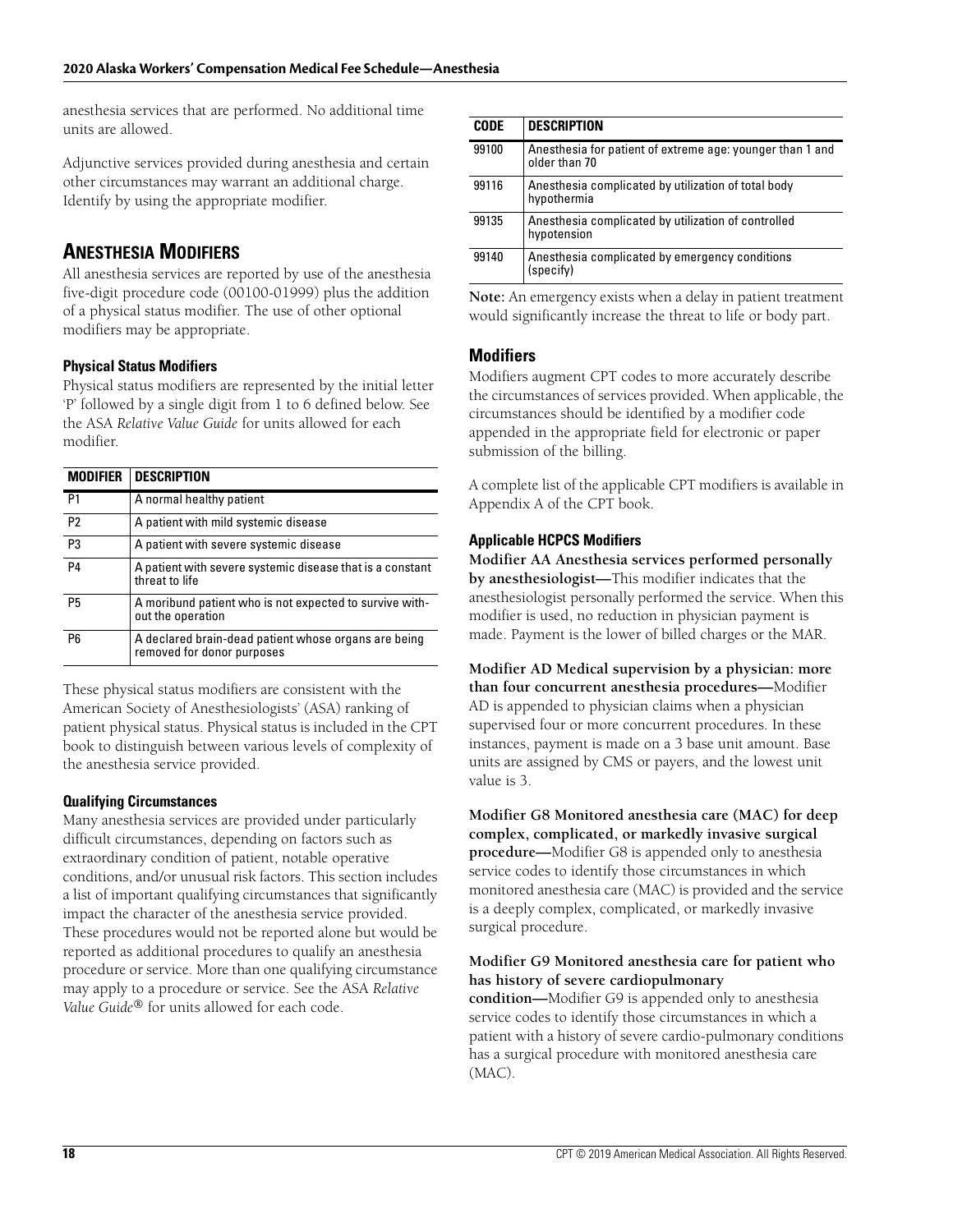anesthesia services that are performed. No additional time units are allowed.

Adjunctive services provided during anesthesia and certain other circumstances may warrant an additional charge. Identify by using the appropriate modifier.

# **ANESTHESIA MODIFIERS**

All anesthesia services are reported by use of the anesthesia five-digit procedure code (00100-01999) plus the addition of a physical status modifier. The use of other optional modifiers may be appropriate.

#### **Physical Status Modifiers**

Physical status modifiers are represented by the initial letter 'P' followed by a single digit from 1 to 6 defined below. See the ASA *Relative Value Guide* for units allowed for each modifier.

| <b>MODIFIER</b> | <b>DESCRIPTION</b>                                                                 |
|-----------------|------------------------------------------------------------------------------------|
| P <sub>1</sub>  | A normal healthy patient                                                           |
| P <sub>2</sub>  | A patient with mild systemic disease                                               |
| P <sub>3</sub>  | A patient with severe systemic disease                                             |
| P <sub>4</sub>  | A patient with severe systemic disease that is a constant<br>threat to life        |
| P <sub>5</sub>  | A moribund patient who is not expected to survive with-<br>out the operation       |
| P6              | A declared brain-dead patient whose organs are being<br>removed for donor purposes |

These physical status modifiers are consistent with the American Society of Anesthesiologists' (ASA) ranking of patient physical status. Physical status is included in the CPT book to distinguish between various levels of complexity of the anesthesia service provided.

#### **Qualifying Circumstances**

Many anesthesia services are provided under particularly difficult circumstances, depending on factors such as extraordinary condition of patient, notable operative conditions, and/or unusual risk factors. This section includes a list of important qualifying circumstances that significantly impact the character of the anesthesia service provided. These procedures would not be reported alone but would be reported as additional procedures to qualify an anesthesia procedure or service. More than one qualifying circumstance may apply to a procedure or service. See the ASA *Relative Value Guide®* for units allowed for each code.

| <b>CODE</b> | <b>DESCRIPTION</b>                                                         |
|-------------|----------------------------------------------------------------------------|
| 99100       | Anesthesia for patient of extreme age: younger than 1 and<br>older than 70 |
| 99116       | Anesthesia complicated by utilization of total body<br>hypothermia         |
| 99135       | Anesthesia complicated by utilization of controlled<br>hypotension         |
| 99140       | Anesthesia complicated by emergency conditions<br>(specify)                |

**Note:** An emergency exists when a delay in patient treatment would significantly increase the threat to life or body part.

## **Modifiers**

Modifiers augment CPT codes to more accurately describe the circumstances of services provided. When applicable, the circumstances should be identified by a modifier code appended in the appropriate field for electronic or paper submission of the billing.

A complete list of the applicable CPT modifiers is available in Appendix A of the CPT book.

#### **Applicable HCPCS Modifiers**

**Modifier AA Anesthesia services performed personally by anesthesiologist—**This modifier indicates that the anesthesiologist personally performed the service. When this modifier is used, no reduction in physician payment is made. Payment is the lower of billed charges or the MAR.

**Modifier AD Medical supervision by a physician: more than four concurrent anesthesia procedures—**Modifier AD is appended to physician claims when a physician supervised four or more concurrent procedures. In these instances, payment is made on a 3 base unit amount. Base units are assigned by CMS or payers, and the lowest unit value is 3.

**Modifier G8 Monitored anesthesia care (MAC) for deep complex, complicated, or markedly invasive surgical procedure—**Modifier G8 is appended only to anesthesia service codes to identify those circumstances in which monitored anesthesia care (MAC) is provided and the service is a deeply complex, complicated, or markedly invasive surgical procedure.

#### **Modifier G9 Monitored anesthesia care for patient who has history of severe cardiopulmonary**

**condition—**Modifier G9 is appended only to anesthesia service codes to identify those circumstances in which a patient with a history of severe cardio-pulmonary conditions has a surgical procedure with monitored anesthesia care (MAC).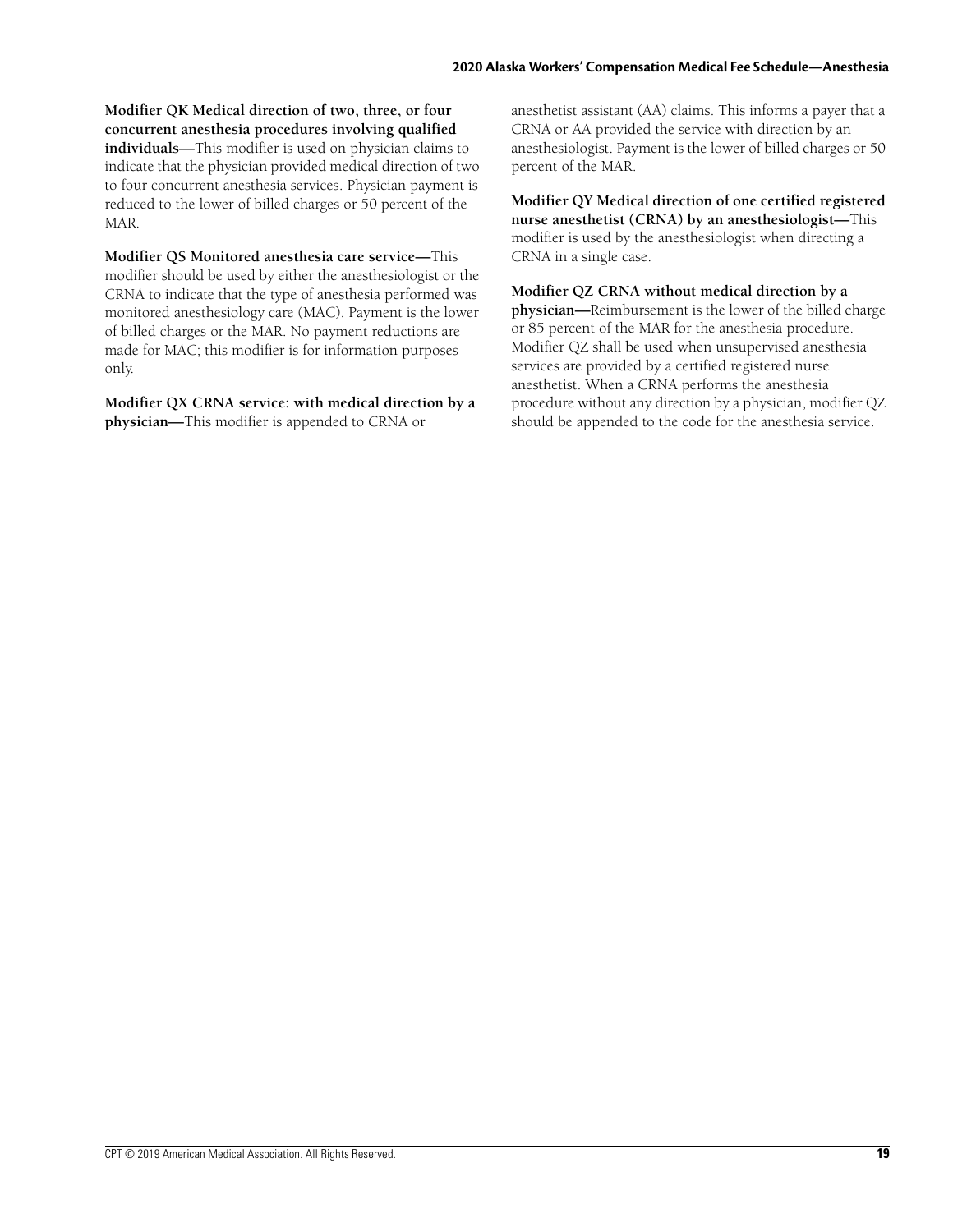**Modifier QK Medical direction of two, three, or four concurrent anesthesia procedures involving qualified individuals—**This modifier is used on physician claims to indicate that the physician provided medical direction of two to four concurrent anesthesia services. Physician payment is reduced to the lower of billed charges or 50 percent of the MAR.

**Modifier QS Monitored anesthesia care service—**This modifier should be used by either the anesthesiologist or the CRNA to indicate that the type of anesthesia performed was monitored anesthesiology care (MAC). Payment is the lower of billed charges or the MAR. No payment reductions are made for MAC; this modifier is for information purposes only.

**Modifier QX CRNA service: with medical direction by a physician—**This modifier is appended to CRNA or

anesthetist assistant (AA) claims. This informs a payer that a CRNA or AA provided the service with direction by an anesthesiologist. Payment is the lower of billed charges or 50 percent of the MAR.

**Modifier QY Medical direction of one certified registered nurse anesthetist (CRNA) by an anesthesiologist—**This modifier is used by the anesthesiologist when directing a CRNA in a single case.

**Modifier QZ CRNA without medical direction by a physician—**Reimbursement is the lower of the billed charge or 85 percent of the MAR for the anesthesia procedure. Modifier QZ shall be used when unsupervised anesthesia services are provided by a certified registered nurse anesthetist. When a CRNA performs the anesthesia procedure without any direction by a physician, modifier QZ should be appended to the code for the anesthesia service.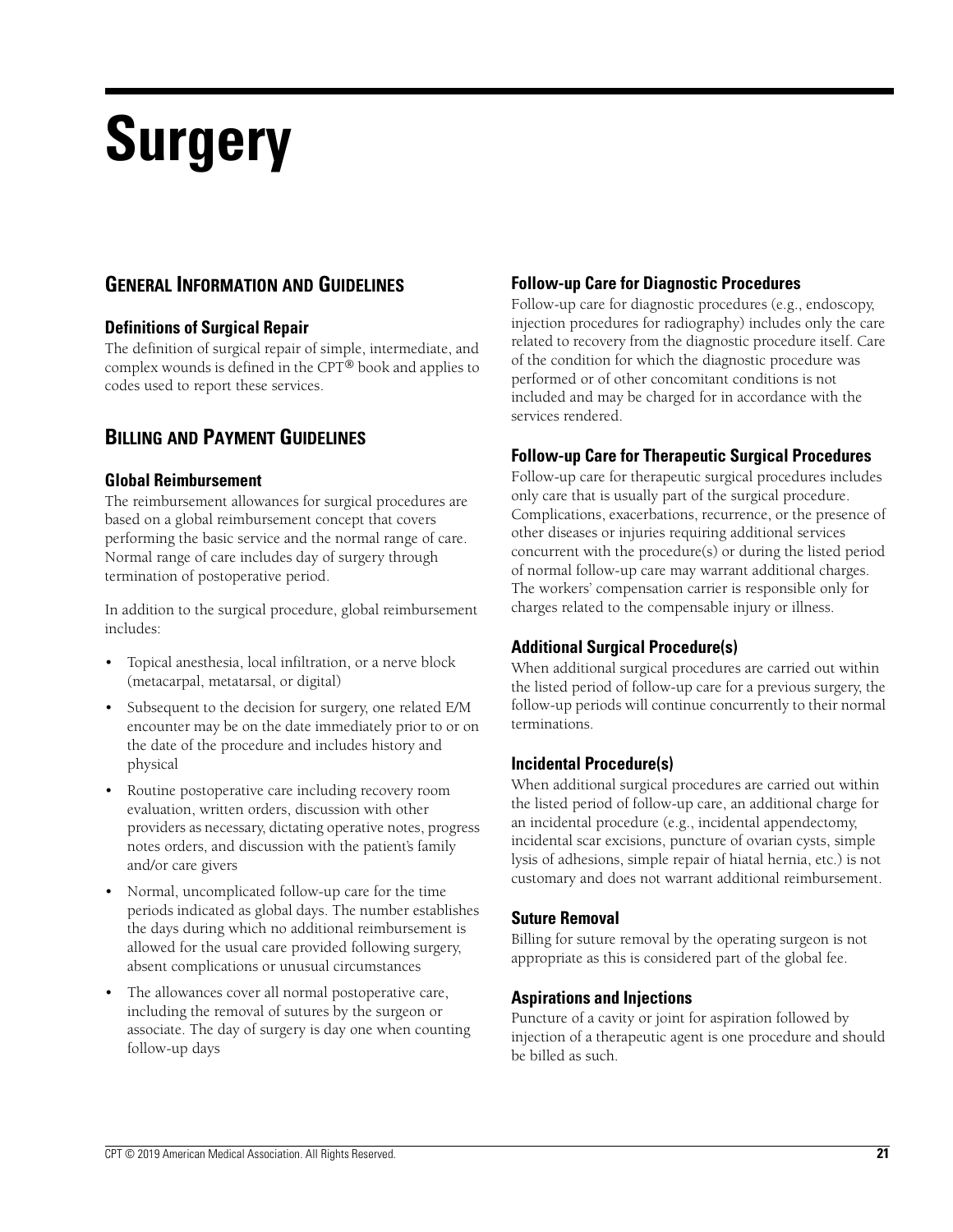# **Surgery**

# **GENERAL INFORMATION AND GUIDELINES**

### **Definitions of Surgical Repair**

The definition of surgical repair of simple, intermediate, and complex wounds is defined in the CPT® book and applies to codes used to report these services.

## **BILLING AND PAYMENT GUIDELINES**

#### **Global Reimbursement**

The reimbursement allowances for surgical procedures are based on a global reimbursement concept that covers performing the basic service and the normal range of care. Normal range of care includes day of surgery through termination of postoperative period.

In addition to the surgical procedure, global reimbursement includes:

- Topical anesthesia, local infiltration, or a nerve block (metacarpal, metatarsal, or digital)
- Subsequent to the decision for surgery, one related E/M encounter may be on the date immediately prior to or on the date of the procedure and includes history and physical
- Routine postoperative care including recovery room evaluation, written orders, discussion with other providers as necessary, dictating operative notes, progress notes orders, and discussion with the patient's family and/or care givers
- Normal, uncomplicated follow-up care for the time periods indicated as global days. The number establishes the days during which no additional reimbursement is allowed for the usual care provided following surgery, absent complications or unusual circumstances
- The allowances cover all normal postoperative care, including the removal of sutures by the surgeon or associate. The day of surgery is day one when counting follow-up days

## **Follow-up Care for Diagnostic Procedures**

Follow-up care for diagnostic procedures (e.g., endoscopy, injection procedures for radiography) includes only the care related to recovery from the diagnostic procedure itself. Care of the condition for which the diagnostic procedure was performed or of other concomitant conditions is not included and may be charged for in accordance with the services rendered.

### **Follow-up Care for Therapeutic Surgical Procedures**

Follow-up care for therapeutic surgical procedures includes only care that is usually part of the surgical procedure. Complications, exacerbations, recurrence, or the presence of other diseases or injuries requiring additional services concurrent with the procedure(s) or during the listed period of normal follow-up care may warrant additional charges. The workers' compensation carrier is responsible only for charges related to the compensable injury or illness.

### **Additional Surgical Procedure(s)**

When additional surgical procedures are carried out within the listed period of follow-up care for a previous surgery, the follow-up periods will continue concurrently to their normal terminations.

#### **Incidental Procedure(s)**

When additional surgical procedures are carried out within the listed period of follow-up care, an additional charge for an incidental procedure (e.g., incidental appendectomy, incidental scar excisions, puncture of ovarian cysts, simple lysis of adhesions, simple repair of hiatal hernia, etc.) is not customary and does not warrant additional reimbursement.

#### **Suture Removal**

Billing for suture removal by the operating surgeon is not appropriate as this is considered part of the global fee.

### **Aspirations and Injections**

Puncture of a cavity or joint for aspiration followed by injection of a therapeutic agent is one procedure and should be billed as such.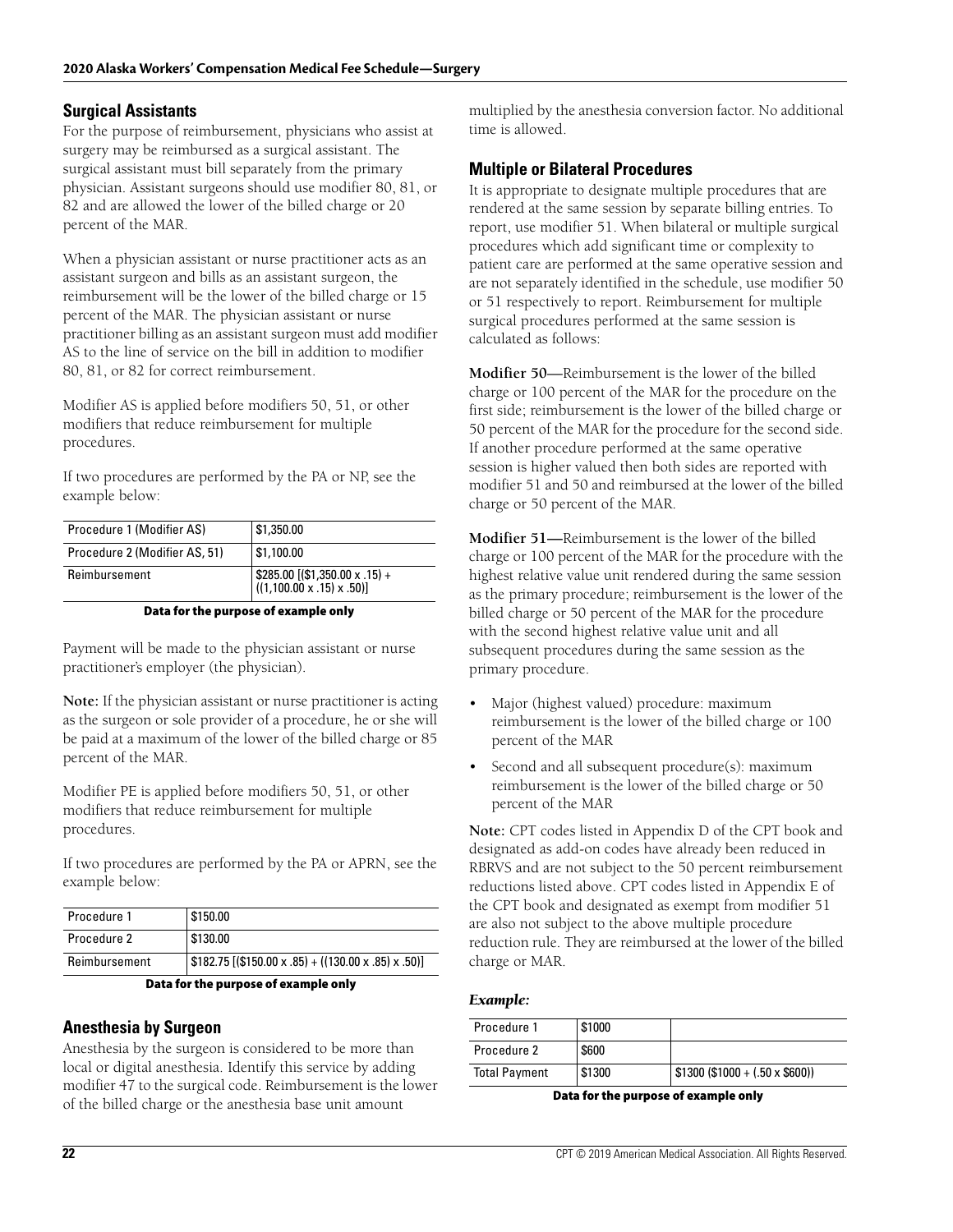#### **Surgical Assistants**

For the purpose of reimbursement, physicians who assist at surgery may be reimbursed as a surgical assistant. The surgical assistant must bill separately from the primary physician. Assistant surgeons should use modifier 80, 81, or 82 and are allowed the lower of the billed charge or 20 percent of the MAR.

When a physician assistant or nurse practitioner acts as an assistant surgeon and bills as an assistant surgeon, the reimbursement will be the lower of the billed charge or 15 percent of the MAR. The physician assistant or nurse practitioner billing as an assistant surgeon must add modifier AS to the line of service on the bill in addition to modifier 80, 81, or 82 for correct reimbursement.

Modifier AS is applied before modifiers 50, 51, or other modifiers that reduce reimbursement for multiple procedures.

If two procedures are performed by the PA or NP, see the example below:

| Procedure 1 (Modifier AS)     | \$1,350.00                                                                                                                                  |
|-------------------------------|---------------------------------------------------------------------------------------------------------------------------------------------|
| Procedure 2 (Modifier AS, 51) | \$1,100.00                                                                                                                                  |
| Reimbursement                 | $\left[ \begin{array}{l} $285.00 \left[ ( $1,350.00 \times .15 \right) + \ ((1,100.00 \times .15) \times .50 ) \right] \end{array} \right]$ |

#### **Data for the purpose of example only**

Payment will be made to the physician assistant or nurse practitioner's employer (the physician).

**Note:** If the physician assistant or nurse practitioner is acting as the surgeon or sole provider of a procedure, he or she will be paid at a maximum of the lower of the billed charge or 85 percent of the MAR.

Modifier PE is applied before modifiers 50, 51, or other modifiers that reduce reimbursement for multiple procedures.

If two procedures are performed by the PA or APRN, see the example below:

| Procedure 1   | \$150.00                                              |
|---------------|-------------------------------------------------------|
| Procedure 2   | \$130.00                                              |
| Reimbursement | $$182.75$ [(\$150.00 x .85) + ((130.00 x .85) x .50)] |

#### **Data for the purpose of example only**

#### **Anesthesia by Surgeon**

Anesthesia by the surgeon is considered to be more than local or digital anesthesia. Identify this service by adding modifier 47 to the surgical code. Reimbursement is the lower of the billed charge or the anesthesia base unit amount

multiplied by the anesthesia conversion factor. No additional time is allowed.

#### **Multiple or Bilateral Procedures**

It is appropriate to designate multiple procedures that are rendered at the same session by separate billing entries. To report, use modifier 51. When bilateral or multiple surgical procedures which add significant time or complexity to patient care are performed at the same operative session and are not separately identified in the schedule, use modifier 50 or 51 respectively to report. Reimbursement for multiple surgical procedures performed at the same session is calculated as follows:

**Modifier 50**—Reimbursement is the lower of the billed charge or 100 percent of the MAR for the procedure on the first side; reimbursement is the lower of the billed charge or 50 percent of the MAR for the procedure for the second side. If another procedure performed at the same operative session is higher valued then both sides are reported with modifier 51 and 50 and reimbursed at the lower of the billed charge or 50 percent of the MAR.

**Modifier 51—**Reimbursement is the lower of the billed charge or 100 percent of the MAR for the procedure with the highest relative value unit rendered during the same session as the primary procedure; reimbursement is the lower of the billed charge or 50 percent of the MAR for the procedure with the second highest relative value unit and all subsequent procedures during the same session as the primary procedure.

- Major (highest valued) procedure: maximum reimbursement is the lower of the billed charge or 100 percent of the MAR
- Second and all subsequent procedure(s): maximum reimbursement is the lower of the billed charge or 50 percent of the MAR

**Note:** CPT codes listed in Appendix D of the CPT book and designated as add-on codes have already been reduced in RBRVS and are not subject to the 50 percent reimbursement reductions listed above. CPT codes listed in Appendix E of the CPT book and designated as exempt from modifier 51 are also not subject to the above multiple procedure reduction rule. They are reimbursed at the lower of the billed charge or MAR.

#### *Example:*

| Procedure 1          | \$1000 |                                         |
|----------------------|--------|-----------------------------------------|
| Procedure 2          | \$600  |                                         |
| <b>Total Payment</b> | \$1300 | $\vert$ \$1300 (\$1000 + (.50 x \$600)) |

**Data for the purpose of example only**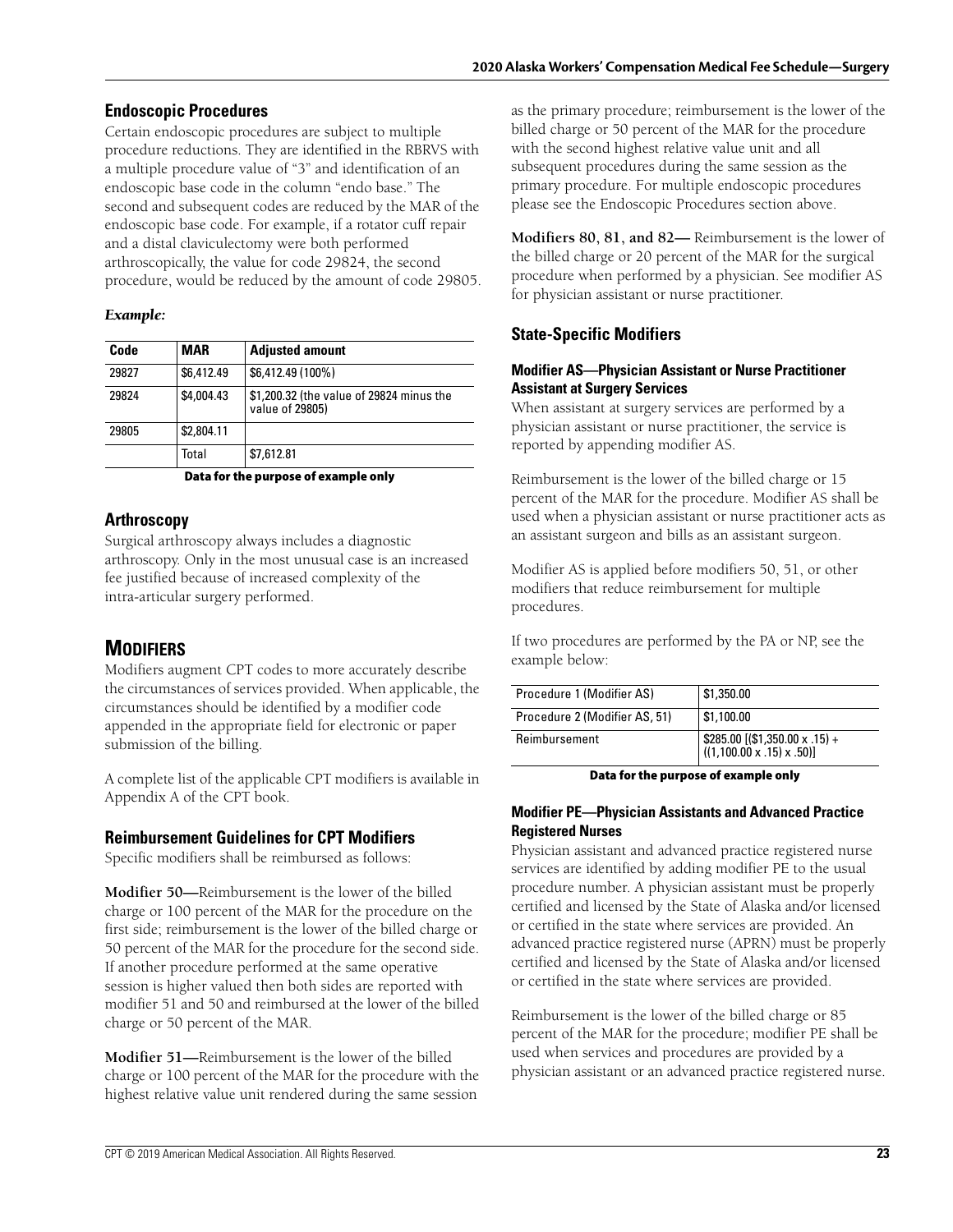### **Endoscopic Procedures**

Certain endoscopic procedures are subject to multiple procedure reductions. They are identified in the RBRVS with a multiple procedure value of "3" and identification of an endoscopic base code in the column "endo base." The second and subsequent codes are reduced by the MAR of the endoscopic base code. For example, if a rotator cuff repair and a distal claviculectomy were both performed arthroscopically, the value for code 29824, the second procedure, would be reduced by the amount of code 29805.

#### *Example:*

| Code  | <b>MAR</b> | <b>Adjusted amount</b>                                      |
|-------|------------|-------------------------------------------------------------|
| 29827 | \$6,412.49 | \$6,412.49 (100%)                                           |
| 29824 | \$4,004.43 | \$1,200.32 (the value of 29824 minus the<br>value of 29805) |
| 29805 | \$2,804.11 |                                                             |
|       | Total      | \$7,612.81                                                  |

**Data for the purpose of example only**

## **Arthroscopy**

Surgical arthroscopy always includes a diagnostic arthroscopy. Only in the most unusual case is an increased fee justified because of increased complexity of the intra-articular surgery performed.

# **MODIFIERS**

Modifiers augment CPT codes to more accurately describe the circumstances of services provided. When applicable, the circumstances should be identified by a modifier code appended in the appropriate field for electronic or paper submission of the billing.

A complete list of the applicable CPT modifiers is available in Appendix A of the CPT book.

## **Reimbursement Guidelines for CPT Modifiers**

Specific modifiers shall be reimbursed as follows:

**Modifier 50—**Reimbursement is the lower of the billed charge or 100 percent of the MAR for the procedure on the first side; reimbursement is the lower of the billed charge or 50 percent of the MAR for the procedure for the second side. If another procedure performed at the same operative session is higher valued then both sides are reported with modifier 51 and 50 and reimbursed at the lower of the billed charge or 50 percent of the MAR.

**Modifier 51—**Reimbursement is the lower of the billed charge or 100 percent of the MAR for the procedure with the highest relative value unit rendered during the same session

as the primary procedure; reimbursement is the lower of the billed charge or 50 percent of the MAR for the procedure with the second highest relative value unit and all subsequent procedures during the same session as the primary procedure. For multiple endoscopic procedures please see the Endoscopic Procedures section above.

**Modifiers 80, 81, and 82—** Reimbursement is the lower of the billed charge or 20 percent of the MAR for the surgical procedure when performed by a physician. See modifier AS for physician assistant or nurse practitioner.

## **State-Specific Modifiers**

#### **Modifier AS—Physician Assistant or Nurse Practitioner Assistant at Surgery Services**

When assistant at surgery services are performed by a physician assistant or nurse practitioner, the service is reported by appending modifier AS.

Reimbursement is the lower of the billed charge or 15 percent of the MAR for the procedure. Modifier AS shall be used when a physician assistant or nurse practitioner acts as an assistant surgeon and bills as an assistant surgeon.

Modifier AS is applied before modifiers 50, 51, or other modifiers that reduce reimbursement for multiple procedures.

If two procedures are performed by the PA or NP, see the example below:

| Procedure 1 (Modifier AS)     | \$1,350.00                                         |
|-------------------------------|----------------------------------------------------|
| Procedure 2 (Modifier AS, 51) | \$1,100.00                                         |
| Reimbursement                 | $\frac{285.00}{(1,100.00 \times .15) \times .50)}$ |

**Data for the purpose of example only**

#### **Modifier PE—Physician Assistants and Advanced Practice Registered Nurses**

Physician assistant and advanced practice registered nurse services are identified by adding modifier PE to the usual procedure number. A physician assistant must be properly certified and licensed by the State of Alaska and/or licensed or certified in the state where services are provided. An advanced practice registered nurse (APRN) must be properly certified and licensed by the State of Alaska and/or licensed or certified in the state where services are provided.

Reimbursement is the lower of the billed charge or 85 percent of the MAR for the procedure; modifier PE shall be used when services and procedures are provided by a physician assistant or an advanced practice registered nurse.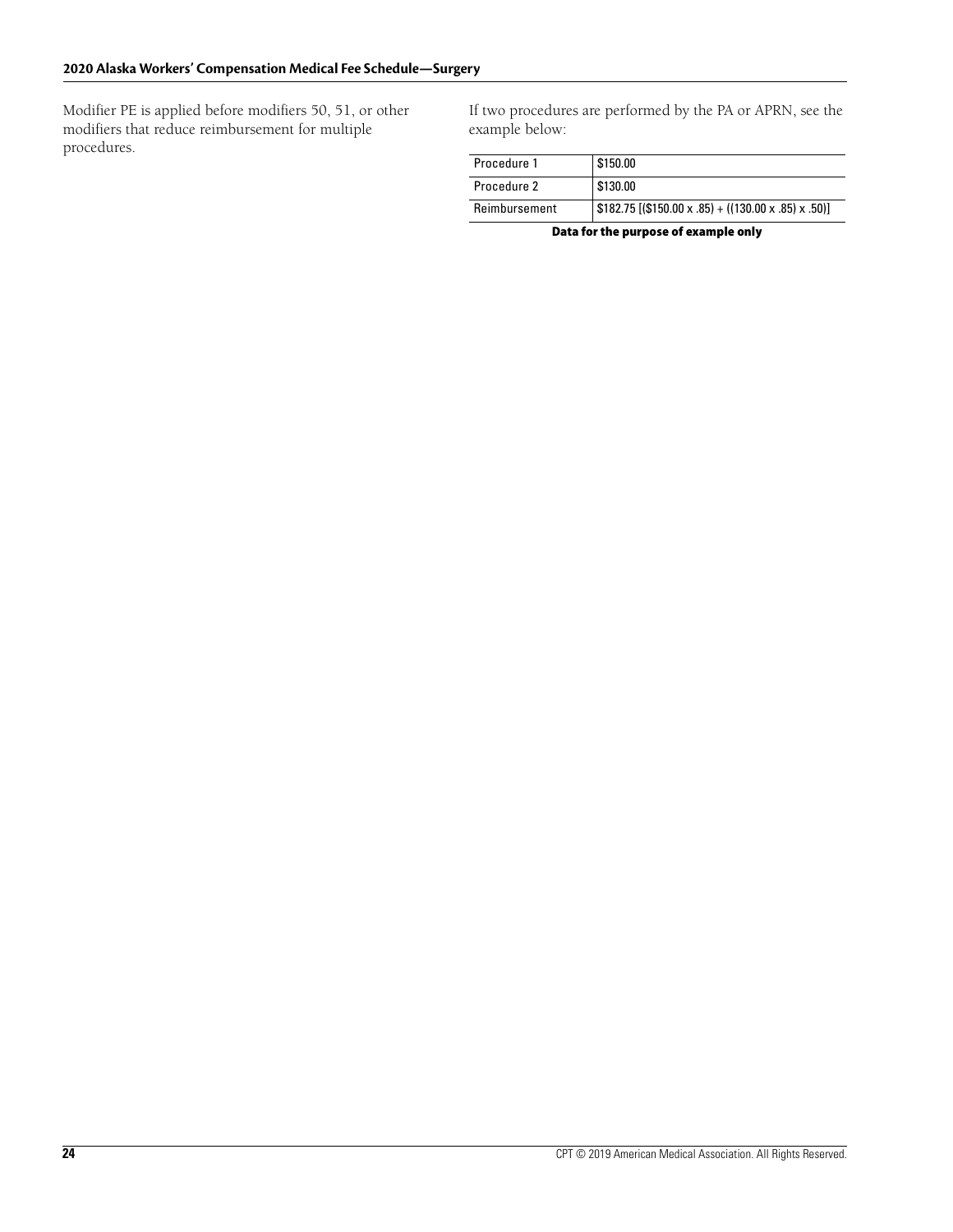Modifier PE is applied before modifiers 50, 51, or other modifiers that reduce reimbursement for multiple procedures.

If two procedures are performed by the PA or APRN, see the example below:

| Procedure 1   | \$150.00                                              |
|---------------|-------------------------------------------------------|
| Procedure 2   | \$130.00                                              |
| Reimbursement | $$182.75$ [(\$150.00 x .85) + ((130.00 x .85) x .50)] |

**Data for the purpose of example only**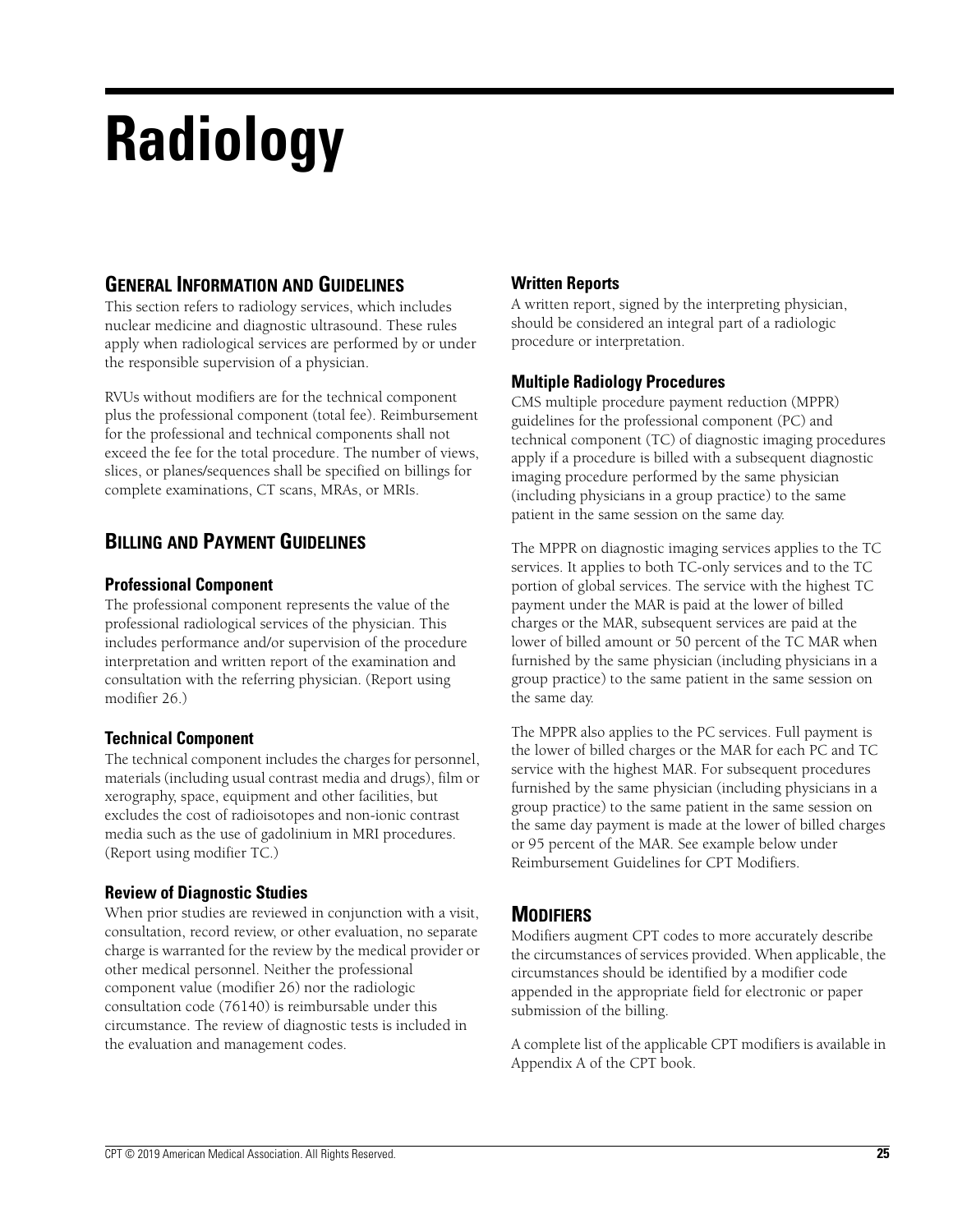# **Radiology**

# **GENERAL INFORMATION AND GUIDELINES**

This section refers to radiology services, which includes nuclear medicine and diagnostic ultrasound. These rules apply when radiological services are performed by or under the responsible supervision of a physician.

RVUs without modifiers are for the technical component plus the professional component (total fee). Reimbursement for the professional and technical components shall not exceed the fee for the total procedure. The number of views, slices, or planes/sequences shall be specified on billings for complete examinations, CT scans, MRAs, or MRIs.

# **BILLING AND PAYMENT GUIDELINES**

## **Professional Component**

The professional component represents the value of the professional radiological services of the physician. This includes performance and/or supervision of the procedure interpretation and written report of the examination and consultation with the referring physician. (Report using modifier 26.)

## **Technical Component**

The technical component includes the charges for personnel, materials (including usual contrast media and drugs), film or xerography, space, equipment and other facilities, but excludes the cost of radioisotopes and non-ionic contrast media such as the use of gadolinium in MRI procedures. (Report using modifier TC.)

## **Review of Diagnostic Studies**

When prior studies are reviewed in conjunction with a visit, consultation, record review, or other evaluation, no separate charge is warranted for the review by the medical provider or other medical personnel. Neither the professional component value (modifier 26) nor the radiologic consultation code (76140) is reimbursable under this circumstance. The review of diagnostic tests is included in the evaluation and management codes.

## **Written Reports**

A written report, signed by the interpreting physician, should be considered an integral part of a radiologic procedure or interpretation.

## **Multiple Radiology Procedures**

CMS multiple procedure payment reduction (MPPR) guidelines for the professional component (PC) and technical component (TC) of diagnostic imaging procedures apply if a procedure is billed with a subsequent diagnostic imaging procedure performed by the same physician (including physicians in a group practice) to the same patient in the same session on the same day.

The MPPR on diagnostic imaging services applies to the TC services. It applies to both TC-only services and to the TC portion of global services. The service with the highest TC payment under the MAR is paid at the lower of billed charges or the MAR, subsequent services are paid at the lower of billed amount or 50 percent of the TC MAR when furnished by the same physician (including physicians in a group practice) to the same patient in the same session on the same day.

The MPPR also applies to the PC services. Full payment is the lower of billed charges or the MAR for each PC and TC service with the highest MAR. For subsequent procedures furnished by the same physician (including physicians in a group practice) to the same patient in the same session on the same day payment is made at the lower of billed charges or 95 percent of the MAR. See example below under Reimbursement Guidelines for CPT Modifiers.

# **MODIFIERS**

Modifiers augment CPT codes to more accurately describe the circumstances of services provided. When applicable, the circumstances should be identified by a modifier code appended in the appropriate field for electronic or paper submission of the billing.

A complete list of the applicable CPT modifiers is available in Appendix A of the CPT book.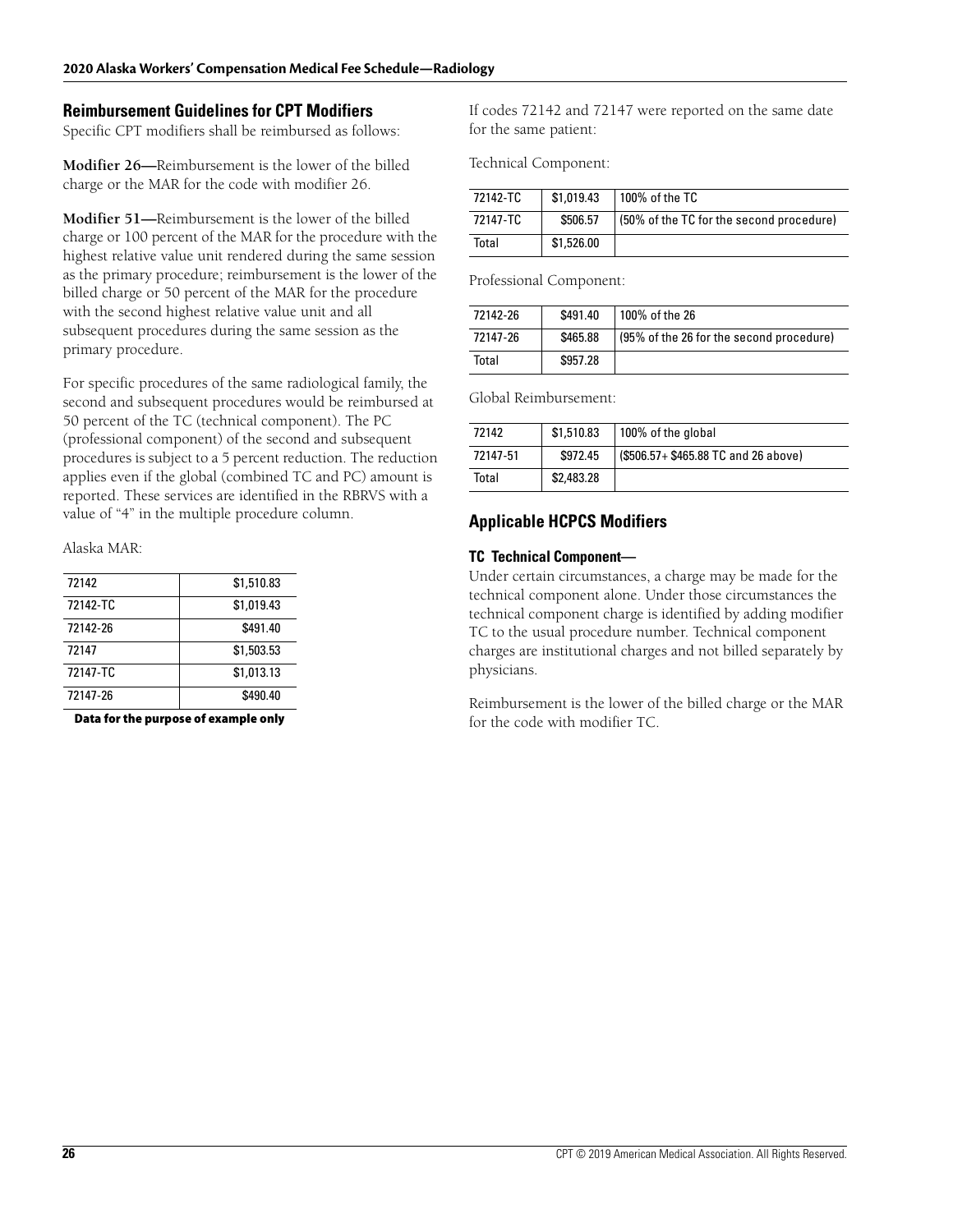#### **Reimbursement Guidelines for CPT Modifiers**

Specific CPT modifiers shall be reimbursed as follows:

**Modifier 26—**Reimbursement is the lower of the billed charge or the MAR for the code with modifier 26.

**Modifier 51—**Reimbursement is the lower of the billed charge or 100 percent of the MAR for the procedure with the highest relative value unit rendered during the same session as the primary procedure; reimbursement is the lower of the billed charge or 50 percent of the MAR for the procedure with the second highest relative value unit and all subsequent procedures during the same session as the primary procedure.

For specific procedures of the same radiological family, the second and subsequent procedures would be reimbursed at 50 percent of the TC (technical component). The PC (professional component) of the second and subsequent procedures is subject to a 5 percent reduction. The reduction applies even if the global (combined TC and PC) amount is reported. These services are identified in the RBRVS with a value of "4" in the multiple procedure column.

Alaska MAR:

| 72142    | \$1,510.83 |
|----------|------------|
| 72142-TC | \$1.019.43 |
| 72142-26 | \$491.40   |
| 72147    | \$1,503.53 |
| 72147-TC | \$1,013.13 |
| 72147-26 | \$490.40   |
|          |            |

**Data for the purpose of example only**

If codes 72142 and 72147 were reported on the same date for the same patient:

Technical Component:

| 72142-TC | \$1,019.43 | 100% of the TC                           |
|----------|------------|------------------------------------------|
| 72147-TC | \$506.57   | (50% of the TC for the second procedure) |
| Total    | \$1,526.00 |                                          |

Professional Component:

| 72142-26 | \$491.40 | 100% of the 26                           |
|----------|----------|------------------------------------------|
| 72147-26 | \$465.88 | (95% of the 26 for the second procedure) |
| Total    | \$957.28 |                                          |

Global Reimbursement:

| 72142    | \$1,510.83 | 100% of the global                   |
|----------|------------|--------------------------------------|
| 72147-51 | \$972.45   | (\$506.57+ \$465.88 TC and 26 above) |
| Total    | \$2,483.28 |                                      |

#### **Applicable HCPCS Modifiers**

#### **TC Technical Component—**

Under certain circumstances, a charge may be made for the technical component alone. Under those circumstances the technical component charge is identified by adding modifier TC to the usual procedure number. Technical component charges are institutional charges and not billed separately by physicians.

Reimbursement is the lower of the billed charge or the MAR for the code with modifier TC.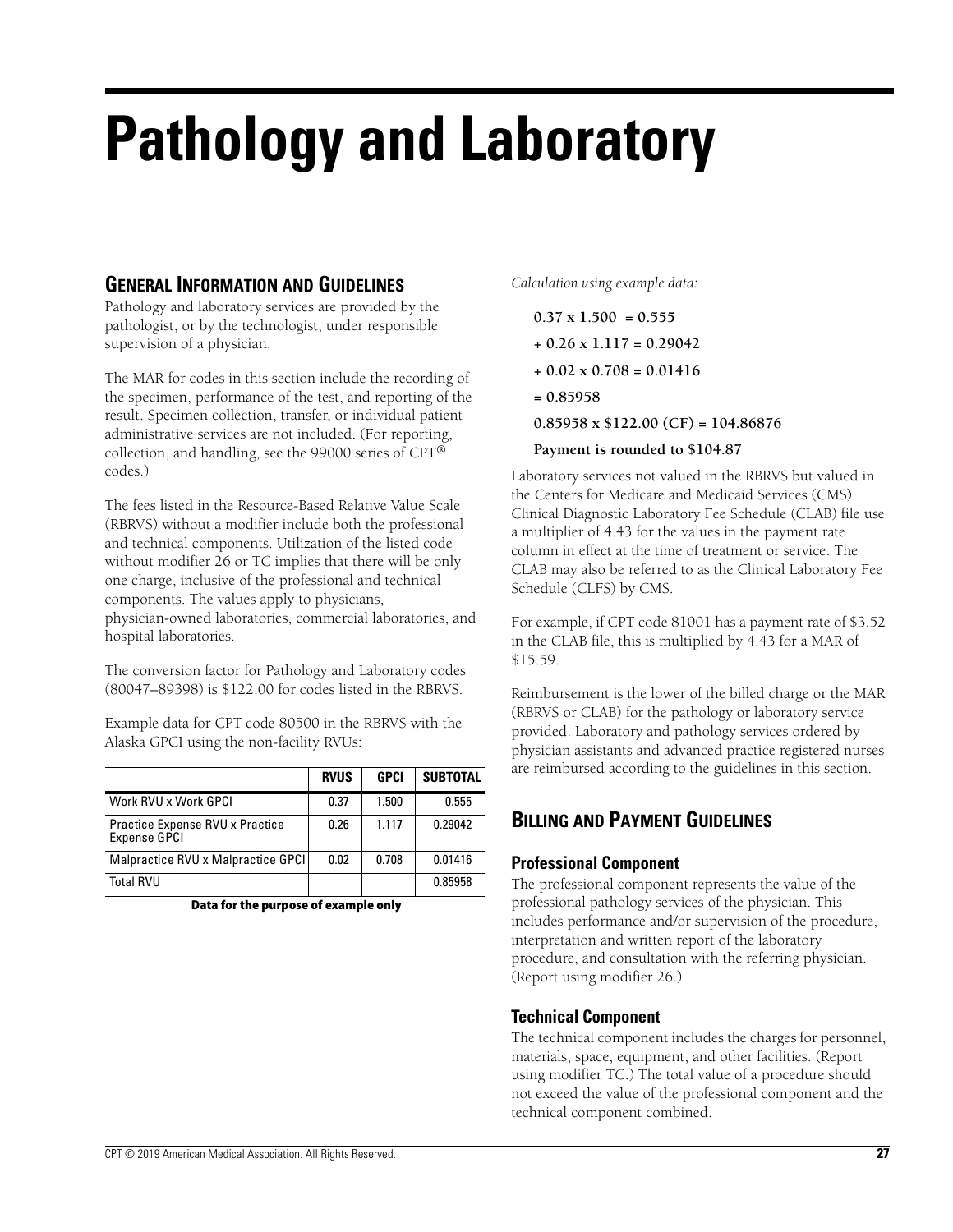# **Pathology and Laboratory**

## **GENERAL INFORMATION AND GUIDELINES**

Pathology and laboratory services are provided by the pathologist, or by the technologist, under responsible supervision of a physician.

The MAR for codes in this section include the recording of the specimen, performance of the test, and reporting of the result. Specimen collection, transfer, or individual patient administrative services are not included. (For reporting, collection, and handling, see the 99000 series of CPT® codes.)

The fees listed in the Resource-Based Relative Value Scale (RBRVS) without a modifier include both the professional and technical components. Utilization of the listed code without modifier 26 or TC implies that there will be only one charge, inclusive of the professional and technical components. The values apply to physicians, physician-owned laboratories, commercial laboratories, and hospital laboratories.

The conversion factor for Pathology and Laboratory codes (80047–89398) is \$122.00 for codes listed in the RBRVS.

Example data for CPT code 80500 in the RBRVS with the Alaska GPCI using the non-facility RVUs:

|                                                        | <b>RVUS</b> | <b>GPCI</b> | <b>SUBTOTAL</b> |
|--------------------------------------------------------|-------------|-------------|-----------------|
| Work RVU x Work GPCI                                   | 0.37        | 1.500       | 0.555           |
| Practice Expense RVU x Practice<br><b>Expense GPCI</b> | 0.26        | 1.117       | 0.29042         |
| Malpractice RVU x Malpractice GPCI                     | 0.02        | 0.708       | 0.01416         |
| <b>Total RVU</b>                                       |             |             | 0.85958         |

**Data for the purpose of example only**

*Calculation using example data:*

- **0.37 x 1.500 = 0.555**
- **+ 0.26 x 1.117 = 0.29042**
- **+ 0.02 x 0.708 = 0.01416**
- **= 0.85958**

**0.85958 x \$122.00 (CF) = 104.86876**

#### **Payment is rounded to \$104.87**

Laboratory services not valued in the RBRVS but valued in the Centers for Medicare and Medicaid Services (CMS) Clinical Diagnostic Laboratory Fee Schedule (CLAB) file use a multiplier of 4.43 for the values in the payment rate column in effect at the time of treatment or service. The CLAB may also be referred to as the Clinical Laboratory Fee Schedule (CLFS) by CMS.

For example, if CPT code 81001 has a payment rate of \$3.52 in the CLAB file, this is multiplied by 4.43 for a MAR of \$15.59.

Reimbursement is the lower of the billed charge or the MAR (RBRVS or CLAB) for the pathology or laboratory service provided. Laboratory and pathology services ordered by physician assistants and advanced practice registered nurses are reimbursed according to the guidelines in this section.

# **BILLING AND PAYMENT GUIDELINES**

### **Professional Component**

The professional component represents the value of the professional pathology services of the physician. This includes performance and/or supervision of the procedure, interpretation and written report of the laboratory procedure, and consultation with the referring physician. (Report using modifier 26.)

### **Technical Component**

The technical component includes the charges for personnel, materials, space, equipment, and other facilities. (Report using modifier TC.) The total value of a procedure should not exceed the value of the professional component and the technical component combined.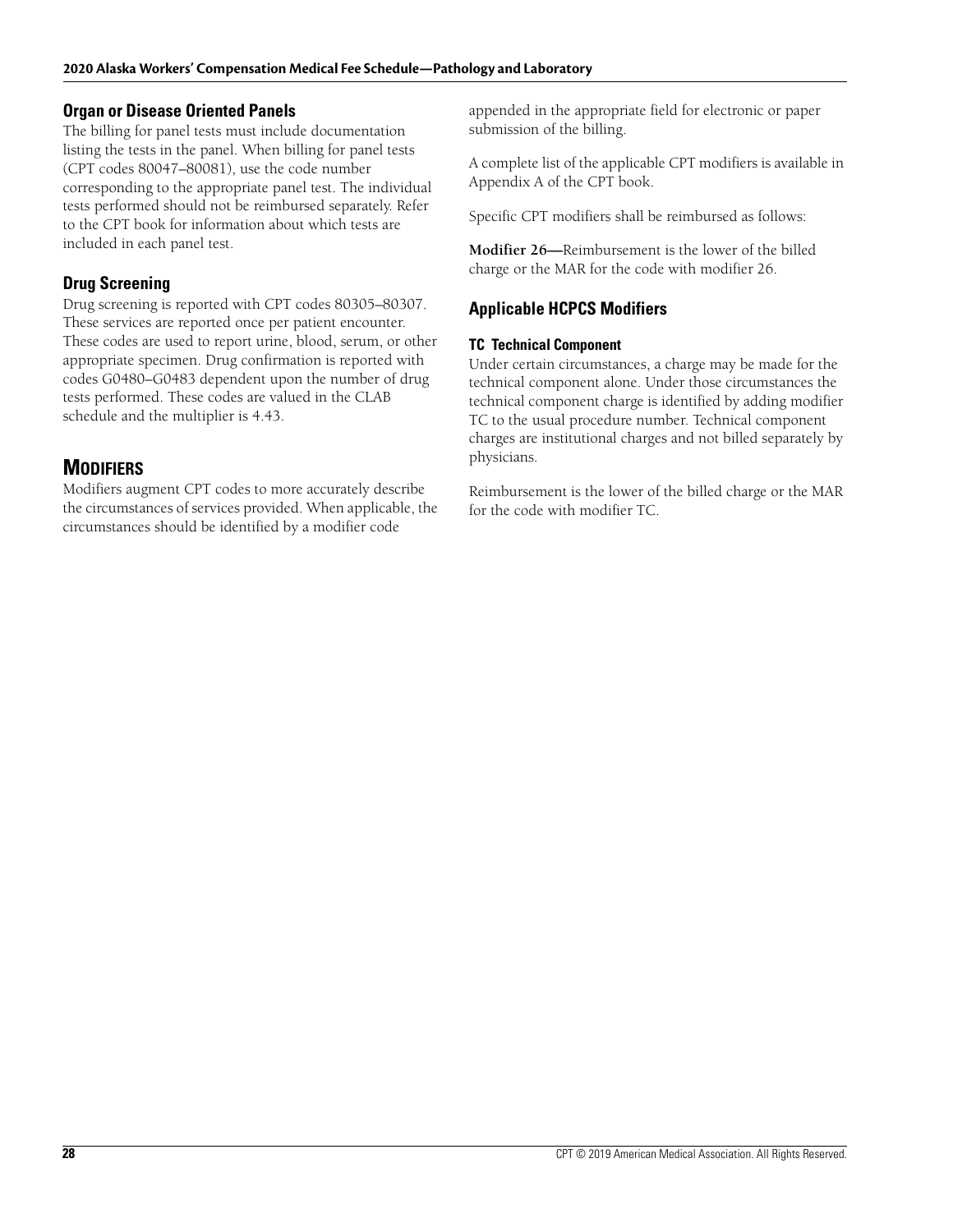#### **Organ or Disease Oriented Panels**

The billing for panel tests must include documentation listing the tests in the panel. When billing for panel tests (CPT codes 80047–80081), use the code number corresponding to the appropriate panel test. The individual tests performed should not be reimbursed separately. Refer to the CPT book for information about which tests are included in each panel test.

## **Drug Screening**

Drug screening is reported with CPT codes 80305–80307. These services are reported once per patient encounter. These codes are used to report urine, blood, serum, or other appropriate specimen. Drug confirmation is reported with codes G0480–G0483 dependent upon the number of drug tests performed. These codes are valued in the CLAB schedule and the multiplier is 4.43.

# **MODIFIERS**

Modifiers augment CPT codes to more accurately describe the circumstances of services provided. When applicable, the circumstances should be identified by a modifier code

appended in the appropriate field for electronic or paper submission of the billing.

A complete list of the applicable CPT modifiers is available in Appendix A of the CPT book.

Specific CPT modifiers shall be reimbursed as follows:

**Modifier 26—**Reimbursement is the lower of the billed charge or the MAR for the code with modifier 26.

## **Applicable HCPCS Modifiers**

#### **TC Technical Component**

Under certain circumstances, a charge may be made for the technical component alone. Under those circumstances the technical component charge is identified by adding modifier TC to the usual procedure number. Technical component charges are institutional charges and not billed separately by physicians.

Reimbursement is the lower of the billed charge or the MAR for the code with modifier TC.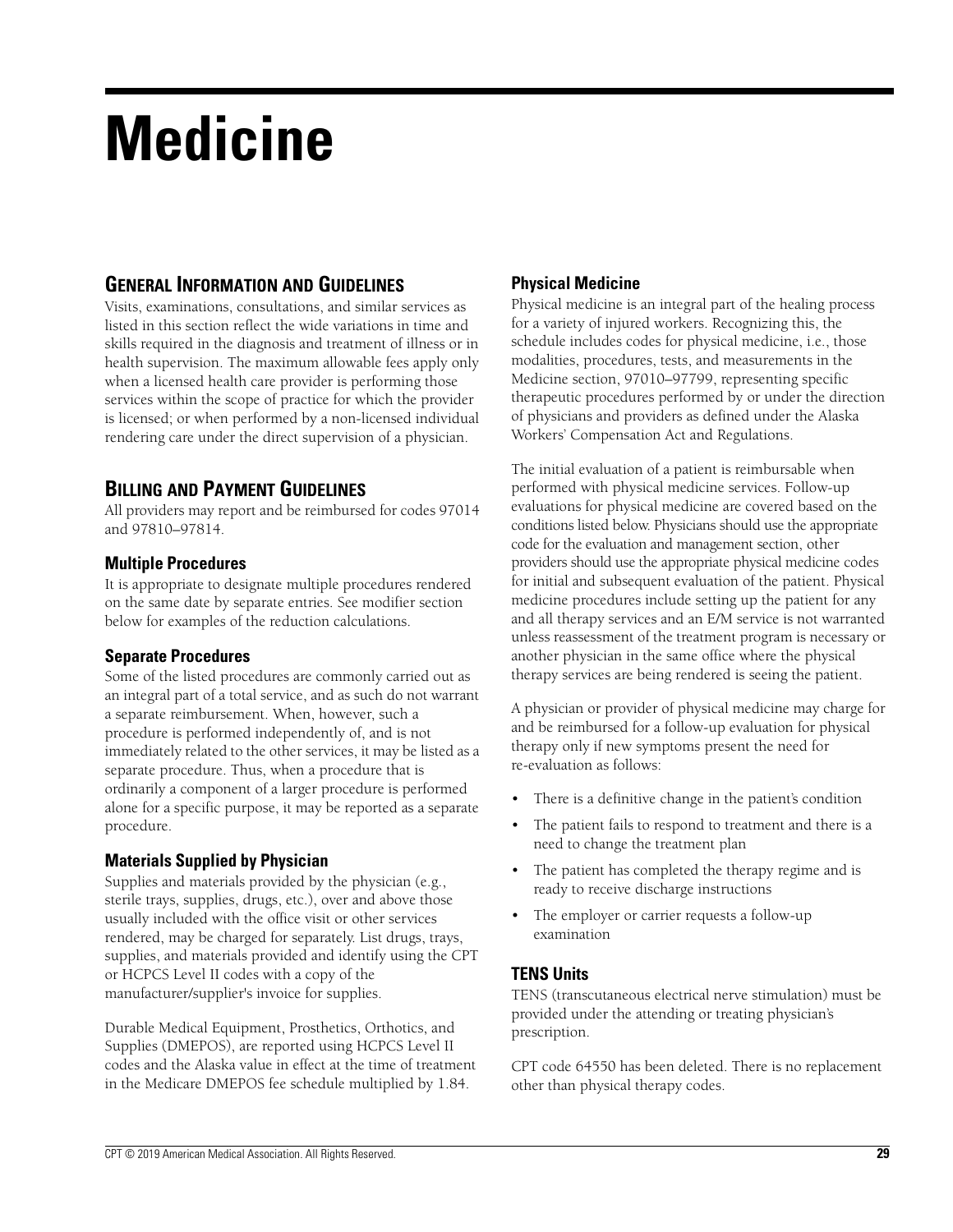# **Medicine**

## **GENERAL INFORMATION AND GUIDELINES**

Visits, examinations, consultations, and similar services as listed in this section reflect the wide variations in time and skills required in the diagnosis and treatment of illness or in health supervision. The maximum allowable fees apply only when a licensed health care provider is performing those services within the scope of practice for which the provider is licensed; or when performed by a non-licensed individual rendering care under the direct supervision of a physician.

# **BILLING AND PAYMENT GUIDELINES**

All providers may report and be reimbursed for codes 97014 and 97810–97814.

#### **Multiple Procedures**

It is appropriate to designate multiple procedures rendered on the same date by separate entries. See modifier section below for examples of the reduction calculations.

### **Separate Procedures**

Some of the listed procedures are commonly carried out as an integral part of a total service, and as such do not warrant a separate reimbursement. When, however, such a procedure is performed independently of, and is not immediately related to the other services, it may be listed as a separate procedure. Thus, when a procedure that is ordinarily a component of a larger procedure is performed alone for a specific purpose, it may be reported as a separate procedure.

### **Materials Supplied by Physician**

Supplies and materials provided by the physician (e.g., sterile trays, supplies, drugs, etc.), over and above those usually included with the office visit or other services rendered, may be charged for separately. List drugs, trays, supplies, and materials provided and identify using the CPT or HCPCS Level II codes with a copy of the manufacturer/supplier's invoice for supplies.

Durable Medical Equipment, Prosthetics, Orthotics, and Supplies (DMEPOS), are reported using HCPCS Level II codes and the Alaska value in effect at the time of treatment in the Medicare DMEPOS fee schedule multiplied by 1.84.

## **Physical Medicine**

Physical medicine is an integral part of the healing process for a variety of injured workers. Recognizing this, the schedule includes codes for physical medicine, i.e., those modalities, procedures, tests, and measurements in the Medicine section, 97010–97799, representing specific therapeutic procedures performed by or under the direction of physicians and providers as defined under the Alaska Workers' Compensation Act and Regulations.

The initial evaluation of a patient is reimbursable when performed with physical medicine services. Follow-up evaluations for physical medicine are covered based on the conditions listed below. Physicians should use the appropriate code for the evaluation and management section, other providers should use the appropriate physical medicine codes for initial and subsequent evaluation of the patient. Physical medicine procedures include setting up the patient for any and all therapy services and an E/M service is not warranted unless reassessment of the treatment program is necessary or another physician in the same office where the physical therapy services are being rendered is seeing the patient.

A physician or provider of physical medicine may charge for and be reimbursed for a follow-up evaluation for physical therapy only if new symptoms present the need for re-evaluation as follows:

- There is a definitive change in the patient's condition
- The patient fails to respond to treatment and there is a need to change the treatment plan
- The patient has completed the therapy regime and is ready to receive discharge instructions
- The employer or carrier requests a follow-up examination

### **TENS Units**

TENS (transcutaneous electrical nerve stimulation) must be provided under the attending or treating physician's prescription.

CPT code 64550 has been deleted. There is no replacement other than physical therapy codes.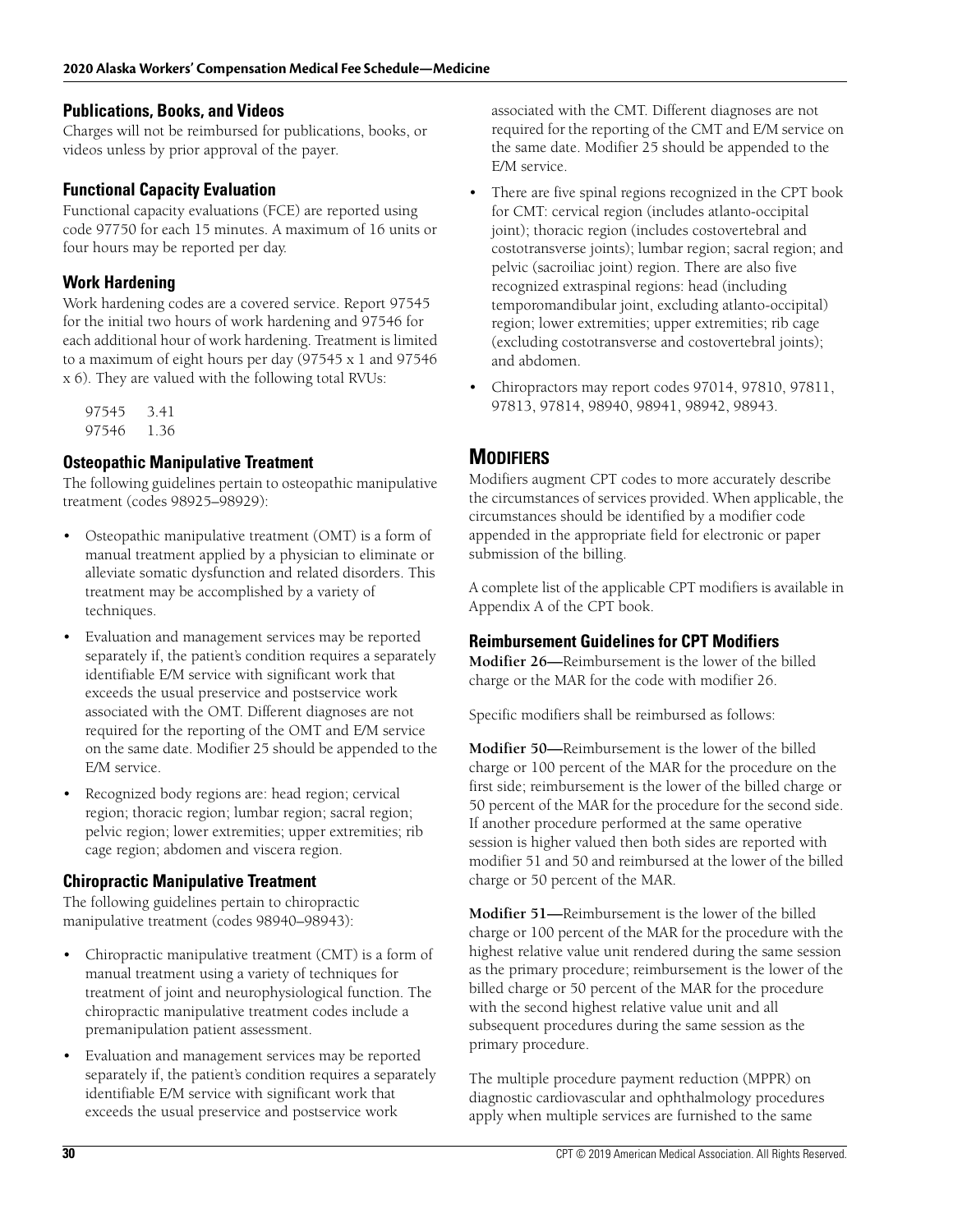#### **Publications, Books, and Videos**

Charges will not be reimbursed for publications, books, or videos unless by prior approval of the payer.

### **Functional Capacity Evaluation**

Functional capacity evaluations (FCE) are reported using code 97750 for each 15 minutes. A maximum of 16 units or four hours may be reported per day.

## **Work Hardening**

Work hardening codes are a covered service. Report 97545 for the initial two hours of work hardening and 97546 for each additional hour of work hardening. Treatment is limited to a maximum of eight hours per day (97545 x 1 and 97546 x 6). They are valued with the following total RVUs:

97545 3.41 97546 1.36

## **Osteopathic Manipulative Treatment**

The following guidelines pertain to osteopathic manipulative treatment (codes 98925–98929):

- Osteopathic manipulative treatment (OMT) is a form of manual treatment applied by a physician to eliminate or alleviate somatic dysfunction and related disorders. This treatment may be accomplished by a variety of techniques.
- Evaluation and management services may be reported separately if, the patient's condition requires a separately identifiable E/M service with significant work that exceeds the usual preservice and postservice work associated with the OMT. Different diagnoses are not required for the reporting of the OMT and E/M service on the same date. Modifier 25 should be appended to the E/M service.
- Recognized body regions are: head region; cervical region; thoracic region; lumbar region; sacral region; pelvic region; lower extremities; upper extremities; rib cage region; abdomen and viscera region.

## **Chiropractic Manipulative Treatment**

The following guidelines pertain to chiropractic manipulative treatment (codes 98940–98943):

- Chiropractic manipulative treatment (CMT) is a form of manual treatment using a variety of techniques for treatment of joint and neurophysiological function. The chiropractic manipulative treatment codes include a premanipulation patient assessment.
- Evaluation and management services may be reported separately if, the patient's condition requires a separately identifiable E/M service with significant work that exceeds the usual preservice and postservice work

associated with the CMT. Different diagnoses are not required for the reporting of the CMT and E/M service on the same date. Modifier 25 should be appended to the E/M service.

- There are five spinal regions recognized in the CPT book for CMT: cervical region (includes atlanto-occipital joint); thoracic region (includes costovertebral and costotransverse joints); lumbar region; sacral region; and pelvic (sacroiliac joint) region. There are also five recognized extraspinal regions: head (including temporomandibular joint, excluding atlanto-occipital) region; lower extremities; upper extremities; rib cage (excluding costotransverse and costovertebral joints); and abdomen.
- Chiropractors may report codes 97014, 97810, 97811, 97813, 97814, 98940, 98941, 98942, 98943.

# **MODIFIERS**

Modifiers augment CPT codes to more accurately describe the circumstances of services provided. When applicable, the circumstances should be identified by a modifier code appended in the appropriate field for electronic or paper submission of the billing.

A complete list of the applicable CPT modifiers is available in Appendix A of the CPT book.

### **Reimbursement Guidelines for CPT Modifiers**

**Modifier 26—**Reimbursement is the lower of the billed charge or the MAR for the code with modifier 26.

Specific modifiers shall be reimbursed as follows:

**Modifier 50—**Reimbursement is the lower of the billed charge or 100 percent of the MAR for the procedure on the first side; reimbursement is the lower of the billed charge or 50 percent of the MAR for the procedure for the second side. If another procedure performed at the same operative session is higher valued then both sides are reported with modifier 51 and 50 and reimbursed at the lower of the billed charge or 50 percent of the MAR.

**Modifier 51—**Reimbursement is the lower of the billed charge or 100 percent of the MAR for the procedure with the highest relative value unit rendered during the same session as the primary procedure; reimbursement is the lower of the billed charge or 50 percent of the MAR for the procedure with the second highest relative value unit and all subsequent procedures during the same session as the primary procedure.

The multiple procedure payment reduction (MPPR) on diagnostic cardiovascular and ophthalmology procedures apply when multiple services are furnished to the same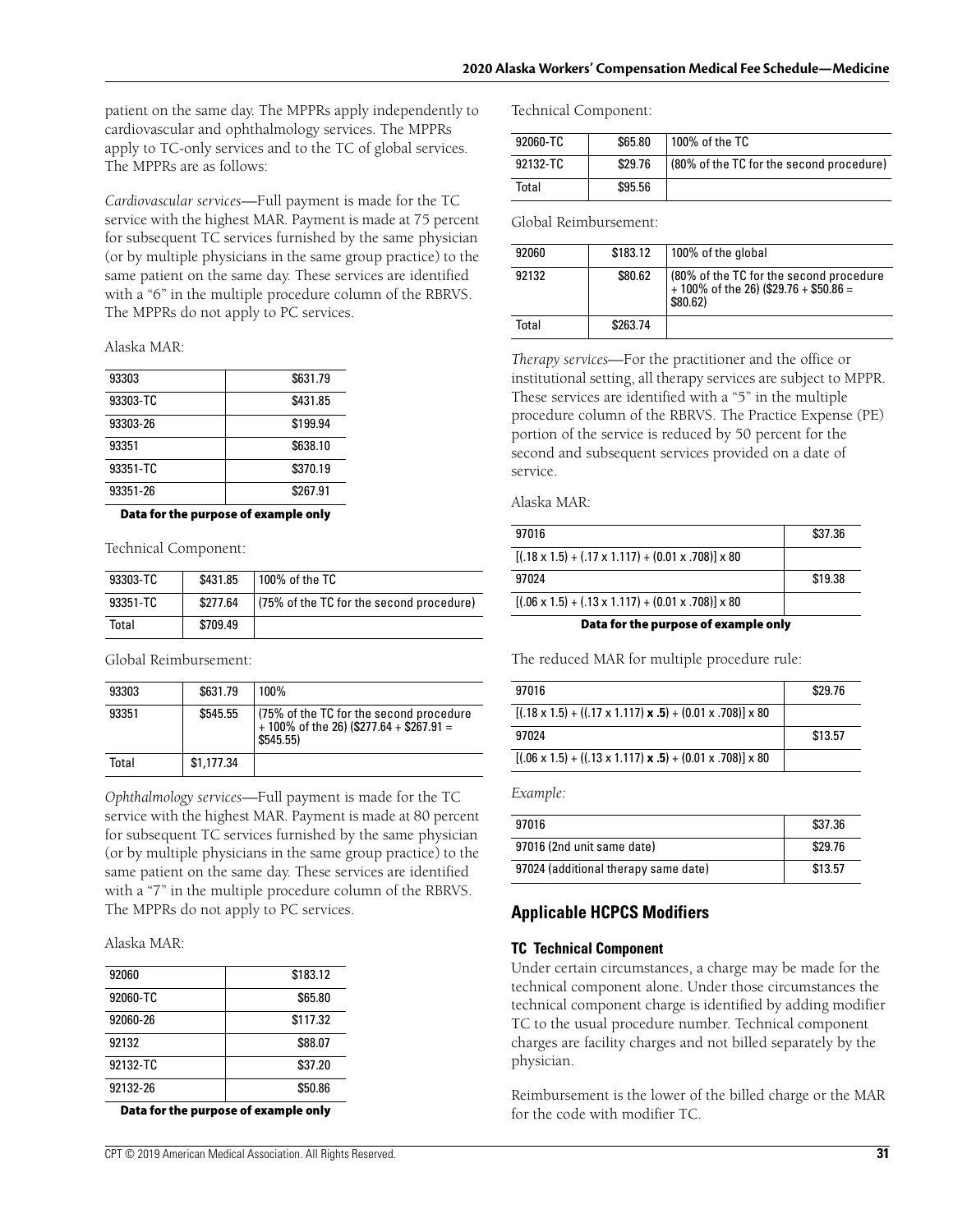patient on the same day. The MPPRs apply independently to cardiovascular and ophthalmology services. The MPPRs apply to TC-only services and to the TC of global services. The MPPRs are as follows:

*Cardiovascular services*—Full payment is made for the TC service with the highest MAR. Payment is made at 75 percent for subsequent TC services furnished by the same physician (or by multiple physicians in the same group practice) to the same patient on the same day. These services are identified with a "6" in the multiple procedure column of the RBRVS. The MPPRs do not apply to PC services.

Alaska MAR:

| 93303    | \$631.79 |
|----------|----------|
| 93303-TC | \$431.85 |
| 93303-26 | \$199.94 |
| 93351    | \$638.10 |
| 93351-TC | \$370.19 |
| 93351-26 | \$267.91 |

**Data for the purpose of example only**

Technical Component:

| 93303-TC | \$431.85 | 100% of the TC                           |
|----------|----------|------------------------------------------|
| 93351-TC | \$277.64 | (75% of the TC for the second procedure) |
| Total    | \$709.49 |                                          |

Global Reimbursement:

| 93303 | \$631.79   | 100%                                                                                              |
|-------|------------|---------------------------------------------------------------------------------------------------|
| 93351 | \$545.55   | (75% of the TC for the second procedure<br>$+100\%$ of the 26) (\$277.64 + \$267.91 =<br>\$545.55 |
| Total | \$1,177.34 |                                                                                                   |

*Ophthalmology services*—Full payment is made for the TC service with the highest MAR. Payment is made at 80 percent for subsequent TC services furnished by the same physician (or by multiple physicians in the same group practice) to the same patient on the same day. These services are identified with a "7" in the multiple procedure column of the RBRVS. The MPPRs do not apply to PC services.

#### Alaska MAR:

| 92060    | \$183.12 |
|----------|----------|
| 92060-TC | \$65.80  |
| 92060-26 | \$117.32 |
| 92132    | \$88.07  |
| 92132-TC | \$37.20  |
| 92132-26 | \$50.86  |

**Data for the purpose of example only**

Technical Component:

| 92060-TC | \$65.80 | 100% of the TC                           |
|----------|---------|------------------------------------------|
| 92132-TC | \$29.76 | (80% of the TC for the second procedure) |
| Total    | \$95.56 |                                          |

Global Reimbursement:

| 92060 | \$183.12 | 100% of the global                                                                                       |
|-------|----------|----------------------------------------------------------------------------------------------------------|
| 92132 | \$80.62  | $(80\% \text{ of the TC}$ for the second procedure<br>+ 100% of the 26) (\$29.76 + \$50.86 =<br>\$80.62) |
| Total | \$263.74 |                                                                                                          |

*Therapy services*—For the practitioner and the office or institutional setting, all therapy services are subject to MPPR. These services are identified with a "5" in the multiple procedure column of the RBRVS. The Practice Expense (PE) portion of the service is reduced by 50 percent for the second and subsequent services provided on a date of service.

Alaska MAR:

| Data for the purpose of example only                                     |         |  |
|--------------------------------------------------------------------------|---------|--|
| $[(.06 \times 1.5) + (.13 \times 1.117) + (0.01 \times .708)] \times 80$ |         |  |
| 97024                                                                    | \$19.38 |  |
| $[(.18 \times 1.5) + (.17 \times 1.117) + (0.01 \times .708)] \times 80$ |         |  |
| 97016                                                                    | \$37.36 |  |
|                                                                          |         |  |

The reduced MAR for multiple procedure rule:

| 97016                                                                                | \$29.76 |
|--------------------------------------------------------------------------------------|---------|
| $[(.18 \times 1.5) + ((.17 \times 1.117) \times .5) + (0.01 \times .708)] \times 80$ |         |
| 97024                                                                                | \$13.57 |
| $[(.06 \times 1.5) + ((.13 \times 1.117) \times .5) + (0.01 \times .708)] \times 80$ |         |

*Example:*

| 97016                                | \$37.36 |
|--------------------------------------|---------|
| 97016 (2nd unit same date)           | \$29.76 |
| 97024 (additional therapy same date) | \$13.57 |

### **Applicable HCPCS Modifiers**

#### **TC Technical Component**

Under certain circumstances, a charge may be made for the technical component alone. Under those circumstances the technical component charge is identified by adding modifier TC to the usual procedure number. Technical component charges are facility charges and not billed separately by the physician.

Reimbursement is the lower of the billed charge or the MAR for the code with modifier TC.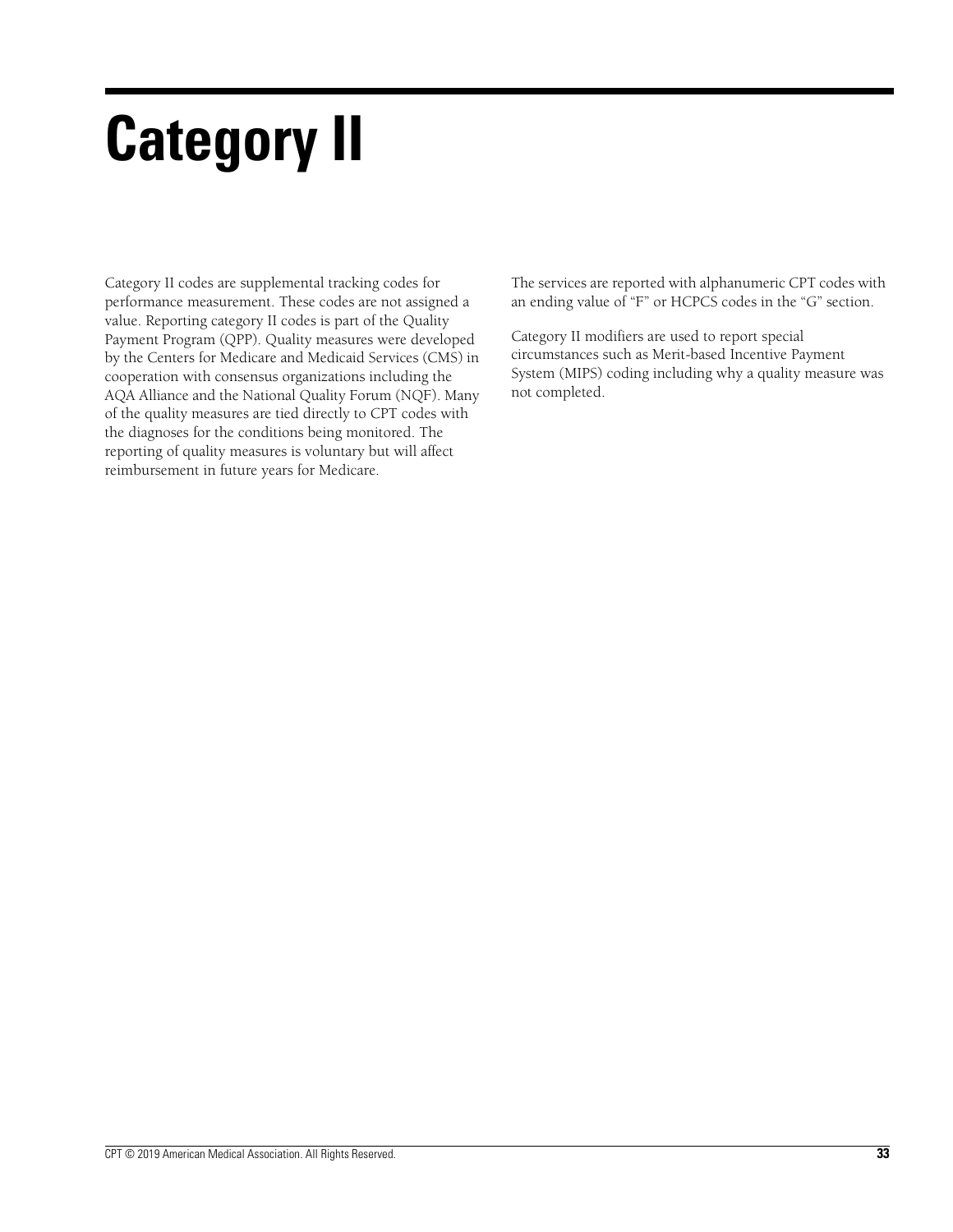# **Category II**

Category II codes are supplemental tracking codes for performance measurement. These codes are not assigned a value. Reporting category II codes is part of the Quality Payment Program (QPP). Quality measures were developed by the Centers for Medicare and Medicaid Services (CMS) in cooperation with consensus organizations including the AQA Alliance and the National Quality Forum (NQF). Many of the quality measures are tied directly to CPT codes with the diagnoses for the conditions being monitored. The reporting of quality measures is voluntary but will affect reimbursement in future years for Medicare.

The services are reported with alphanumeric CPT codes with an ending value of "F" or HCPCS codes in the "G" section.

Category II modifiers are used to report special circumstances such as Merit-based Incentive Payment System (MIPS) coding including why a quality measure was not completed.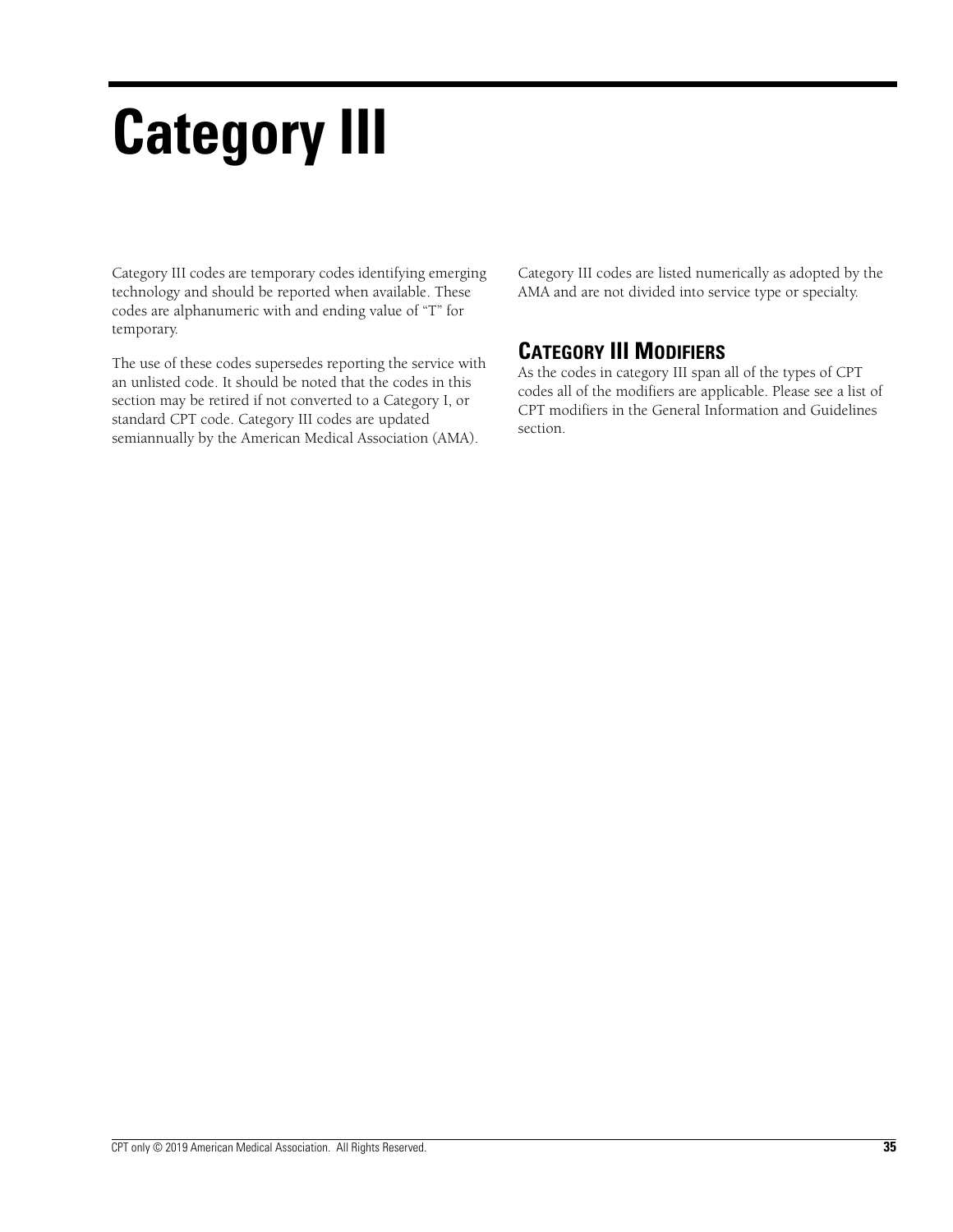# **Category III**

Category III codes are temporary codes identifying emerging technology and should be reported when available. These codes are alphanumeric with and ending value of "T" for temporary.

The use of these codes supersedes reporting the service with an unlisted code. It should be noted that the codes in this section may be retired if not converted to a Category I, or standard CPT code. Category III codes are updated semiannually by the American Medical Association (AMA).

Category III codes are listed numerically as adopted by the AMA and are not divided into service type or specialty.

# **CATEGORY III MODIFIERS**

As the codes in category III span all of the types of CPT codes all of the modifiers are applicable. Please see a list of CPT modifiers in the General Information and Guidelines section.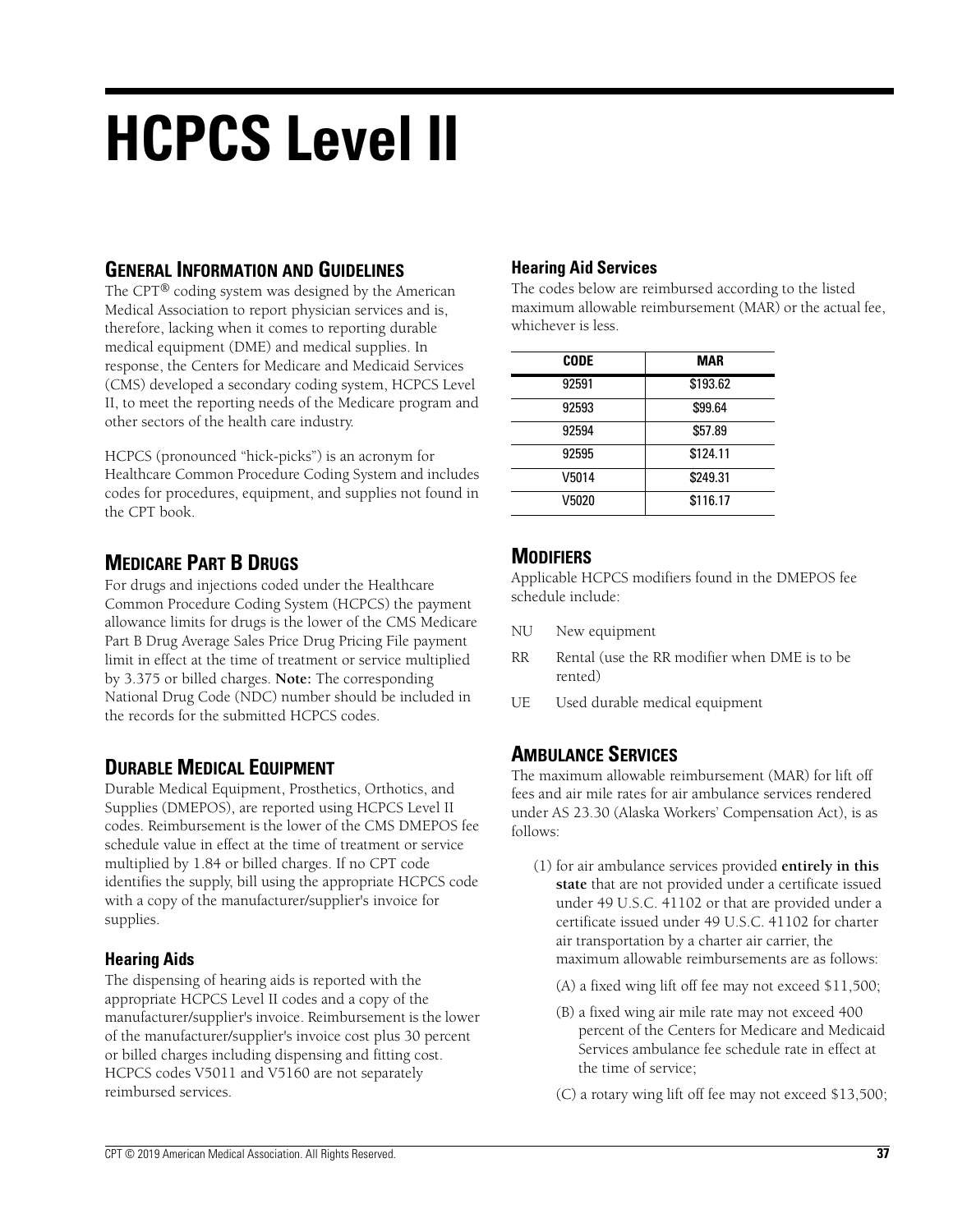# **HCPCS Level II**

## **GENERAL INFORMATION AND GUIDELINES**

The CPT® coding system was designed by the American Medical Association to report physician services and is, therefore, lacking when it comes to reporting durable medical equipment (DME) and medical supplies. In response, the Centers for Medicare and Medicaid Services (CMS) developed a secondary coding system, HCPCS Level II, to meet the reporting needs of the Medicare program and other sectors of the health care industry.

HCPCS (pronounced "hick-picks") is an acronym for Healthcare Common Procedure Coding System and includes codes for procedures, equipment, and supplies not found in the CPT book.

# **MEDICARE PART B DRUGS**

For drugs and injections coded under the Healthcare Common Procedure Coding System (HCPCS) the payment allowance limits for drugs is the lower of the CMS Medicare Part B Drug Average Sales Price Drug Pricing File payment limit in effect at the time of treatment or service multiplied by 3.375 or billed charges. **Note:** The corresponding National Drug Code (NDC) number should be included in the records for the submitted HCPCS codes.

## **DURABLE MEDICAL EQUIPMENT**

Durable Medical Equipment, Prosthetics, Orthotics, and Supplies (DMEPOS), are reported using HCPCS Level II codes. Reimbursement is the lower of the CMS DMEPOS fee schedule value in effect at the time of treatment or service multiplied by 1.84 or billed charges. If no CPT code identifies the supply, bill using the appropriate HCPCS code with a copy of the manufacturer/supplier's invoice for supplies.

### **Hearing Aids**

The dispensing of hearing aids is reported with the appropriate HCPCS Level II codes and a copy of the manufacturer/supplier's invoice. Reimbursement is the lower of the manufacturer/supplier's invoice cost plus 30 percent or billed charges including dispensing and fitting cost. HCPCS codes V5011 and V5160 are not separately reimbursed services.

## **Hearing Aid Services**

The codes below are reimbursed according to the listed maximum allowable reimbursement (MAR) or the actual fee, whichever is less.

| <b>CODE</b> | <b>MAR</b> |
|-------------|------------|
| 92591       | \$193.62   |
| 92593       | \$99.64    |
| 92594       | \$57.89    |
| 92595       | \$124.11   |
| V5014       | \$249.31   |
| V5020       | \$116.17   |

# **MODIFIERS**

Applicable HCPCS modifiers found in the DMEPOS fee schedule include:

- NU New equipment
- RR Rental (use the RR modifier when DME is to be rented)
- UE Used durable medical equipment

## **AMBULANCE SERVICES**

The maximum allowable reimbursement (MAR) for lift off fees and air mile rates for air ambulance services rendered under AS 23.30 (Alaska Workers' Compensation Act), is as follows:

- (1) for air ambulance services provided **entirely in this state** that are not provided under a certificate issued under 49 U.S.C. 41102 or that are provided under a certificate issued under 49 U.S.C. 41102 for charter air transportation by a charter air carrier, the maximum allowable reimbursements are as follows:
	- (A) a fixed wing lift off fee may not exceed \$11,500;
	- (B) a fixed wing air mile rate may not exceed 400 percent of the Centers for Medicare and Medicaid Services ambulance fee schedule rate in effect at the time of service;
	- (C) a rotary wing lift off fee may not exceed \$13,500;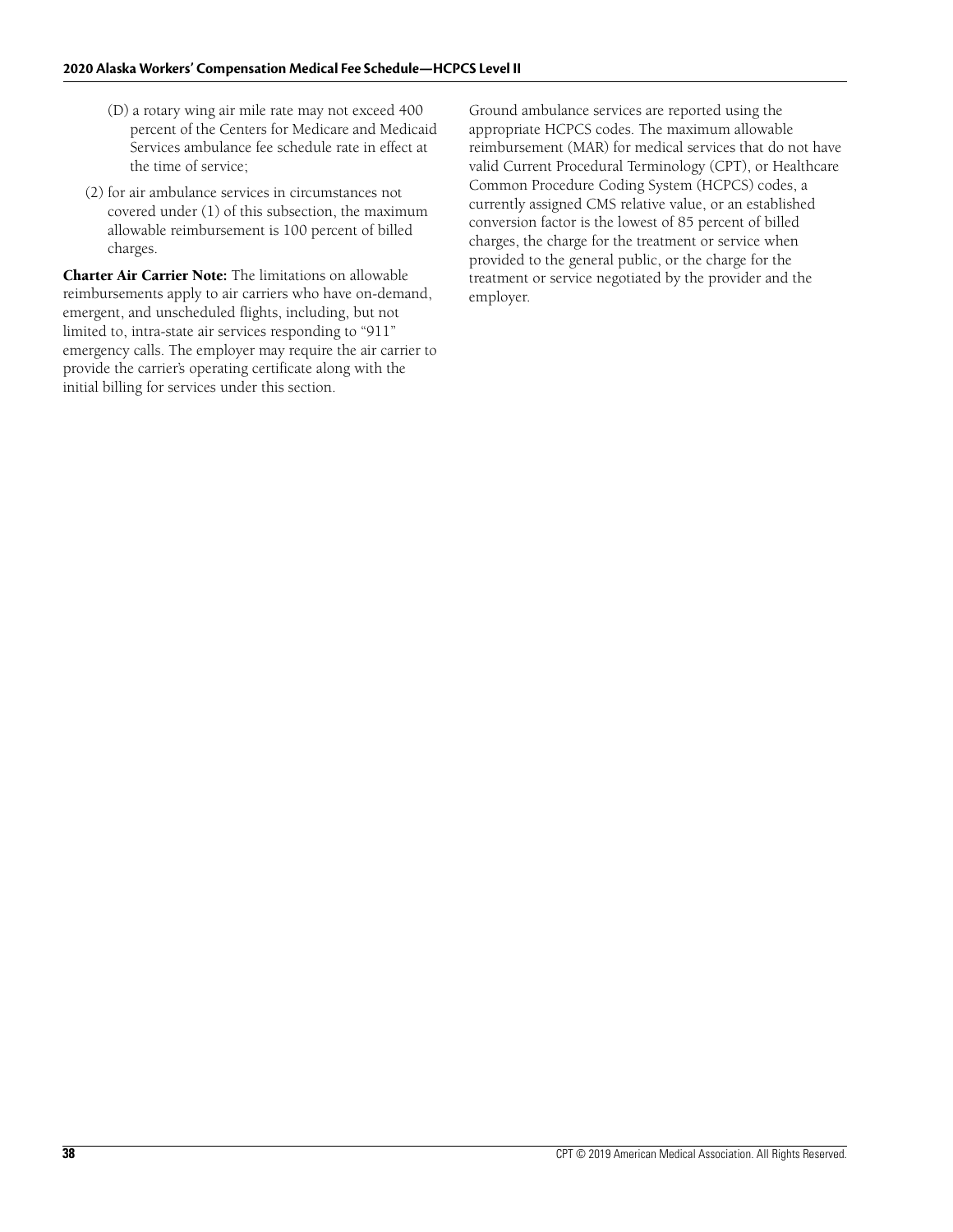- (D) a rotary wing air mile rate may not exceed 400 percent of the Centers for Medicare and Medicaid Services ambulance fee schedule rate in effect at the time of service;
- (2) for air ambulance services in circumstances not covered under (1) of this subsection, the maximum allowable reimbursement is 100 percent of billed charges.

**Charter Air Carrier Note:** The limitations on allowable reimbursements apply to air carriers who have on-demand, emergent, and unscheduled flights, including, but not limited to, intra-state air services responding to "911" emergency calls. The employer may require the air carrier to provide the carrier's operating certificate along with the initial billing for services under this section.

Ground ambulance services are reported using the appropriate HCPCS codes. The maximum allowable reimbursement (MAR) for medical services that do not have valid Current Procedural Terminology (CPT), or Healthcare Common Procedure Coding System (HCPCS) codes, a currently assigned CMS relative value, or an established conversion factor is the lowest of 85 percent of billed charges, the charge for the treatment or service when provided to the general public, or the charge for the treatment or service negotiated by the provider and the employer.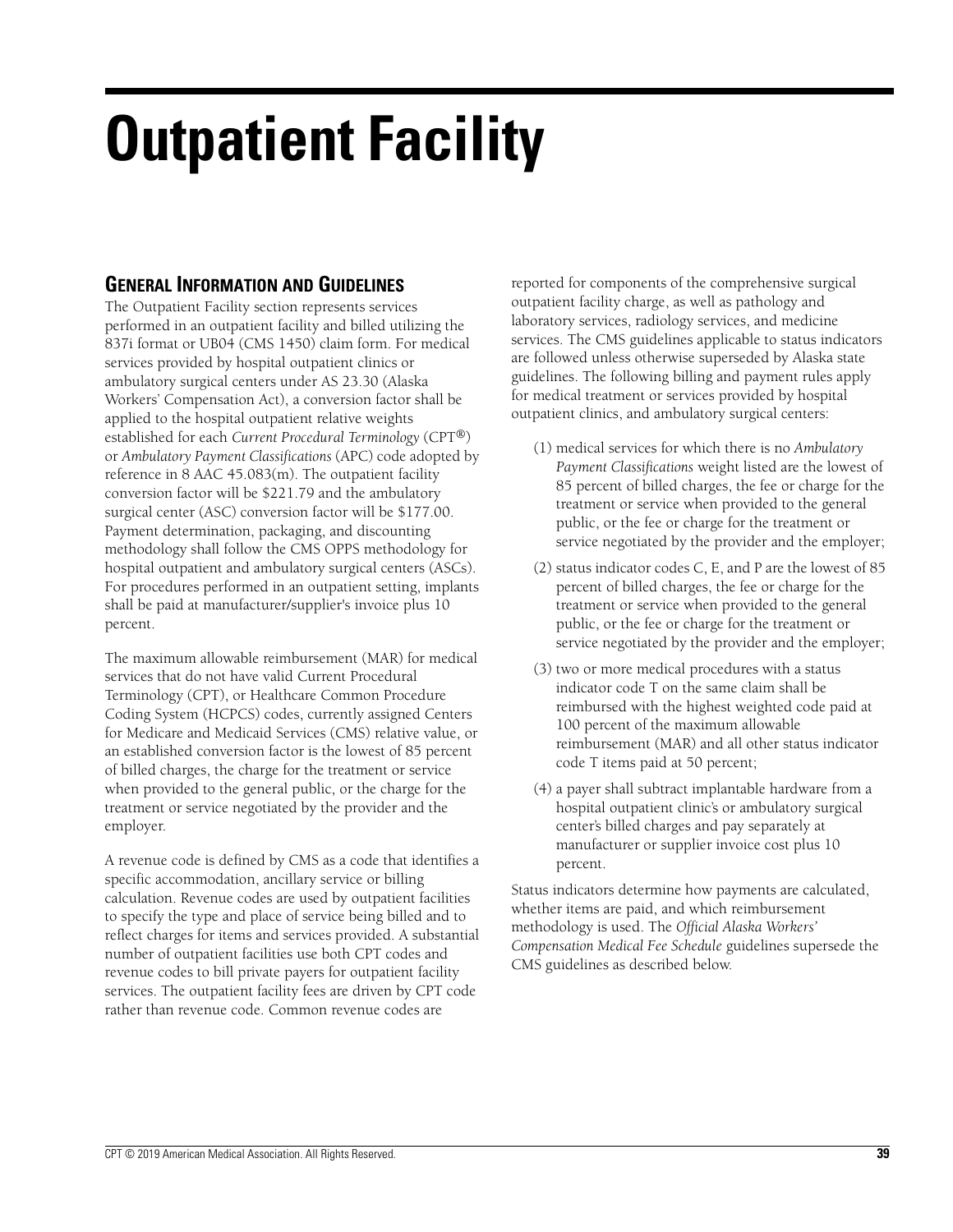# **Outpatient Facility**

# **GENERAL INFORMATION AND GUIDELINES**

The Outpatient Facility section represents services performed in an outpatient facility and billed utilizing the 837i format or UB04 (CMS 1450) claim form. For medical services provided by hospital outpatient clinics or ambulatory surgical centers under AS 23.30 (Alaska Workers' Compensation Act), a conversion factor shall be applied to the hospital outpatient relative weights established for each *Current Procedural Terminology* (CPT®) or *Ambulatory Payment Classifications* (APC) code adopted by reference in 8 AAC 45.083(m). The outpatient facility conversion factor will be \$221.79 and the ambulatory surgical center (ASC) conversion factor will be \$177.00. Payment determination, packaging, and discounting methodology shall follow the CMS OPPS methodology for hospital outpatient and ambulatory surgical centers (ASCs). For procedures performed in an outpatient setting, implants shall be paid at manufacturer/supplier's invoice plus 10 percent.

The maximum allowable reimbursement (MAR) for medical services that do not have valid Current Procedural Terminology (CPT), or Healthcare Common Procedure Coding System (HCPCS) codes, currently assigned Centers for Medicare and Medicaid Services (CMS) relative value, or an established conversion factor is the lowest of 85 percent of billed charges, the charge for the treatment or service when provided to the general public, or the charge for the treatment or service negotiated by the provider and the employer.

A revenue code is defined by CMS as a code that identifies a specific accommodation, ancillary service or billing calculation. Revenue codes are used by outpatient facilities to specify the type and place of service being billed and to reflect charges for items and services provided. A substantial number of outpatient facilities use both CPT codes and revenue codes to bill private payers for outpatient facility services. The outpatient facility fees are driven by CPT code rather than revenue code. Common revenue codes are

reported for components of the comprehensive surgical outpatient facility charge, as well as pathology and laboratory services, radiology services, and medicine services. The CMS guidelines applicable to status indicators are followed unless otherwise superseded by Alaska state guidelines. The following billing and payment rules apply for medical treatment or services provided by hospital outpatient clinics, and ambulatory surgical centers:

- (1) medical services for which there is no *Ambulatory Payment Classifications* weight listed are the lowest of 85 percent of billed charges, the fee or charge for the treatment or service when provided to the general public, or the fee or charge for the treatment or service negotiated by the provider and the employer;
- (2) status indicator codes C, E, and P are the lowest of 85 percent of billed charges, the fee or charge for the treatment or service when provided to the general public, or the fee or charge for the treatment or service negotiated by the provider and the employer;
- (3) two or more medical procedures with a status indicator code T on the same claim shall be reimbursed with the highest weighted code paid at 100 percent of the maximum allowable reimbursement (MAR) and all other status indicator code T items paid at 50 percent;
- (4) a payer shall subtract implantable hardware from a hospital outpatient clinic's or ambulatory surgical center's billed charges and pay separately at manufacturer or supplier invoice cost plus 10 percent.

Status indicators determine how payments are calculated, whether items are paid, and which reimbursement methodology is used. The *Official Alaska Workers' Compensation Medical Fee Schedule* guidelines supersede the CMS guidelines as described below.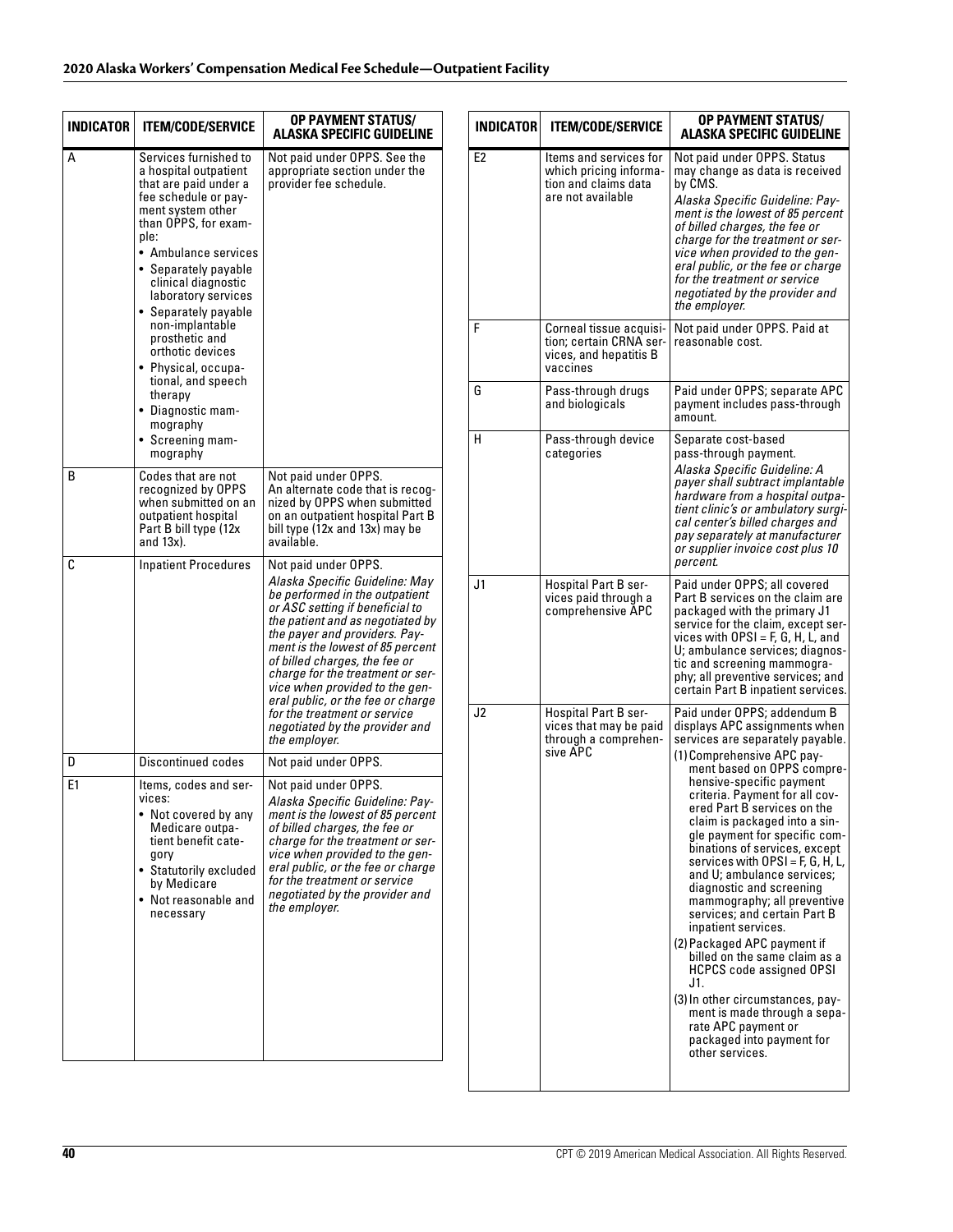| INDICATOR<br><b>ITEM/CODE/SERVICE</b>                                                                                                                                                                                                                                                                                                                                                                                                            | OP PAYMENT STATUS/<br><b>ALASKA SPECIFIC GUIDELINE</b>                                                                                                                                                                                                                                                                                                                                                                                                              | INDI                          |
|--------------------------------------------------------------------------------------------------------------------------------------------------------------------------------------------------------------------------------------------------------------------------------------------------------------------------------------------------------------------------------------------------------------------------------------------------|---------------------------------------------------------------------------------------------------------------------------------------------------------------------------------------------------------------------------------------------------------------------------------------------------------------------------------------------------------------------------------------------------------------------------------------------------------------------|-------------------------------|
| Services furnished to<br>a hospital outpatient<br>that are paid under a<br>fee schedule or pay-<br>ment system other<br>than OPPS, for exam-<br>ple:<br>• Ambulance services<br>• Separately payable<br>clinical diagnostic<br>laboratory services<br>• Separately payable<br>non-implantable<br>prosthetic and<br>orthotic devices<br>• Physical, occupa-<br>tional, and speech<br>therapy<br>• Diagnostic mam-<br>mography<br>• Screening mam- | Not paid under OPPS. See the<br>appropriate section under the<br>provider fee schedule.                                                                                                                                                                                                                                                                                                                                                                             | E <sub>2</sub><br>F<br>G<br>н |
| Codes that are not<br>recognized by OPPS<br>when submitted on an<br>outpatient hospital<br>Part B bill type (12x<br>and $13x$ ).                                                                                                                                                                                                                                                                                                                 | Not paid under OPPS.<br>An alternate code that is recog-<br>nized by OPPS when submitted<br>on an outpatient hospital Part B<br>bill type (12x and 13x) may be<br>available.                                                                                                                                                                                                                                                                                        |                               |
| <b>Inpatient Procedures</b>                                                                                                                                                                                                                                                                                                                                                                                                                      | Not paid under OPPS.<br>Alaska Specific Guideline: May<br>be performed in the outpatient<br>or ASC setting if beneficial to<br>the patient and as negotiated by<br>the payer and providers. Pay-<br>ment is the lowest of 85 percent<br>of billed charges, the fee or<br>charge for the treatment or ser-<br>vice when provided to the gen-<br>eral public, or the fee or charge<br>for the treatment or service<br>negotiated by the provider and<br>the employer. | J <sub>1</sub><br>J2          |
| <b>Discontinued codes</b>                                                                                                                                                                                                                                                                                                                                                                                                                        |                                                                                                                                                                                                                                                                                                                                                                                                                                                                     |                               |
| Items, codes and ser-<br>vices:<br>• Not covered by any<br>Medicare outpa-<br>tient benefit cate-<br>gory<br>• Statutorily excluded<br>by Medicare<br>• Not reasonable and<br>necessarv                                                                                                                                                                                                                                                          | Not paid under OPPS.<br>Alaska Specific Guideline: Pay-<br>ment is the lowest of 85 percent<br>of billed charges, the fee or<br>charge for the treatment or ser-<br>vice when provided to the gen-<br>eral public, or the fee or charge<br>for the treatment or service<br>negotiated by the provider and<br>the employer.                                                                                                                                          |                               |
|                                                                                                                                                                                                                                                                                                                                                                                                                                                  | mography                                                                                                                                                                                                                                                                                                                                                                                                                                                            | Not paid under OPPS.          |

| <b>INDICATOR</b> | <b>ITEM/CODE/SERVICE</b>                                                                      | <b>OP PAYMENT STATUS/</b><br><b>ALASKA SPECIFIC GUIDELINE</b>                                                                                                                                                                                                                                                                                                                                                                                                                                                                                                                                                                                                                                                                                                                                           |  |
|------------------|-----------------------------------------------------------------------------------------------|---------------------------------------------------------------------------------------------------------------------------------------------------------------------------------------------------------------------------------------------------------------------------------------------------------------------------------------------------------------------------------------------------------------------------------------------------------------------------------------------------------------------------------------------------------------------------------------------------------------------------------------------------------------------------------------------------------------------------------------------------------------------------------------------------------|--|
| E <sub>2</sub>   | Items and services for<br>which pricing informa-<br>tion and claims data<br>are not available | Not paid under OPPS. Status<br>may change as data is received<br>by CMS.<br>Alaska Specific Guideline: Pay-<br>ment is the lowest of 85 percent<br>of billed charges, the fee or<br>charge for the treatment or ser-<br>vice when provided to the gen-<br>eral public, or the fee or charge<br>for the treatment or service<br>negotiated by the provider and<br>the employer.                                                                                                                                                                                                                                                                                                                                                                                                                          |  |
| F                | Corneal tissue acquisi-<br>tion; certain CRNA ser-<br>vices, and hepatitis B<br>vaccines      | Not paid under OPPS. Paid at<br>reasonable cost.                                                                                                                                                                                                                                                                                                                                                                                                                                                                                                                                                                                                                                                                                                                                                        |  |
| G                | Pass-through drugs<br>and biologicals                                                         | Paid under OPPS; separate APC<br>payment includes pass-through<br>amount.                                                                                                                                                                                                                                                                                                                                                                                                                                                                                                                                                                                                                                                                                                                               |  |
| н                | Pass-through device<br>categories                                                             | Separate cost-based<br>pass-through payment.<br>Alaska Specific Guideline: A<br>payer shall subtract implantable<br>hardware from a hospital outpa-<br>tient clinic's or ambulatory surgi-<br>cal center's billed charges and<br>pay separately at manufacturer<br>or supplier invoice cost plus 10<br>percent.                                                                                                                                                                                                                                                                                                                                                                                                                                                                                         |  |
| J1               | <b>Hospital Part B ser-</b><br>vices paid through a<br>comprehensive APC                      | Paid under OPPS; all covered<br>Part B services on the claim are<br>packaged with the primary J1<br>service for the claim, except ser-<br>vices with $OPSI = F, G, H, L, and$<br>U; ambulance services; diagnos-<br>tic and screening mammogra-<br>phy; all preventive services; and<br>certain Part B inpatient services.                                                                                                                                                                                                                                                                                                                                                                                                                                                                              |  |
| J2               | Hospital Part B ser-<br>vices that may be paid<br>through a comprehen-<br>sive APC            | Paid under OPPS; addendum B<br>displays APC assignments when<br>services are separately payable.<br>(1) Comprehensive APC pay-<br>ment based on OPPS compre-<br>hensive-specific payment<br>criteria. Payment for all cov-<br>ered Part B services on the<br>claim is packaged into a sin-<br>gle payment for specific com-<br>binations of services, except<br>services with $OPSI = F, G, H, L,$<br>and U; ambulance services;<br>diagnostic and screening<br>mammography; all preventive<br>services; and certain Part B<br>inpatient services.<br>(2) Packaged APC payment if<br>billed on the same claim as a<br><b>HCPCS code assigned OPSI</b><br>J1.<br>(3) In other circumstances, pay-<br>ment is made through a sepa-<br>rate APC payment or<br>packaged into payment for<br>other services. |  |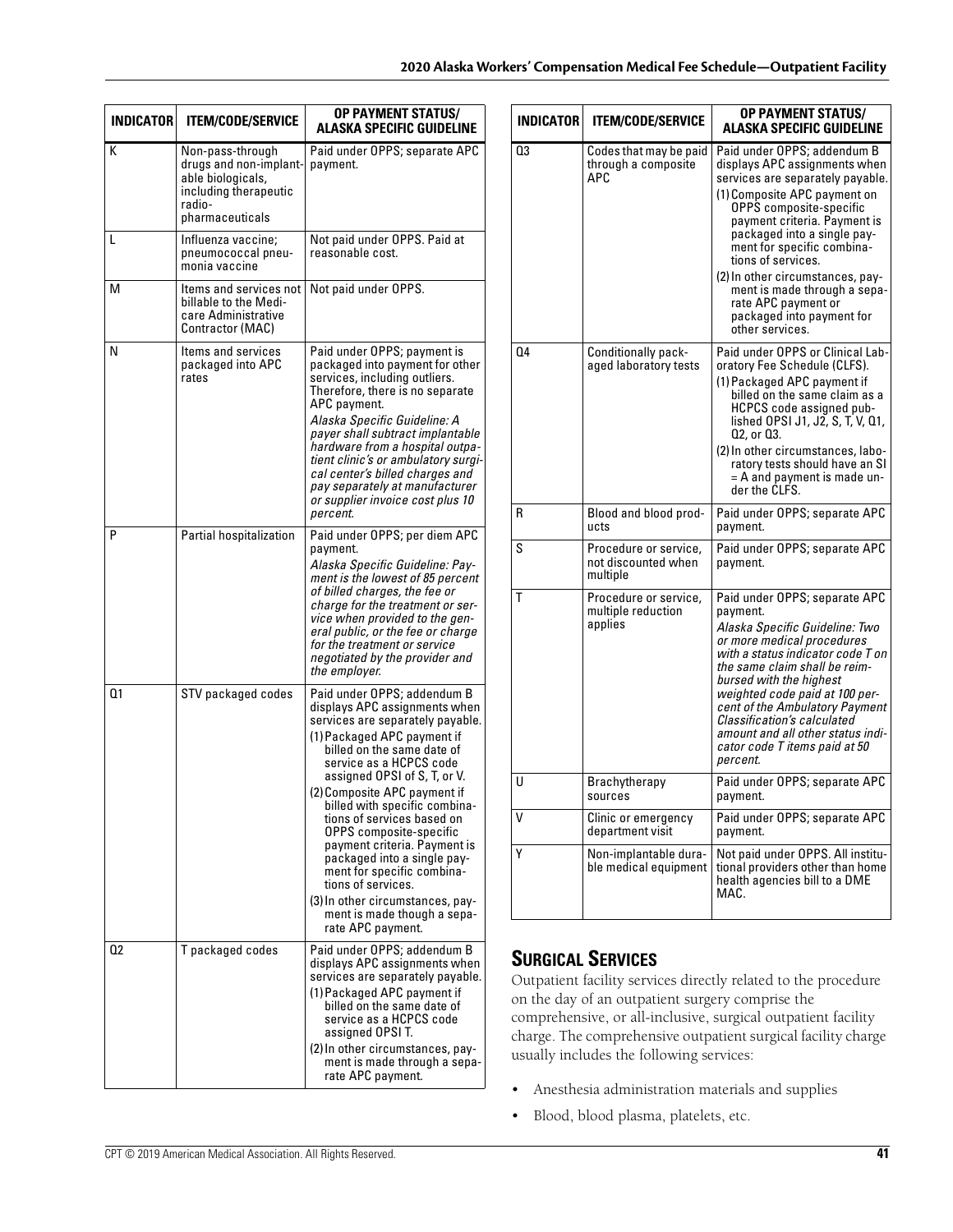| <b>INDICATOR</b> | <b>ITEM/CODE/SERVICE</b>                                                                                              | <b>OP PAYMENT STATUS/</b><br>ALASKA SPECIFIC GUIDELINE                                                                                                                                                                                                                                                                                                                                                                                                                                                                                                        |
|------------------|-----------------------------------------------------------------------------------------------------------------------|---------------------------------------------------------------------------------------------------------------------------------------------------------------------------------------------------------------------------------------------------------------------------------------------------------------------------------------------------------------------------------------------------------------------------------------------------------------------------------------------------------------------------------------------------------------|
| K                | Non-pass-through<br>drugs and non-implant-<br>able biologicals,<br>including therapeutic<br>radio-<br>pharmaceuticals | Paid under OPPS; separate APC<br>payment.                                                                                                                                                                                                                                                                                                                                                                                                                                                                                                                     |
| L                | Influenza vaccine;<br>pneumococcal pneu-<br>monia vaccine                                                             | Not paid under OPPS. Paid at<br>reasonable cost.                                                                                                                                                                                                                                                                                                                                                                                                                                                                                                              |
| М                | Items and services not<br>billable to the Medi-<br>care Administrative<br>Contractor (MAC)                            | Not paid under OPPS.                                                                                                                                                                                                                                                                                                                                                                                                                                                                                                                                          |
| N                | Items and services<br>packaged into APC<br>rates                                                                      | Paid under OPPS; payment is<br>packaged into payment for other<br>services, including outliers.<br>Therefore, there is no separate<br>APC payment.<br>Alaska Specific Guideline: A<br>payer shall subtract implantable<br>hardware from a hospital outpa-<br>tient clinic's or ambulatory surgi-<br>cal center's billed charges and<br>pay separately at manufacturer<br>or supplier invoice cost plus 10<br>percent.                                                                                                                                         |
| P                | Partial hospitalization                                                                                               | Paid under OPPS; per diem APC<br>payment.<br>Alaska Specific Guideline: Pay-<br>ment is the lowest of 85 percent<br>of billed charges, the fee or<br>charge for the treatment or ser-<br>vice when provided to the gen-<br>eral public, or the fee or charge<br>for the treatment or service<br>negotiated by the provider and<br>the employer.                                                                                                                                                                                                               |
| Q1               | STV packaged codes                                                                                                    | Paid under OPPS; addendum B<br>displays APC assignments when<br>services are separately payable.<br>(1) Packaged APC payment if<br>billed on the same date of<br>service as a HCPCS code<br>assigned OPSI of S, T, or V.<br>(2) Composite APC payment if<br>billed with specific combina-<br>tions of services based on<br>OPPS composite-specific<br>payment criteria. Payment is<br>packaged into a single pay-<br>ment for specific combina-<br>tions of services.<br>(3) In other circumstances, pay-<br>ment is made though a sepa-<br>rate APC payment. |
| 02               | T packaged codes                                                                                                      | Paid under OPPS; addendum B<br>displays APC assignments when<br>services are separately payable.<br>(1) Packaged APC payment if<br>billed on the same date of<br>service as a HCPCS code<br>assigned OPSI T.<br>(2) In other circumstances, pay-<br>ment is made through a sepa-<br>rate APC payment.                                                                                                                                                                                                                                                         |

| <b>INDICATOR</b> | <b>ITEM/CODE/SERVICE</b>                                 | <b>OP PAYMENT STATUS/</b><br>ALASKA SPECIFIC GUIDELINE                                                                                                                                                                                                                                                                                                                                                                    |
|------------------|----------------------------------------------------------|---------------------------------------------------------------------------------------------------------------------------------------------------------------------------------------------------------------------------------------------------------------------------------------------------------------------------------------------------------------------------------------------------------------------------|
| 03               | Codes that may be paid<br>through a composite<br>APC.    | Paid under OPPS; addendum B<br>displays APC assignments when<br>services are separately payable.<br>(1) Composite APC payment on<br>OPPS composite-specific<br>payment criteria. Payment is<br>packaged into a single pay-<br>ment for specific combina-<br>tions of services.<br>(2) In other circumstances, pay-<br>ment is made through a sepa-<br>rate APC payment or<br>packaged into payment for<br>other services. |
| 04               | Conditionally pack-<br>aged laboratory tests             | Paid under OPPS or Clinical Lab-<br>oratory Fee Schedule (CLFS).<br>(1) Packaged APC payment if<br>billed on the same claim as a<br>HCPCS code assigned pub-<br>lished OPSI J1, J2, S, T, V, Q1,<br>Q2, or Q3.<br>(2) In other circumstances, labo-<br>ratory tests should have an SI<br>$=$ A and payment is made un-<br>der the CLFS.                                                                                   |
| R                | Blood and blood prod-<br>ucts                            | Paid under OPPS; separate APC<br>payment.                                                                                                                                                                                                                                                                                                                                                                                 |
| S                | Procedure or service,<br>not discounted when<br>multiple | Paid under OPPS; separate APC<br>payment.                                                                                                                                                                                                                                                                                                                                                                                 |
| T                | Procedure or service,<br>multiple reduction<br>applies   | Paid under OPPS; separate APC<br>payment.<br>Alaska Specific Guideline: Two<br>or more medical procedures<br>with a status indicator code T on<br>the same claim shall be reim-<br>bursed with the highest<br>weighted code paid at 100 per-<br>cent of the Ambulatory Payment<br>Classification's calculated<br>amount and all other status indi-<br>cator code T items paid at 50<br>percent.                           |
| U                | Brachytherapy<br>sources                                 | Paid under OPPS; separate APC<br>payment.                                                                                                                                                                                                                                                                                                                                                                                 |
| ٧                | Clinic or emergency<br>department visit                  | Paid under OPPS; separate APC<br>payment.                                                                                                                                                                                                                                                                                                                                                                                 |
| Υ                | Non-implantable dura-<br>ble medical equipment           | Not paid under OPPS. All institu-<br>tional providers other than home<br>health agencies bill to a DME<br>MAC.                                                                                                                                                                                                                                                                                                            |

# **SURGICAL SERVICES**

Outpatient facility services directly related to the procedure on the day of an outpatient surgery comprise the comprehensive, or all-inclusive, surgical outpatient facility charge. The comprehensive outpatient surgical facility charge usually includes the following services:

- Anesthesia administration materials and supplies
- Blood, blood plasma, platelets, etc.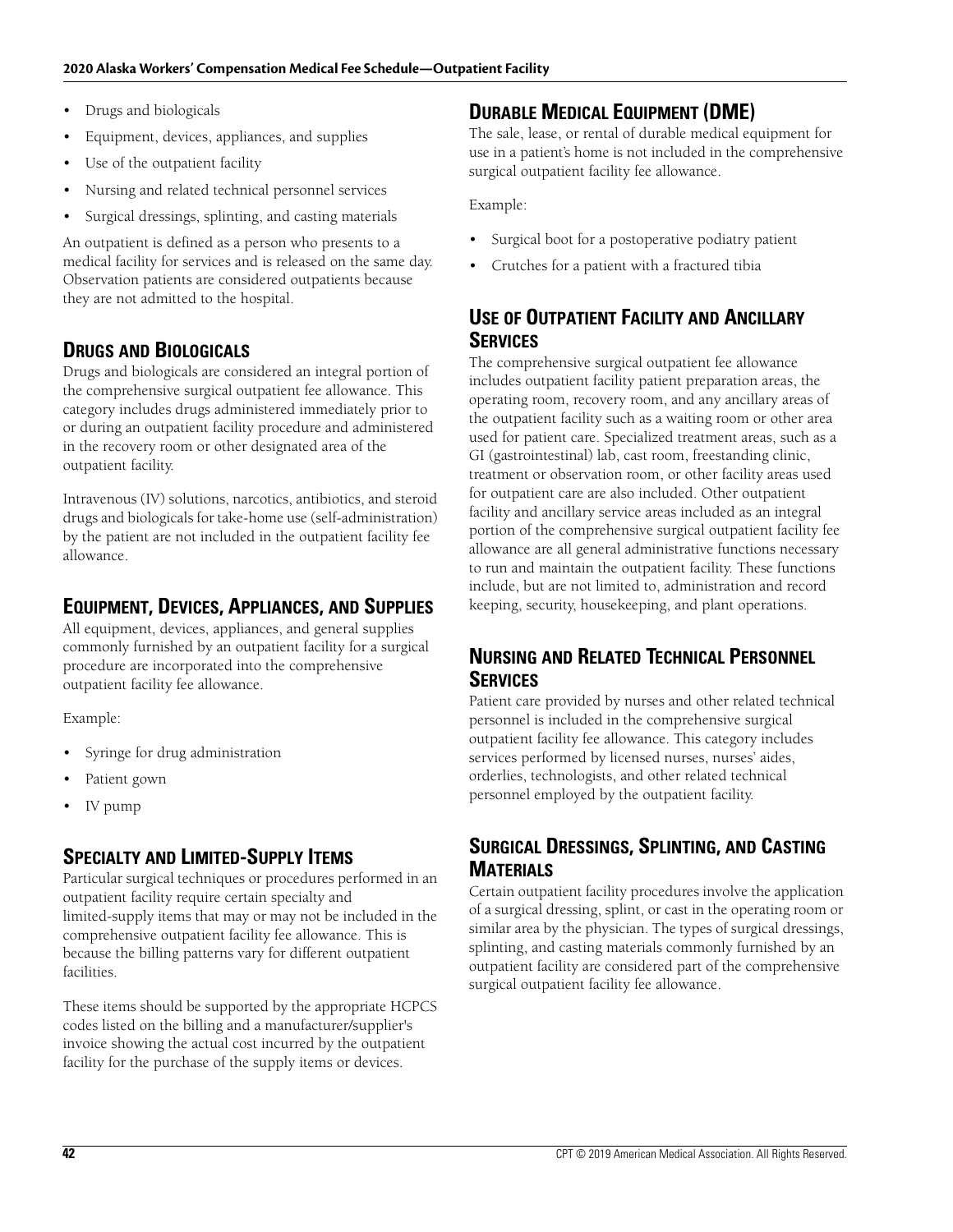- Drugs and biologicals
- Equipment, devices, appliances, and supplies
- Use of the outpatient facility
- Nursing and related technical personnel services
- Surgical dressings, splinting, and casting materials

An outpatient is defined as a person who presents to a medical facility for services and is released on the same day. Observation patients are considered outpatients because they are not admitted to the hospital.

# **DRUGS AND BIOLOGICALS**

Drugs and biologicals are considered an integral portion of the comprehensive surgical outpatient fee allowance. This category includes drugs administered immediately prior to or during an outpatient facility procedure and administered in the recovery room or other designated area of the outpatient facility.

Intravenous (IV) solutions, narcotics, antibiotics, and steroid drugs and biologicals for take-home use (self-administration) by the patient are not included in the outpatient facility fee allowance.

# **EQUIPMENT, DEVICES, APPLIANCES, AND SUPPLIES**

All equipment, devices, appliances, and general supplies commonly furnished by an outpatient facility for a surgical procedure are incorporated into the comprehensive outpatient facility fee allowance.

Example:

- Syringe for drug administration
- Patient gown
- IV pump

# **SPECIALTY AND LIMITED-SUPPLY ITEMS**

Particular surgical techniques or procedures performed in an outpatient facility require certain specialty and limited-supply items that may or may not be included in the comprehensive outpatient facility fee allowance. This is because the billing patterns vary for different outpatient facilities.

These items should be supported by the appropriate HCPCS codes listed on the billing and a manufacturer/supplier's invoice showing the actual cost incurred by the outpatient facility for the purchase of the supply items or devices.

# **DURABLE MEDICAL EQUIPMENT (DME)**

The sale, lease, or rental of durable medical equipment for use in a patient's home is not included in the comprehensive surgical outpatient facility fee allowance.

Example:

- Surgical boot for a postoperative podiatry patient
- Crutches for a patient with a fractured tibia

# **USE OF OUTPATIENT FACILITY AND ANCILLARY SERVICES**

The comprehensive surgical outpatient fee allowance includes outpatient facility patient preparation areas, the operating room, recovery room, and any ancillary areas of the outpatient facility such as a waiting room or other area used for patient care. Specialized treatment areas, such as a GI (gastrointestinal) lab, cast room, freestanding clinic, treatment or observation room, or other facility areas used for outpatient care are also included. Other outpatient facility and ancillary service areas included as an integral portion of the comprehensive surgical outpatient facility fee allowance are all general administrative functions necessary to run and maintain the outpatient facility. These functions include, but are not limited to, administration and record keeping, security, housekeeping, and plant operations.

# **NURSING AND RELATED TECHNICAL PERSONNEL SERVICES**

Patient care provided by nurses and other related technical personnel is included in the comprehensive surgical outpatient facility fee allowance. This category includes services performed by licensed nurses, nurses' aides, orderlies, technologists, and other related technical personnel employed by the outpatient facility.

# **SURGICAL DRESSINGS, SPLINTING, AND CASTING MATERIALS**

Certain outpatient facility procedures involve the application of a surgical dressing, splint, or cast in the operating room or similar area by the physician. The types of surgical dressings, splinting, and casting materials commonly furnished by an outpatient facility are considered part of the comprehensive surgical outpatient facility fee allowance.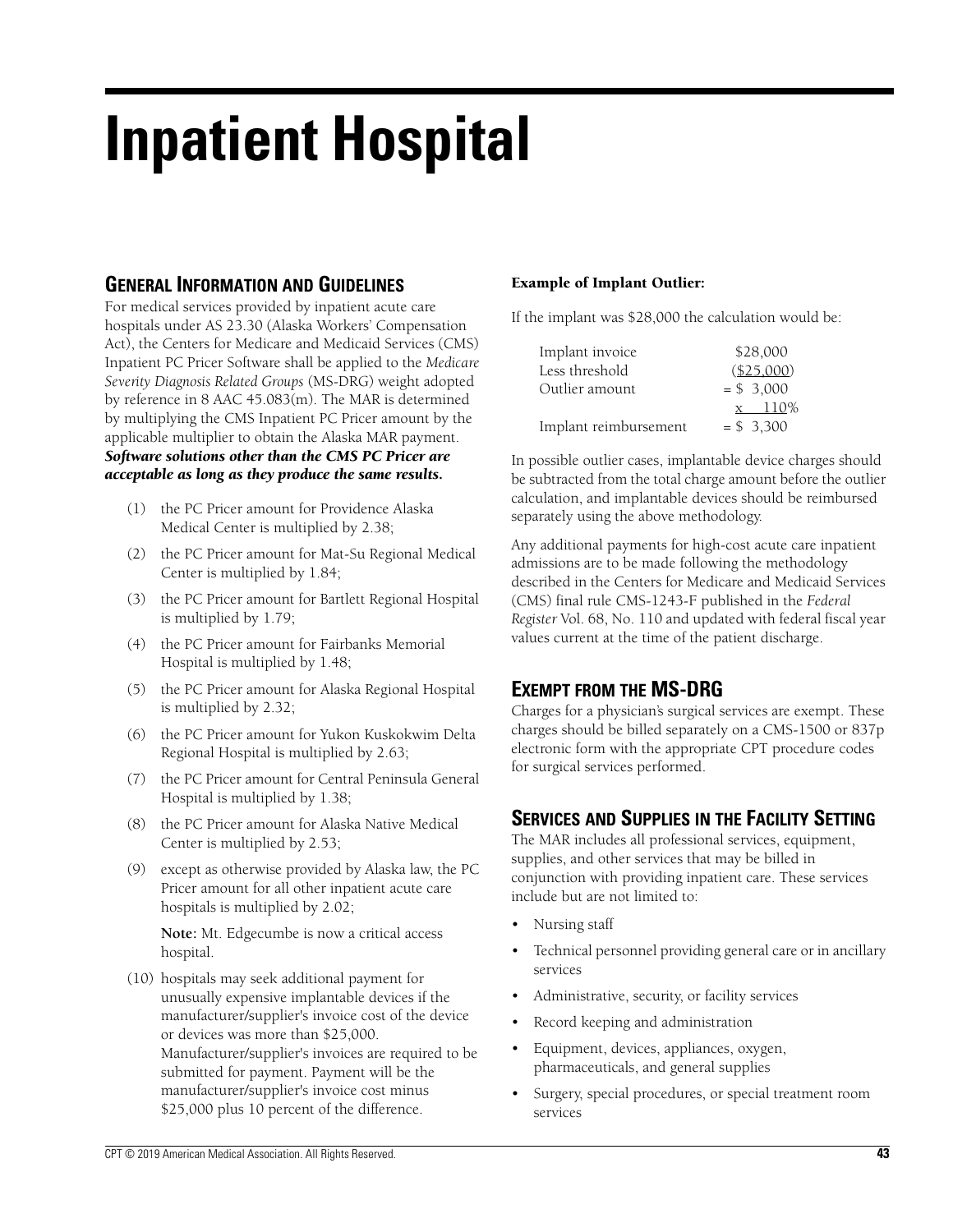# **Inpatient Hospital**

# **GENERAL INFORMATION AND GUIDELINES**

For medical services provided by inpatient acute care hospitals under AS 23.30 (Alaska Workers' Compensation Act), the Centers for Medicare and Medicaid Services (CMS) Inpatient PC Pricer Software shall be applied to the *Medicare Severity Diagnosis Related Groups* (MS-DRG) weight adopted by reference in 8 AAC 45.083(m). The MAR is determined by multiplying the CMS Inpatient PC Pricer amount by the applicable multiplier to obtain the Alaska MAR payment. *Software solutions other than the CMS PC Pricer are acceptable as long as they produce the same results.*

- (1) the PC Pricer amount for Providence Alaska Medical Center is multiplied by 2.38;
- (2) the PC Pricer amount for Mat-Su Regional Medical Center is multiplied by 1.84;
- (3) the PC Pricer amount for Bartlett Regional Hospital is multiplied by 1.79;
- (4) the PC Pricer amount for Fairbanks Memorial Hospital is multiplied by 1.48;
- (5) the PC Pricer amount for Alaska Regional Hospital is multiplied by 2.32;
- (6) the PC Pricer amount for Yukon Kuskokwim Delta Regional Hospital is multiplied by 2.63;
- (7) the PC Pricer amount for Central Peninsula General Hospital is multiplied by 1.38;
- (8) the PC Pricer amount for Alaska Native Medical Center is multiplied by 2.53;
- (9) except as otherwise provided by Alaska law, the PC Pricer amount for all other inpatient acute care hospitals is multiplied by 2.02;

**Note:** Mt. Edgecumbe is now a critical access hospital.

(10) hospitals may seek additional payment for unusually expensive implantable devices if the manufacturer/supplier's invoice cost of the device or devices was more than \$25,000. Manufacturer/supplier's invoices are required to be submitted for payment. Payment will be the manufacturer/supplier's invoice cost minus \$25,000 plus 10 percent of the difference.

#### **Example of Implant Outlier:**

If the implant was \$28,000 the calculation would be:

| Implant invoice       | \$28,000    |
|-----------------------|-------------|
| Less threshold        | (\$25,000)  |
| Outlier amount        | $= $3,000$  |
|                       | $x = 110\%$ |
| Implant reimbursement | $= $3.300$  |

In possible outlier cases, implantable device charges should be subtracted from the total charge amount before the outlier calculation, and implantable devices should be reimbursed separately using the above methodology.

Any additional payments for high-cost acute care inpatient admissions are to be made following the methodology described in the Centers for Medicare and Medicaid Services (CMS) final rule CMS-1243-F published in the *Federal Register* Vol. 68, No. 110 and updated with federal fiscal year values current at the time of the patient discharge.

## **EXEMPT FROM THE MS-DRG**

Charges for a physician's surgical services are exempt. These charges should be billed separately on a CMS-1500 or 837p electronic form with the appropriate CPT procedure codes for surgical services performed.

## **SERVICES AND SUPPLIES IN THE FACILITY SETTING**

The MAR includes all professional services, equipment, supplies, and other services that may be billed in conjunction with providing inpatient care. These services include but are not limited to:

- Nursing staff
- Technical personnel providing general care or in ancillary services
- Administrative, security, or facility services
- Record keeping and administration
- Equipment, devices, appliances, oxygen, pharmaceuticals, and general supplies
- Surgery, special procedures, or special treatment room services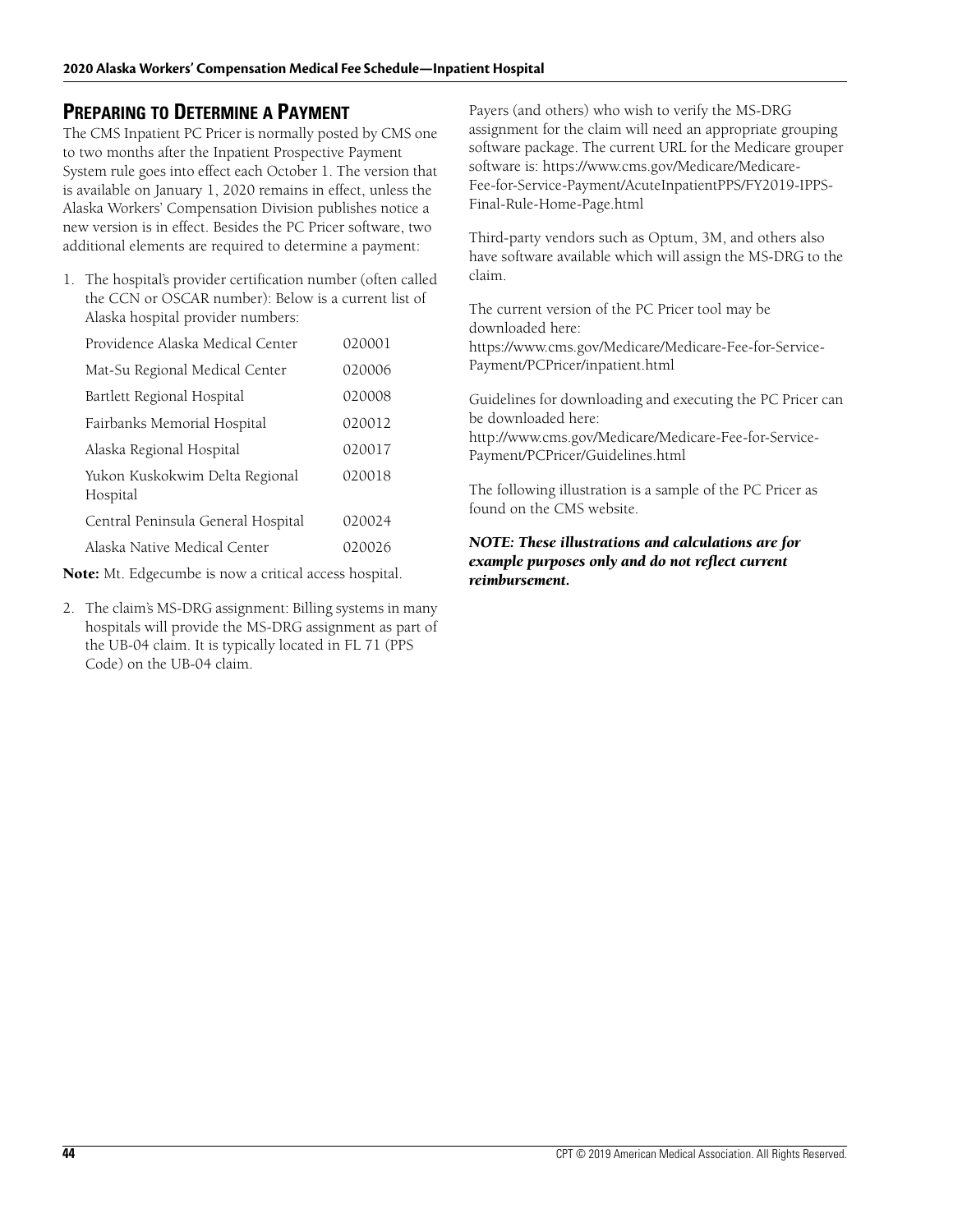## **PREPARING TO DETERMINE A PAYMENT**

The CMS Inpatient PC Pricer is normally posted by CMS one to two months after the Inpatient Prospective Payment System rule goes into effect each October 1. The version that is available on January 1, 2020 remains in effect, unless the Alaska Workers' Compensation Division publishes notice a new version is in effect. Besides the PC Pricer software, two additional elements are required to determine a payment:

1. The hospital's provider certification number (often called the CCN or OSCAR number): Below is a current list of Alaska hospital provider numbers:

| Providence Alaska Medical Center           | 020001 |
|--------------------------------------------|--------|
| Mat-Su Regional Medical Center             | 020006 |
| Bartlett Regional Hospital                 | 020008 |
| Fairbanks Memorial Hospital                | 020012 |
| Alaska Regional Hospital                   | 020017 |
| Yukon Kuskokwim Delta Regional<br>Hospital | 020018 |
| Central Peninsula General Hospital         | 020024 |
| Alaska Native Medical Center               | 020026 |

**Note:** Mt. Edgecumbe is now a critical access hospital.

2. The claim's MS-DRG assignment: Billing systems in many hospitals will provide the MS-DRG assignment as part of the UB-04 claim. It is typically located in FL 71 (PPS Code) on the UB-04 claim.

Payers (and others) who wish to verify the MS-DRG assignment for the claim will need an appropriate grouping software package. The current URL for the Medicare grouper software is: https://www.cms.gov/Medicare/Medicare-Fee-for-Service-Payment/AcuteInpatientPPS/FY2019-IPPS-Final-Rule-Home-Page.html

Third-party vendors such as Optum, 3M, and others also have software available which will assign the MS-DRG to the claim.

The current version of the PC Pricer tool may be downloaded here: https://www.cms.gov/Medicare/Medicare-Fee-for-Service-Payment/PCPricer/inpatient.html

Guidelines for downloading and executing the PC Pricer can be downloaded here:

http://www.cms.gov/Medicare/Medicare-Fee-for-Service-Payment/PCPricer/Guidelines.html

The following illustration is a sample of the PC Pricer as found on the CMS website.

#### *NOTE: These illustrations and calculations are for example purposes only and do not reflect current reimbursement.*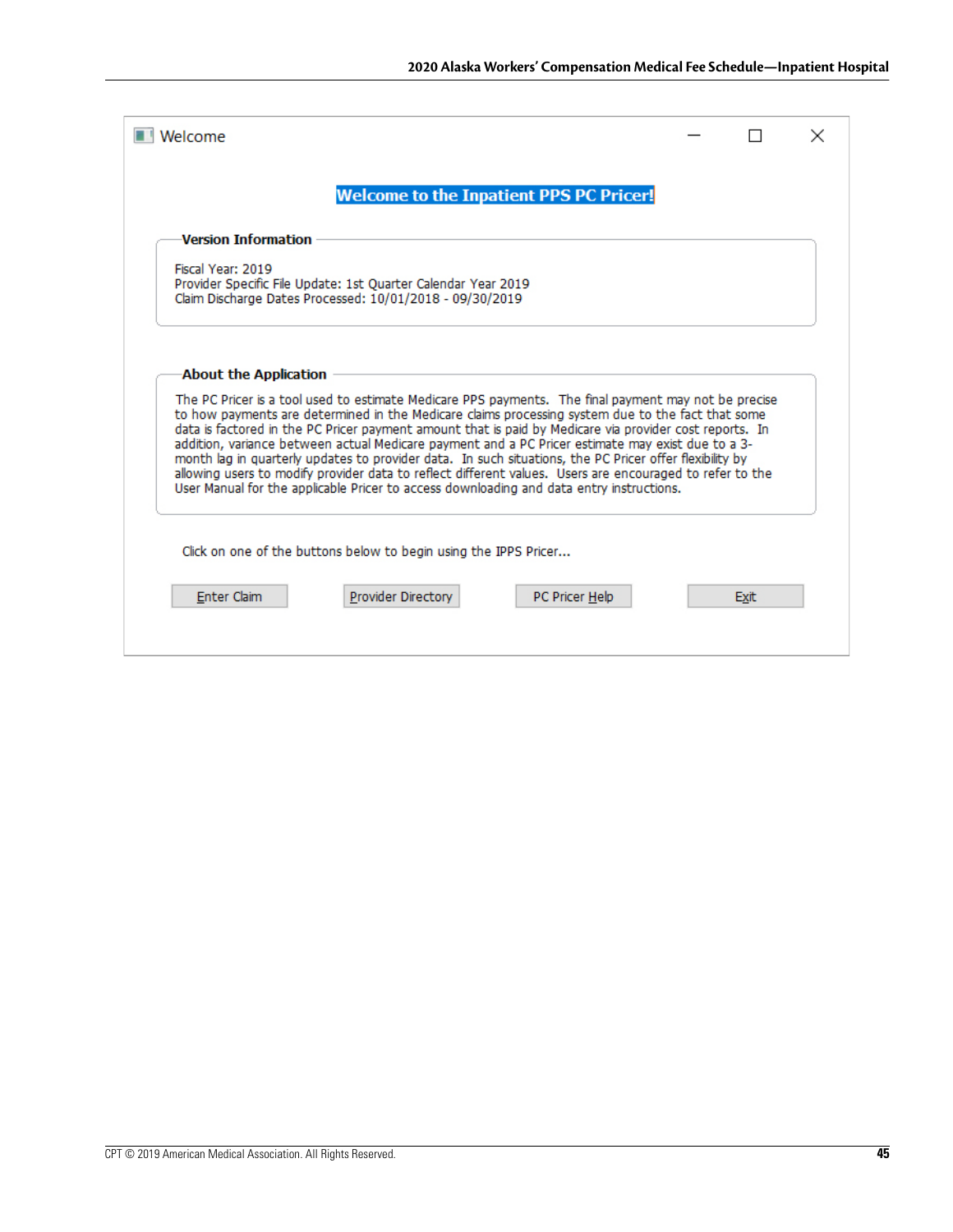|                       |                                                                                                                                                                                                                                                                                                                                                                                                                      | <b>Welcome to the Inpatient PPS PC Pricer!</b> |  |  |
|-----------------------|----------------------------------------------------------------------------------------------------------------------------------------------------------------------------------------------------------------------------------------------------------------------------------------------------------------------------------------------------------------------------------------------------------------------|------------------------------------------------|--|--|
| Version Information   |                                                                                                                                                                                                                                                                                                                                                                                                                      |                                                |  |  |
| Fiscal Year: 2019     | Provider Specific File Update: 1st Quarter Calendar Year 2019<br>Claim Discharge Dates Processed: 10/01/2018 - 09/30/2019                                                                                                                                                                                                                                                                                            |                                                |  |  |
| About the Application |                                                                                                                                                                                                                                                                                                                                                                                                                      |                                                |  |  |
|                       | The PC Pricer is a tool used to estimate Medicare PPS payments. The final payment may not be precise<br>to how payments are determined in the Medicare claims processing system due to the fact that some<br>data is factored in the PC Pricer payment amount that is paid by Medicare via provider cost reports. In                                                                                                 |                                                |  |  |
|                       | addition, variance between actual Medicare payment and a PC Pricer estimate may exist due to a 3-<br>month lag in quarterly updates to provider data. In such situations, the PC Pricer offer flexibility by<br>allowing users to modify provider data to reflect different values. Users are encouraged to refer to the<br>User Manual for the applicable Pricer to access downloading and data entry instructions. |                                                |  |  |
|                       | Click on one of the buttons below to begin using the IPPS Pricer                                                                                                                                                                                                                                                                                                                                                     |                                                |  |  |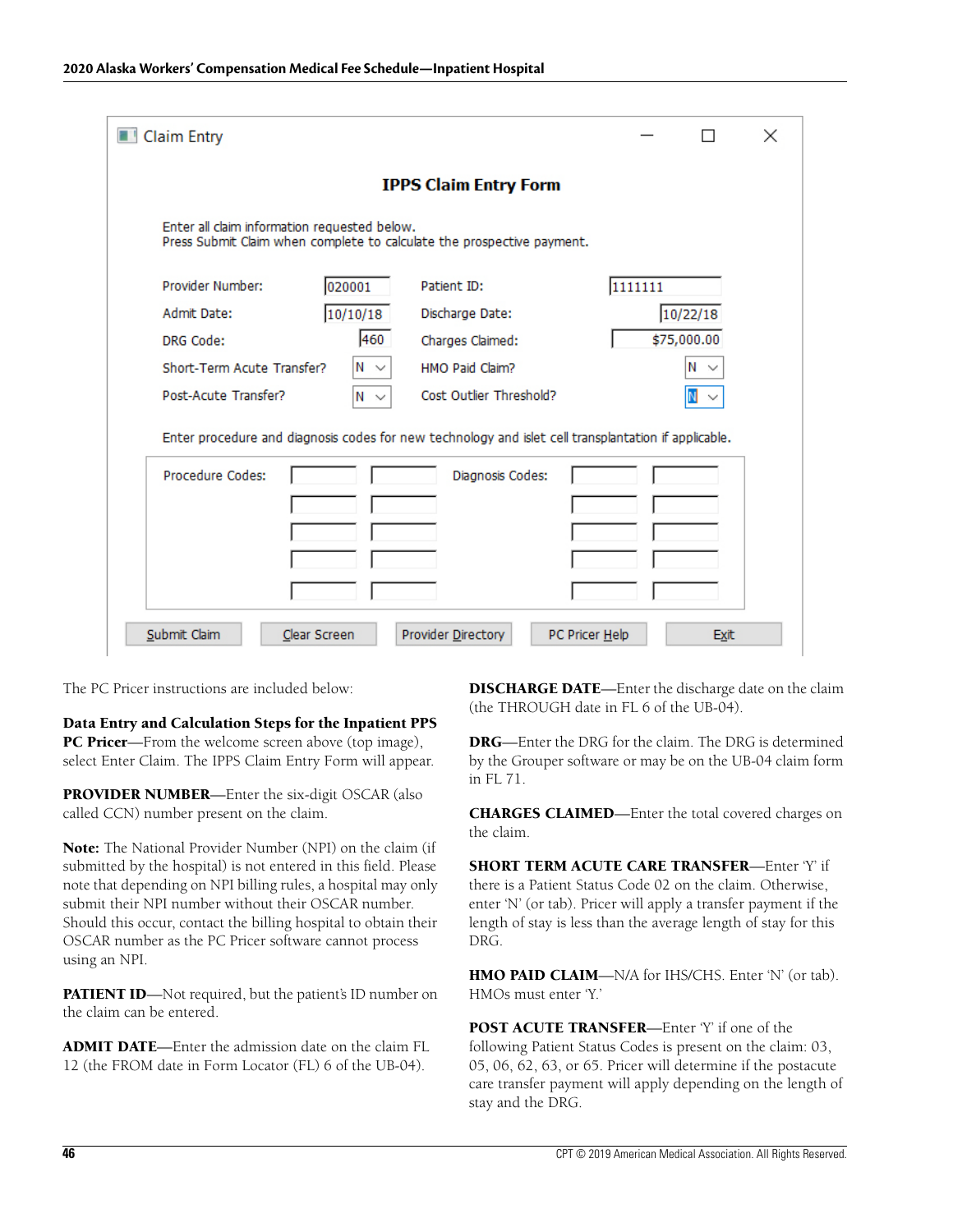| Claim Entry                                                                                                            |                         |                |             | $\times$ |  |  |
|------------------------------------------------------------------------------------------------------------------------|-------------------------|----------------|-------------|----------|--|--|
| <b>IPPS Claim Entry Form</b>                                                                                           |                         |                |             |          |  |  |
| Enter all claim information requested below.<br>Press Submit Claim when complete to calculate the prospective payment. |                         |                |             |          |  |  |
| Provider Number:<br>020001                                                                                             | Patient ID:             | 1111111        |             |          |  |  |
| 10/10/18<br>Admit Date:                                                                                                | Discharge Date:         |                | 10/22/18    |          |  |  |
| 460<br>DRG Code:                                                                                                       | Charges Claimed:        |                | \$75,000.00 |          |  |  |
| Short-Term Acute Transfer?<br>$N \sim$                                                                                 | HMO Paid Claim?         |                | Ν           |          |  |  |
| Post-Acute Transfer?<br>$N \sim$                                                                                       | Cost Outlier Threshold? |                |             |          |  |  |
| Enter procedure and diagnosis codes for new technology and islet cell transplantation if applicable.                   |                         |                |             |          |  |  |
| Procedure Codes:                                                                                                       | Diagnosis Codes:        |                |             |          |  |  |
|                                                                                                                        |                         |                |             |          |  |  |
|                                                                                                                        |                         |                |             |          |  |  |
|                                                                                                                        |                         |                |             |          |  |  |
|                                                                                                                        |                         |                |             |          |  |  |
| Submit Claim<br>Clear Screen                                                                                           | Provider Directory      | PC Pricer Help | <b>Exit</b> |          |  |  |

The PC Pricer instructions are included below:

**Data Entry and Calculation Steps for the Inpatient PPS PC Pricer**—From the welcome screen above (top image), select Enter Claim. The IPPS Claim Entry Form will appear.

**PROVIDER NUMBER**—Enter the six-digit OSCAR (also called CCN) number present on the claim.

**Note:** The National Provider Number (NPI) on the claim (if submitted by the hospital) is not entered in this field. Please note that depending on NPI billing rules, a hospital may only submit their NPI number without their OSCAR number. Should this occur, contact the billing hospital to obtain their OSCAR number as the PC Pricer software cannot process using an NPI.

**PATIENT ID**—Not required, but the patient's ID number on the claim can be entered.

**ADMIT DATE**—Enter the admission date on the claim FL 12 (the FROM date in Form Locator (FL) 6 of the UB-04).

**DISCHARGE DATE**—Enter the discharge date on the claim (the THROUGH date in FL 6 of the UB-04).

**DRG**—Enter the DRG for the claim. The DRG is determined by the Grouper software or may be on the UB-04 claim form in FL 71.

**CHARGES CLAIMED**—Enter the total covered charges on the claim.

**SHORT TERM ACUTE CARE TRANSFER**—Enter 'Y' if there is a Patient Status Code 02 on the claim. Otherwise, enter 'N' (or tab). Pricer will apply a transfer payment if the length of stay is less than the average length of stay for this DRG.

**HMO PAID CLAIM**—N/A for IHS/CHS. Enter 'N' (or tab). HMOs must enter 'Y.'

**POST ACUTE TRANSFER**—Enter 'Y' if one of the following Patient Status Codes is present on the claim: 03, 05, 06, 62, 63, or 65. Pricer will determine if the postacute care transfer payment will apply depending on the length of stay and the DRG.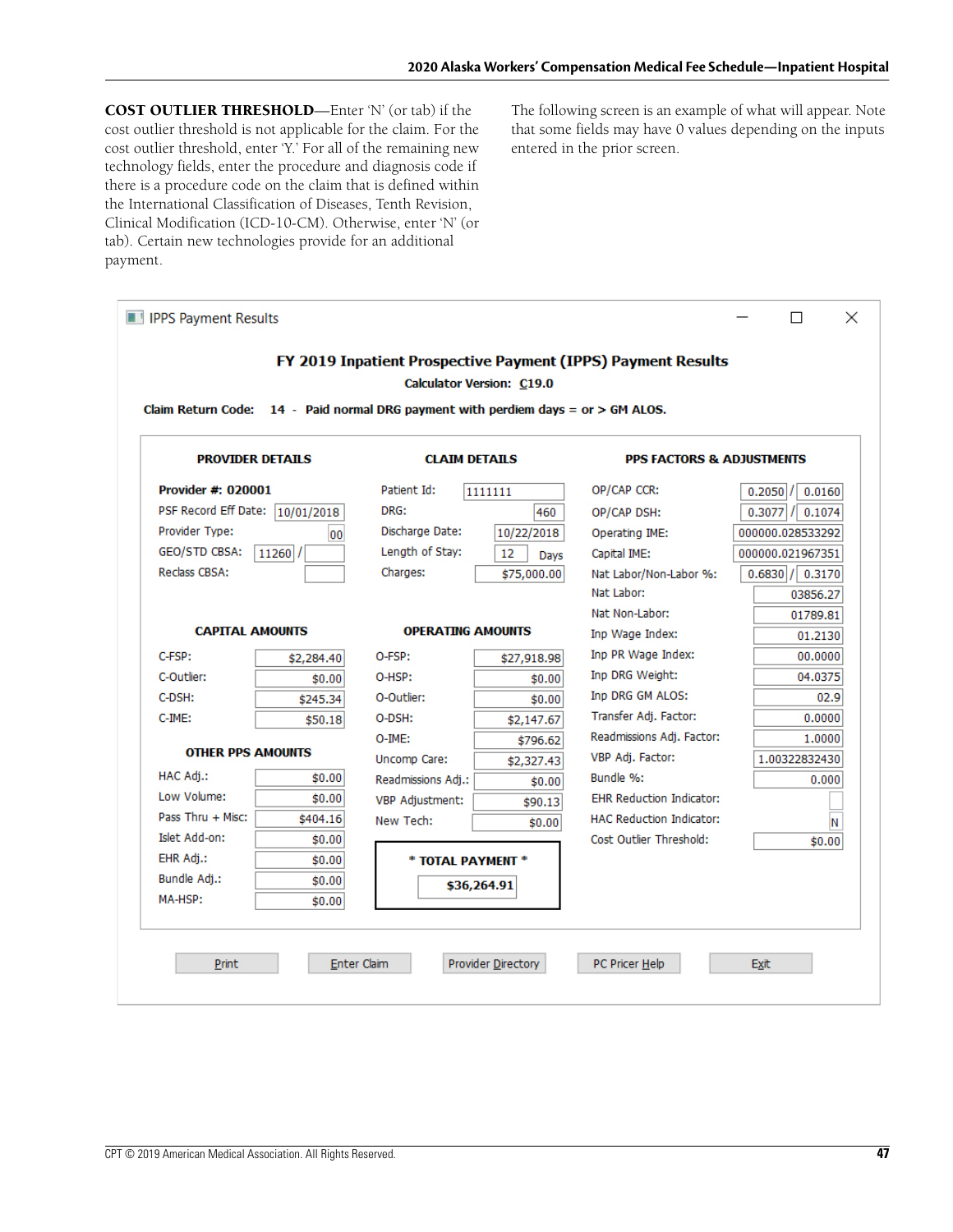**COST OUTLIER THRESHOLD**—Enter 'N' (or tab) if the cost outlier threshold is not applicable for the claim. For the cost outlier threshold, enter 'Y.' For all of the remaining new technology fields, enter the procedure and diagnosis code if there is a procedure code on the claim that is defined within the International Classification of Diseases, Tenth Revision, Clinical Modification (ICD-10-CM). Otherwise, enter 'N' (or tab). Certain new technologies provide for an additional payment.

The following screen is an example of what will appear. Note that some fields may have 0 values depending on the inputs entered in the prior screen.

|                          |                         | Claim Return Code: $14$ - Paid normal DRG payment with perdiem days = $or > GM ALOS$ . |             |                                      |                       |
|--------------------------|-------------------------|----------------------------------------------------------------------------------------|-------------|--------------------------------------|-----------------------|
|                          | <b>PROVIDER DETAILS</b> | <b>CLAIM DETAILS</b>                                                                   |             | <b>PPS FACTORS &amp; ADJUSTMENTS</b> |                       |
| Provider #: 020001       |                         | Patient Id:                                                                            | 1111111     | OP/CAP CCR:                          | 0.0160<br>0.2050      |
| PSF Record Eff Date:     | 10/01/2018              | DRG:                                                                                   | 460         | OP/CAP DSH:                          | $0.3077$ $/$ 0.1074   |
| Provider Type:           | 00                      | Discharge Date:                                                                        | 10/22/2018  | Operating IME:                       | 000000.028533292      |
| GEO/STD CBSA:            | 11260                   | Length of Stay:                                                                        | 12<br>Davs  | Capital IME:                         | 000000.021967351      |
| Reclass CBSA:            |                         | Charges:                                                                               | \$75,000.00 | Nat Labor/Non-Labor %:               | $0.6830$   $/$ 0.3170 |
|                          |                         |                                                                                        |             | Nat Labor:                           | 03856.27              |
|                          |                         |                                                                                        |             | Nat Non-Labor:                       | 01789.81              |
| <b>CAPITAL AMOUNTS</b>   |                         | <b>OPERATING AMOUNTS</b>                                                               |             | Inp Wage Index:                      | 01.2130               |
| C-FSP:                   | \$2,284,40              | O-FSP:                                                                                 | \$27,918.98 | Inp PR Wage Index:                   | 00.0000               |
| C-Outlier:               | \$0.00                  | O-HSP:                                                                                 | \$0.00      | Inp DRG Weight:                      | 04.0375               |
| C-DSH:                   | \$245.34                | O-Outlier:                                                                             | \$0.00      | Inp DRG GM ALOS:                     | 02.9                  |
| $C$ -IME:                | \$50.18                 | O-DSH:                                                                                 | \$2,147.67  | Transfer Adj. Factor:                | 0.0000                |
|                          |                         | O-IME:                                                                                 | \$796.62    | Readmissions Adj. Factor:            | 1.0000                |
| <b>OTHER PPS AMOUNTS</b> |                         | Uncomp Care:                                                                           | \$2,327.43  | VBP Adj. Factor:                     | 1.00322832430         |
| HAC Adi.:                | \$0.00                  | Readmissions Adj.:                                                                     | \$0.00      | Bundle %:                            | 0.000                 |
| Low Volume:              | \$0.00                  | VBP Adjustment:                                                                        | \$90.13     | <b>EHR Reduction Indicator:</b>      |                       |
| Pass Thru + Misc:        | \$404.16                | New Tech:                                                                              | \$0.00      | <b>HAC Reduction Indicator:</b>      |                       |
| Islet Add-on:            | \$0.00                  |                                                                                        |             | Cost Outlier Threshold:              | \$0.00                |
| EHR Adj.:                | \$0.00                  | * TOTAL PAYMENT *                                                                      |             |                                      |                       |
| Bundle Adj.:             | \$0.00                  |                                                                                        | \$36,264.91 |                                      |                       |
| MA-HSP:                  | \$0.00                  |                                                                                        |             |                                      |                       |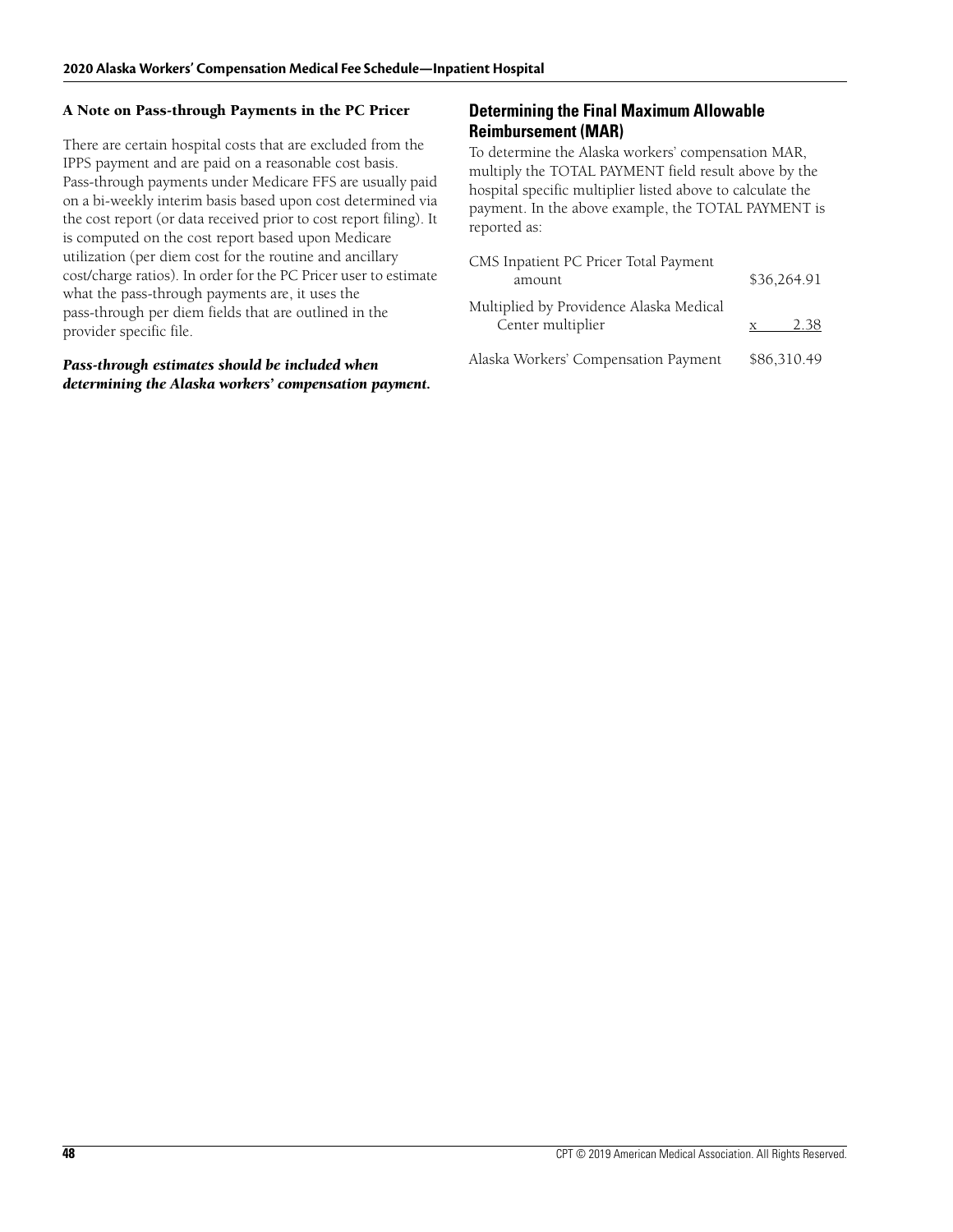#### **A Note on Pass-through Payments in the PC Pricer**

There are certain hospital costs that are excluded from the IPPS payment and are paid on a reasonable cost basis. Pass-through payments under Medicare FFS are usually paid on a bi-weekly interim basis based upon cost determined via the cost report (or data received prior to cost report filing). It is computed on the cost report based upon Medicare utilization (per diem cost for the routine and ancillary cost/charge ratios). In order for the PC Pricer user to estimate what the pass-through payments are, it uses the pass-through per diem fields that are outlined in the provider specific file.

#### *Pass-through estimates should be included when determining the Alaska workers' compensation payment.*

### **Determining the Final Maximum Allowable Reimbursement (MAR)**

To determine the Alaska workers' compensation MAR, multiply the TOTAL PAYMENT field result above by the hospital specific multiplier listed above to calculate the payment. In the above example, the TOTAL PAYMENT is reported as:

| CMS Inpatient PC Pricer Total Payment<br>amount              | \$36,264.91 |
|--------------------------------------------------------------|-------------|
| Multiplied by Providence Alaska Medical<br>Center multiplier | 2.38        |
| Alaska Workers' Compensation Payment                         | \$86,310.49 |